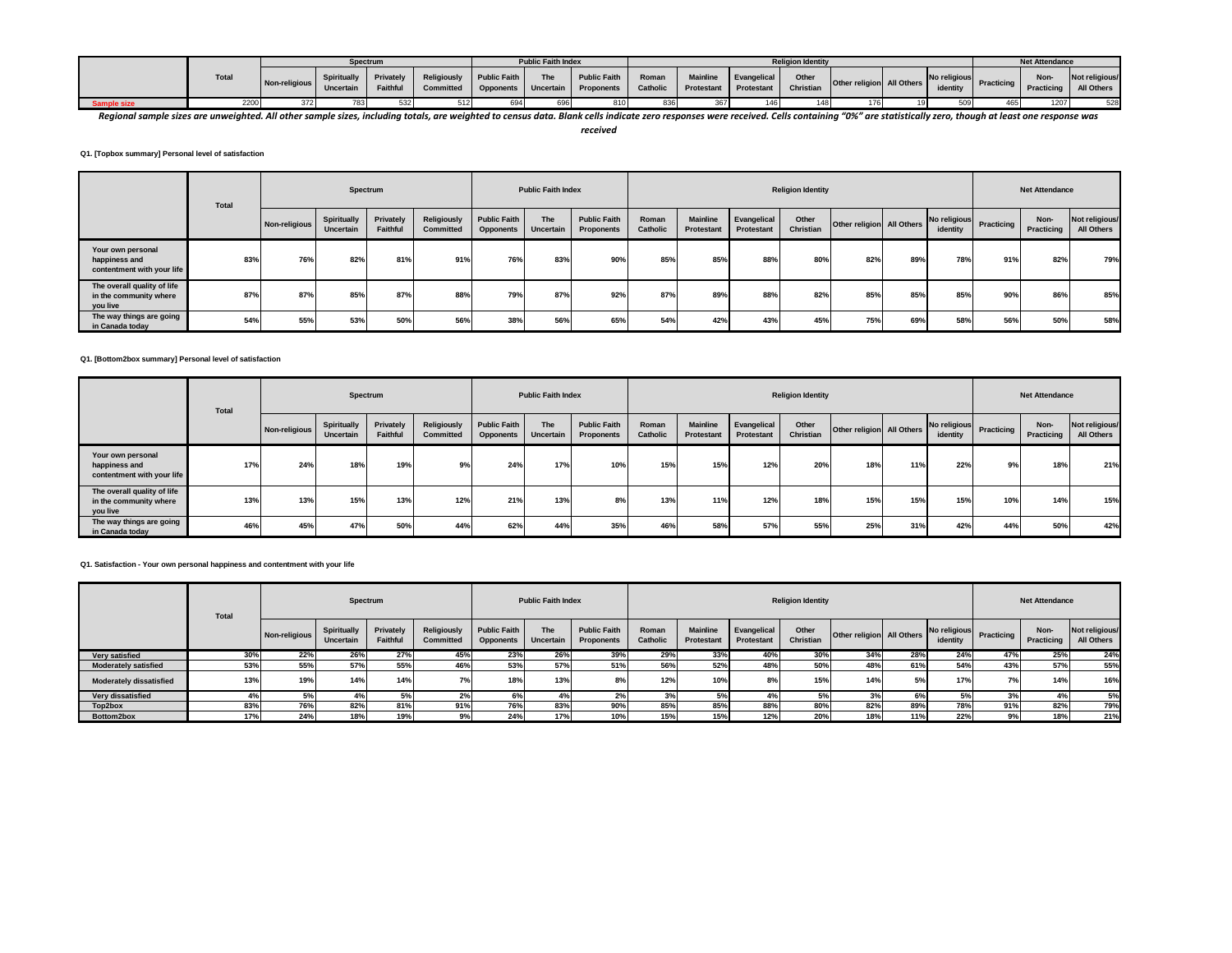|            |              |               | Spectrum                        |                         |                          | <b>Public Faith Index</b> |                                                                                        |       |     |                                    | <b>Religion Identity</b> |                           |          |                              | <b>Net Attendance</b> |                              |
|------------|--------------|---------------|---------------------------------|-------------------------|--------------------------|---------------------------|----------------------------------------------------------------------------------------|-------|-----|------------------------------------|--------------------------|---------------------------|----------|------------------------------|-----------------------|------------------------------|
|            | <b>Total</b> | Non-religious | <b>Spiritually</b><br>Uncertain | Privately  <br>Faithful | Religiously Public Faith | <b>The</b>                | Public Faith<br>Committed   Opponents   Uncertain   Proponents   Catholic   Protestant | Roman |     | Mainline Evangelical<br>Protestant | Other<br>Christian       | Other religion All Others | identity | No religious Practicing Inc. | Non-<br>Practicing    | Not religious/<br>All Others |
| ample size | 2200         | 372           |                                 | 532                     |                          | 696                       |                                                                                        | 836   | 367 |                                    | 1481                     |                           |          | 465                          | 1207                  | 528                          |

Regional sample sizes are unweighted. All other sample sizes, including totals, are weighted to census data. Blank cells indicate zero responses were received. Cells containing "0%" are statistically zero, though at least

*received*

**Q1. [Topbox summary] Personal level of satisfaction**

|                                                                   | Total |               | Spectrum                 |                       |                                 |                                         | <b>Public Faith Index</b> |                                   |                   |                               |                           | <b>Religion Identity</b> |                           |     |                                     |     | <b>Net Attendance</b> |                              |
|-------------------------------------------------------------------|-------|---------------|--------------------------|-----------------------|---------------------------------|-----------------------------------------|---------------------------|-----------------------------------|-------------------|-------------------------------|---------------------------|--------------------------|---------------------------|-----|-------------------------------------|-----|-----------------------|------------------------------|
|                                                                   |       | Non-religious | Spiritually<br>Uncertain | Privately<br>Faithful | <b>Religiously</b><br>Committed | <b>Public Faith</b><br><b>Opponents</b> | The<br>Uncertain          | <b>Public Faith</b><br>Proponents | Roman<br>Catholic | <b>Mainline</b><br>Protestant | Evangelical<br>Protestant | Other<br>Christian       | Other religion All Others |     | No religious Practicing<br>identity |     | Non-<br>Practicing    | Not religious/<br>All Others |
| Your own personal<br>happiness and<br>contentment with your life  | 83%   | 76%           | 82%                      | 81%                   | 91%                             | 76%                                     | 83%                       | 90%                               | 85%               | 85%                           | 88%                       | 80%                      | 82%                       | 89% | 78%                                 | 91% | 82%                   | 79%                          |
| The overall quality of life<br>in the community where<br>you live | 87%   | 87%           | 85%                      | 87%                   | 88%                             | 79%                                     | 87%                       | 92%                               | 87%               | 89%                           | 88%                       | 82%                      | 85%                       | 85% | 85%                                 | 90% | 86%                   | 85%                          |
| The way things are going<br>in Canada today                       | 54%   | 55%           | 53%                      | 50%                   | 56%                             | 38%                                     | 56%                       | 65%                               | 54%               | 42%                           | 43%                       | 45%                      | 75%                       | 69% | 58%                                 | 56% | 50%                   | 58%                          |

#### **Q1. [Bottom2box summary] Personal level of satisfaction**

|                                                                   | <b>Total</b> |               | Spectrum                 |                       |                                 |                                         | <b>Public Faith Index</b> |                                   |                   |                               |                                  | <b>Religion Identity</b> |                           |     |                          |            | <b>Net Attendance</b> |                              |
|-------------------------------------------------------------------|--------------|---------------|--------------------------|-----------------------|---------------------------------|-----------------------------------------|---------------------------|-----------------------------------|-------------------|-------------------------------|----------------------------------|--------------------------|---------------------------|-----|--------------------------|------------|-----------------------|------------------------------|
|                                                                   |              | Non-religious | Spiritually<br>Uncertain | Privately<br>Faithful | Religiously<br><b>Committed</b> | <b>Public Faith</b><br><b>Opponents</b> | The<br>Uncertain          | <b>Public Faith</b><br>Proponents | Roman<br>Catholic | <b>Mainline</b><br>Protestant | Evangelical<br><b>Protestant</b> | Other<br>Christian       | Other religion All Others |     | No religious<br>identity | Practicing | Non-<br>Practicing    | Not religious/<br>All Others |
| Your own personal<br>happiness and<br>contentment with your life  | 17%          | 24%           | 18%                      | 19%                   | 9%                              | 24%                                     | 17%                       | 10%                               | 15%               | 15%                           | 12%                              | 20%                      | 18%                       | 11% | 22%                      | 9%         | 18%                   | 21%                          |
| The overall quality of life<br>in the community where<br>you live | 13%          | 13%           | 15%                      | 13%                   | 12%                             | 21%                                     | 13%                       |                                   | 13%               | 11%                           | 12%                              | 18%                      | 15%                       | 15% | 15%                      | 10%        | 14%                   | 15%                          |
| The way things are going<br>in Canada today                       | 46%          | 45%           | 47%                      | 50%                   | 44%                             | 62%                                     | 44%                       | 35%                               | 46%               | 58%                           | 57%                              | 55%                      | 25%                       | 31% | 42%                      | 44%        | 50%                   | 42%                          |

# **Q1. Satisfaction - Your own personal happiness and contentment with your life**

|                                | <b>Total</b> |               | Spectrum                 |                              |                          |                                         | <b>Public Faith Index</b> |                                   |                   |                               |                           | <b>Religion Identity</b> |                           |     |                          |            | <b>Net Attendance</b> |                              |
|--------------------------------|--------------|---------------|--------------------------|------------------------------|--------------------------|-----------------------------------------|---------------------------|-----------------------------------|-------------------|-------------------------------|---------------------------|--------------------------|---------------------------|-----|--------------------------|------------|-----------------------|------------------------------|
|                                |              | Non-religious | Spiritually<br>Uncertain | Privately<br><b>Faithful</b> | Religiously<br>Committed | <b>Public Faith</b><br><b>Opponents</b> | The<br>Uncertain          | <b>Public Faith</b><br>Proponents | Roman<br>Catholic | <b>Mainline</b><br>Protestant | Evangelical<br>Protestant | Other<br>Christian       | Other religion All Others |     | No religious<br>identity | Practicing | Non-<br>Practicing    | Not religious/<br>All Others |
| Very satisfied                 | 30%          | 22%           | 26%                      | 27%                          | 45%                      | 23%                                     | 26%                       | 39%                               | 29%               | 33%                           | 40%                       | 30%                      | 34%                       | 28% | 24%                      | 47%        | 25%                   | 24%                          |
| <b>Moderately satisfied</b>    | 53%          | 55%           | 57%                      | 55%                          | 46%                      | 53%                                     | 57%                       | 51%                               | 56%               | 52%                           | 48%                       | 50%                      | 48%                       | 61% | 54%                      | 43%        | 57%                   | 55%                          |
| <b>Moderately dissatisfied</b> | 13%          | 19%           | 14%                      | 14%                          | 7%                       | 18%                                     | 13%                       |                                   | 12%               | 10%                           | 8%                        | 15%                      | 14%                       | 5%  | 17%                      | 70.        | 14%                   | 16%                          |
| Very dissatisfied              |              | J 70          | 4                        | E9/                          |                          |                                         |                           |                                   | 3 <sup>9</sup>    | 5%                            | 4%                        | 5%                       |                           | 6%  | 5%                       |            |                       | 5%                           |
| Top2box                        | 83%          | 76%           | 82%                      | 81%                          | 91%                      | 76%                                     | 83%                       |                                   | 85%               | 85%                           | 88%                       | 80%                      | 82%                       | 89% | 78%                      | 91%        | 82%                   | 79%                          |
| Bottom2box                     | 17%          | 24%           | 18%                      | 19%                          |                          | 24%                                     | 17%                       |                                   | 15%               | 15%                           | 12%                       | 20%                      | 18%                       | 11% | 22%                      |            | 18%                   | 21%                          |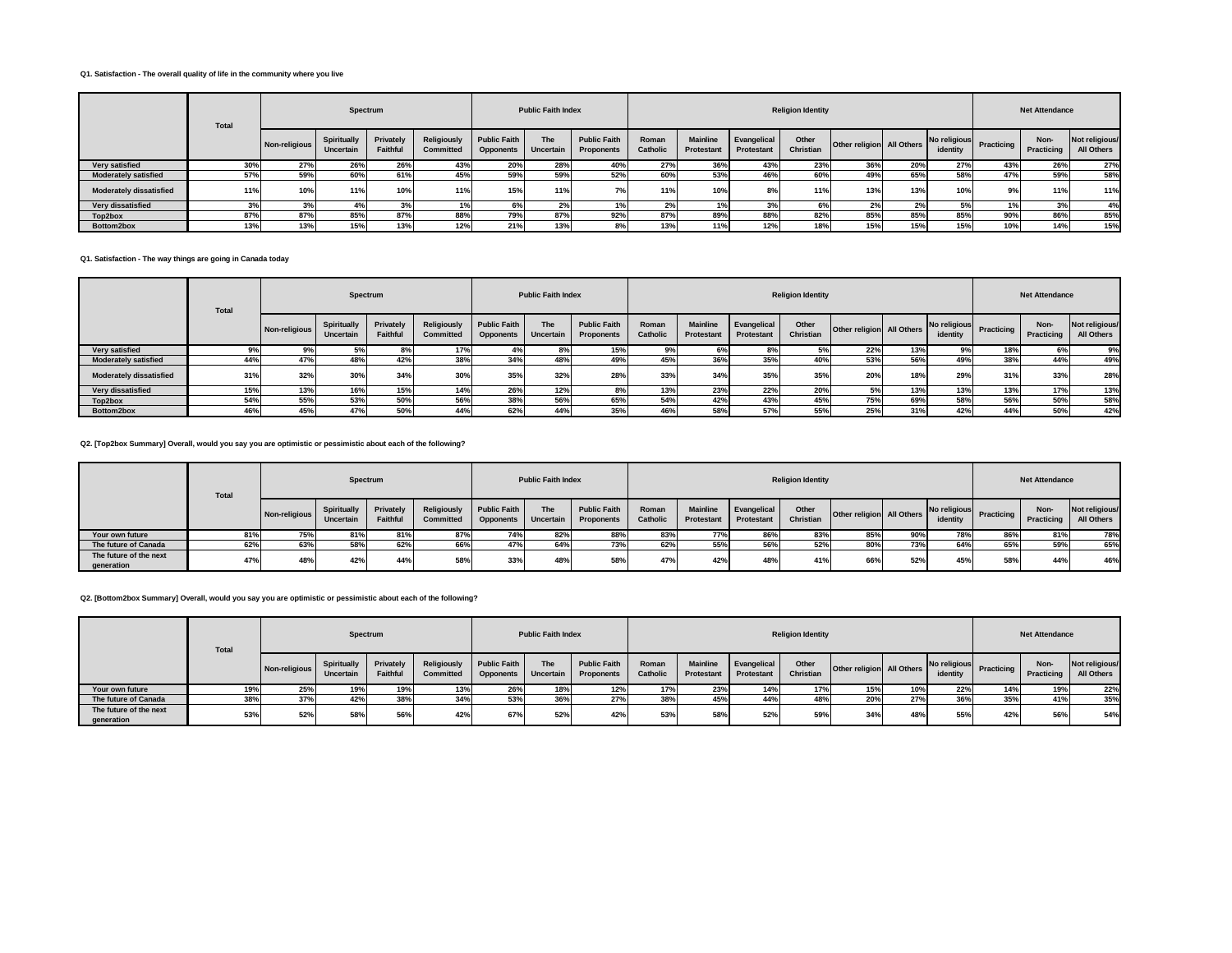#### **Q1. Satisfaction - The overall quality of life in the community where you live**

|                                | <b>Total</b> |               | Spectrum                 |                       |                                        |                                         | <b>Public Faith Index</b> |                                   |                   |                               |                                  | <b>Religion Identity</b> |                           |     |                                     |     | <b>Net Attendance</b> |                              |
|--------------------------------|--------------|---------------|--------------------------|-----------------------|----------------------------------------|-----------------------------------------|---------------------------|-----------------------------------|-------------------|-------------------------------|----------------------------------|--------------------------|---------------------------|-----|-------------------------------------|-----|-----------------------|------------------------------|
|                                |              | Non-religious | Spiritually<br>Uncertain | Privately<br>Faithful | <b>Religiously</b><br><b>Committed</b> | <b>Public Faith</b><br><b>Opponents</b> | <b>The</b><br>Uncertain   | <b>Public Faith</b><br>Proponents | Roman<br>Catholic | <b>Mainline</b><br>Protestant | Evangelical<br><b>Protestant</b> | Other<br>Christian       | Other religion All Others |     | No religious Practicing<br>identity |     | Non-<br>Practicing    | Not religious/<br>All Others |
| Very satisfied                 | 30%          | 27%           | 26%                      | 26%                   | 43%                                    | <b>20%</b>                              | 28%                       | 40%                               | 27%               | 36%                           | 43%                              | 23%                      | 36%                       | 20% | <b>27%</b>                          | 43% | 26%                   | 27%                          |
| <b>Moderately satisfied</b>    | 57%          | 59%           | 60%                      | 61%                   | 45%                                    | 59%                                     | 59%                       | 52%                               | 60%               | 53%                           | 46%                              | 60%                      | 49%                       | 65% | 58%                                 | 47% | 59%                   | 58%                          |
| <b>Moderately dissatisfied</b> | 11%          | 10%           | 11%                      | 10%                   | 11%                                    | 15%                                     | 11%                       |                                   | 11%               | 10%                           | 8%                               | 11%                      | 13%                       | 13% | 10%                                 | 9%  | 11%                   | 11%                          |
| Very dissatisfied              | 3%           | -370          | 4%                       | 3%                    | 1%                                     |                                         | 2%                        |                                   | 2 <sup>o</sup>    | 1%                            | 3%                               | 6%                       | 2%                        | 2%  | 5%                                  | 170 | 3%                    | 4%                           |
| Top2box                        | 87%          | 87%           | 85%                      | 87%                   | 88%                                    | 79%                                     | 87%                       | 92%                               | 87%               | 89%                           | 88%                              | 82%                      | 85%                       | 85% | 85%                                 | 90% | 86%                   | 85%                          |
| Bottom2box                     | 13%          | 13%           | 15%                      | 13%                   | 12%                                    | 21%                                     | 13%                       | 8%                                | 13%               | 11%                           | 12%                              | 18%                      | 15%                       | 15% | 15%                                 | 10% | 14%                   | 15%                          |

# **Q1. Satisfaction - The way things are going in Canada today**

|                                | <b>Total</b> |               | Spectrum                 |                              |                          |                                         | <b>Public Faith Index</b> |                                          |                   |                               |                                  | <b>Religion Identity</b> |                           |     |                          |            | <b>Net Attendance</b> |                              |
|--------------------------------|--------------|---------------|--------------------------|------------------------------|--------------------------|-----------------------------------------|---------------------------|------------------------------------------|-------------------|-------------------------------|----------------------------------|--------------------------|---------------------------|-----|--------------------------|------------|-----------------------|------------------------------|
|                                |              | Non-religious | Spiritually<br>Uncertain | Privately<br><b>Faithful</b> | Religiously<br>Committed | <b>Public Faith</b><br><b>Opponents</b> | The<br>Uncertain          | <b>Public Faith</b><br><b>Proponents</b> | Roman<br>Catholic | <b>Mainline</b><br>Protestant | Evangelical<br><b>Protestant</b> | Other<br>Christian       | Other religion All Others |     | No religious<br>identity | Practicing | Non-<br>Practicing    | Not religious/<br>All Others |
| Very satisfied                 |              | 9%            | 5%                       | 8%                           | 17%                      |                                         |                           | 15%                                      | 9%                | 6%                            | 8%                               | 5%                       | 22%                       | 13% |                          | 18%        | 6%                    | 9%                           |
| <b>Moderately satisfied</b>    | 44%          | 47%           | 48%                      | 42%                          | 38%                      | 34%                                     |                           | 49°                                      | 45%               | 36%                           | 35%                              | 40%                      | 53%                       | 56% | 49%                      | 38%        | 44%                   | 49%                          |
| <b>Moderately dissatisfied</b> | 31%          | 32%           | 30%                      | 34%                          | 30%                      | 35%                                     | 32%                       | 28°                                      | 33%               | 34%                           | 35%                              | 35%                      | 20%                       | 18% | <b>29%</b>               | 31%        | 33%                   | 28%                          |
| Very dissatisfied              | 15%          | 13%           | 16%                      | 15%                          | 14%                      | 26%                                     | 12%                       | $\sigma$                                 | 13%               | 23%                           | 22%                              | 20%                      | 5%                        | 13% | 13%                      | 13%        | 17%                   | 13%                          |
| Top2box                        | 54%          | 55%           | 53%                      | 50%                          | 56%                      | 38%                                     | 56%                       | 65%                                      | 54%               | 42%                           | 43%                              | 45%                      | 75%                       | 69% | 58%                      | 56%        | 50%                   | 58%                          |
| Bottom2box                     | 46%          | 45%           | 47%                      | 50%                          | 44%                      | 62%                                     |                           | 35%                                      | 46%               | 58%                           | 57%                              | 55%                      | 25%                       | 31% | 42%                      | 44%        | 50%                   | 42%                          |

#### **Q2. [Top2box Summary] Overall, would you say you are optimistic or pessimistic about each of the following?**

|                                      | Total |               | Spectrum                 |                       |                                 |                                         | <b>Public Faith Index</b> |                                   |                   |                               |                           | <b>Religion Identity</b> |                           |     |          |                         | <b>Net Attendance</b> |                              |
|--------------------------------------|-------|---------------|--------------------------|-----------------------|---------------------------------|-----------------------------------------|---------------------------|-----------------------------------|-------------------|-------------------------------|---------------------------|--------------------------|---------------------------|-----|----------|-------------------------|-----------------------|------------------------------|
|                                      |       | Non-religious | Spiritually<br>Uncertain | Privately<br>Faithful | Religiously<br><b>Committed</b> | <b>Public Faith</b><br><b>Opponents</b> | The<br><b>Uncertain</b>   | <b>Public Faith</b><br>Proponents | Roman<br>Catholic | <b>Mainline</b><br>Protestant | Evangelical<br>Protestant | Other<br>Christian       | Other religion All Others |     | identity | No religious Practicing | Non-<br>Practicing    | Not religious/<br>All Others |
| Your own future                      | 81%   | 75%           | 81%                      | 81%                   | 87%                             | 74%                                     | 82%                       | 88%                               | 83%               | 77%                           | 86%                       | 83%                      | 85%                       | 90% | 78%      | 86%                     | 81%                   | 78%                          |
| The future of Canada                 | 62%   | 63%           | 58%                      | 62%                   | 66%                             | 47%                                     |                           | 73%                               | 62%               | 55%                           | 56%                       | 52%                      | 80%                       | 73% | 64%      | 65%                     | 59%                   | 65%                          |
| The future of the next<br>generation | 47%   | 48%           | 42%                      | 44%                   | 58%                             | 33%                                     |                           | 58%                               | 47%               | 42%                           | 48%                       | 41%                      | 66%                       | 52% | 45%      | 58%                     | 44%                   | 46%                          |

# **Q2. [Bottom2box Summary] Overall, would you say you are optimistic or pessimistic about each of the following?**

|                                      | <b>Total</b> |               | Spectrum                        |                              |                          |                                  | <b>Public Faith Index</b> |                                   |                          |                               |                           | <b>Religion Identity</b> |                           |     |                          |            | <b>Net Attendance</b> |                              |
|--------------------------------------|--------------|---------------|---------------------------------|------------------------------|--------------------------|----------------------------------|---------------------------|-----------------------------------|--------------------------|-------------------------------|---------------------------|--------------------------|---------------------------|-----|--------------------------|------------|-----------------------|------------------------------|
|                                      |              | Non-religious | <b>Spiritually</b><br>Uncertain | Privately<br><b>Faithful</b> | Religiously<br>Committed | <b>Public Faith</b><br>Opponents | The<br>Uncertain          | <b>Public Faith</b><br>Proponents | Roman<br><b>Catholic</b> | <b>Mainline</b><br>Protestant | Evangelical<br>Protestant | Other<br>Christian       | Other religion All Others |     | No religious<br>identity | Practicing | Non-<br>Practicing    | Not religious/<br>All Others |
| Your own future                      | 19%          | 25%           | 19%                             | 19%                          | 13%                      | 26%                              | 18%                       | 12%                               | 17%                      | 23%                           | 14%                       | 17%                      | 15%                       | 10% | 22%                      | 14%        | 19%                   | 22%                          |
| The future of Canada                 | 38%          | 37%           | 42%                             | 38%                          | 34%                      | 53%                              | 36%                       | 27%                               | 38%                      | 45%                           | 44%                       | 48%                      | 20%                       | 27% | 36%                      | 35%        | 41%                   | 35%                          |
| The future of the next<br>generation | 53%          | 52%           | 58%                             | 56%                          | 42%                      | 67%                              | 52%                       | 42%                               | 53%                      | 58%                           | 52%                       | 59%                      | 34%                       | 48% | 55%                      | 42%        | 56%                   | 54%                          |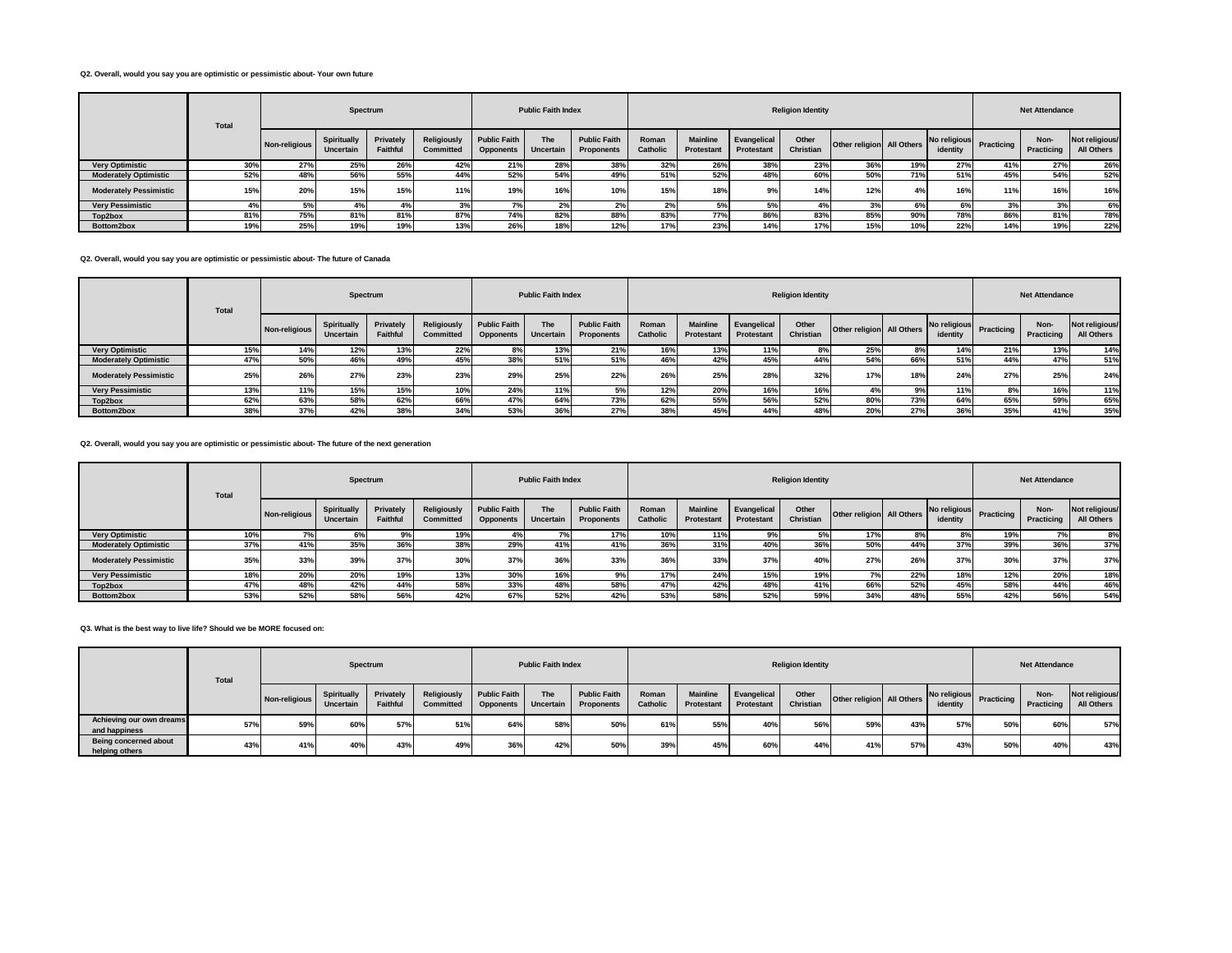#### **Q2. Overall, would you say you are optimistic or pessimistic about- Your own future**

|                               | <b>Total</b> |               |                                 | Spectrum              |                                 |                                         | <b>Public Faith Index</b> |                                          |                          |                               |                                  | <b>Religion Identity</b> |                           |     |                          |                   | <b>Net Attendance</b> |                              |
|-------------------------------|--------------|---------------|---------------------------------|-----------------------|---------------------------------|-----------------------------------------|---------------------------|------------------------------------------|--------------------------|-------------------------------|----------------------------------|--------------------------|---------------------------|-----|--------------------------|-------------------|-----------------------|------------------------------|
|                               |              | Non-religious | <b>Spiritually</b><br>Uncertain | Privately<br>Faithful | <b>Religiously</b><br>Committed | <b>Public Faith</b><br><b>Opponents</b> | <b>The</b><br>Uncertain   | <b>Public Faith</b><br><b>Proponents</b> | Roman<br><b>Catholic</b> | <b>Mainline</b><br>Protestant | Evangelical<br><b>Protestant</b> | Other<br>Christian       | Other religion All Others |     | No religious<br>identity | <b>Practicing</b> | Non-<br>Practicing    | Not religious/<br>All Others |
| <b>Very Optimistic</b>        | 30%          | 27%           | 25%                             | 26%                   | 42%                             | 21%                                     | 28%                       | 38%                                      | 32%                      | 26%                           | 38%                              | 23%                      | 36%                       | 19% | 27%                      | 41%               | 27%                   | 26%                          |
| <b>Moderately Optimistic</b>  | 52%          | 48%           | 56%                             | 55%                   | 44%                             | 52%                                     | 54%                       | 49%                                      | 51%                      | 52%                           | 48%                              | 60%                      | 50%                       | 71% | 51%                      | 45%               | 54%                   | 52%                          |
| <b>Moderately Pessimistic</b> | 15%          | 20%           | 15%                             | 15%                   | 11%                             | 19%                                     | 16%                       | 10%                                      | 15%                      | 18%                           | 9%                               | 14%                      | 12%                       | 4%  | 16%                      | 11%               | 16%                   | 16%                          |
| <b>Very Pessimistic</b>       |              | 5%            | 4%                              | 4%                    | 3%                              |                                         | 27                        | 2%                                       | $\sim$                   | 5%                            | 5%                               | 4%                       | 3%                        | 6%  |                          | 3%                | 3%                    | 6%                           |
| Top2box                       | 81%          | 75%           | 81%                             | 81%                   | 87%                             | 74%                                     | 82%                       | 88%                                      | 83%                      | 77%                           | 86%                              | 83%                      | 85%                       | 90% | 78%                      | 86%               | 81%                   | 78%                          |
| Bottom2box                    | 19%          | 25%           | 19%                             | 19%                   | 13%                             | 26%                                     | 18%                       | 12%                                      | 17%                      | 23%                           | 14%                              | 17%                      | 15%                       | 10% | 22%                      | 14%               | 19%                   | 22%                          |

#### **Q2. Overall, would you say you are optimistic or pessimistic about- The future of Canada**

|                               | <b>Total</b> |               | Spectrum                        |                              |                          |                                         | <b>Public Faith Index</b> |                                   |                   |                               |                           | <b>Religion Identity</b> |                           |     |                          |            | <b>Net Attendance</b> |                              |
|-------------------------------|--------------|---------------|---------------------------------|------------------------------|--------------------------|-----------------------------------------|---------------------------|-----------------------------------|-------------------|-------------------------------|---------------------------|--------------------------|---------------------------|-----|--------------------------|------------|-----------------------|------------------------------|
|                               |              | Non-religious | Spiritually<br><b>Uncertain</b> | Privately<br><b>Faithful</b> | Religiously<br>Committed | <b>Public Faith</b><br><b>Opponents</b> | The<br>Uncertain          | <b>Public Faith</b><br>Proponents | Roman<br>Catholic | <b>Mainline</b><br>Protestant | Evangelical<br>Protestant | Other<br>Christian       | Other religion All Others |     | No religious<br>identity | Practicing | Non-<br>Practicing    | Not religious/<br>All Others |
| <b>Very Optimistic</b>        | 15%          | 14%           | 12%                             | 13%                          | 22%                      | 8%                                      | 13%                       | 21%                               | 16%               | 13%                           | 11%                       | 8%                       | 25%                       | 8%  | 14%                      | 21%        | 13%                   | 14%                          |
| <b>Moderately Optimistic</b>  | 47%          | 50%           | 46%                             | 49%                          | 45%                      | 38%                                     | 51%                       | 51%                               | 46%               | 42%                           | 45%                       | 44%                      | 54%                       | 66% | 51%                      | 44%        | 47%                   | 51%                          |
| <b>Moderately Pessimistic</b> | 25%          | 26%           | 27%                             | 23%                          | 23%                      | 29%                                     | 25%                       | 22%                               | 26%               | 25%                           | 28%                       | 32%                      | 17%                       | 18% | 24%                      | 27%        | 25%                   | 24%                          |
| <b>Very Pessimistic</b>       | 13%          | 11%           | 15%                             | 15%                          | 10%                      | 24%                                     | 11%                       |                                   | 12%               | 20%                           | 16%                       | 16%                      |                           | 9%  | 11%                      | 87         | 16%                   | 11%                          |
| Top2box                       | 62%          | 63%           | 58%                             | 62%                          | 66%                      | 47%                                     | 64%                       | 73%                               | 62%               | 55%                           | 56%                       | 52%                      | 80%                       | 73% | 64%                      | 65%        | 59%                   | 65%                          |
| Bottom2box                    | 38%          | 37%           | 42%                             | 38%                          | 34%                      | 53%                                     |                           | 27 <sup>o</sup>                   | 38%               | 45%                           | 44%                       | 48%                      | 20%                       | 27% | 36%                      | 35%        | 41%                   | 35%                          |

#### **Q2. Overall, would you say you are optimistic or pessimistic about- The future of the next generation**

|                               | <b>Total</b> |               | Spectrum                 |                              |                                 |                                         | <b>Public Faith Index</b> |                                          |                   |                               |                                  | <b>Religion Identity</b> |                           |     |                          |                 | <b>Net Attendance</b> |                              |
|-------------------------------|--------------|---------------|--------------------------|------------------------------|---------------------------------|-----------------------------------------|---------------------------|------------------------------------------|-------------------|-------------------------------|----------------------------------|--------------------------|---------------------------|-----|--------------------------|-----------------|-----------------------|------------------------------|
|                               |              | Non-religious | Spiritually<br>Uncertain | Privately<br><b>Faithful</b> | Religiously<br><b>Committed</b> | <b>Public Faith</b><br><b>Opponents</b> | <b>The</b><br>Uncertain   | <b>Public Faith</b><br><b>Proponents</b> | Roman<br>Catholic | <b>Mainline</b><br>Protestant | Evangelical<br><b>Protestant</b> | Other<br>Christian       | Other religion All Others |     | No religious<br>identity | Practicing      | Non-<br>Practicing    | Not religious/<br>All Others |
| <b>Very Optimistic</b>        | 10%          |               |                          | 9%                           | 19%                             |                                         |                           | 17%                                      | 10%               | 11%                           | 9%                               |                          | 17%                       | 8%  |                          | 19%             |                       |                              |
| <b>Moderately Optimistic</b>  | 37%          | 41%           | 35%                      | 36%                          | 38%                             | 29%                                     |                           |                                          | 36%               | 31%                           | 40%                              | 36%                      | 50%                       | 44% | 37%                      | 39%             | 36%                   | 37%                          |
| <b>Moderately Pessimistic</b> | 35%          | 33%           | 39%                      | 37%                          | 30%                             | 37%                                     | 36 <sup>°</sup>           | 33%                                      | 36%               | 33%                           | 37%                              | 40%                      | 27%                       | 26% | 37%                      | 30 <sup>o</sup> | 37%                   | 37%                          |
| <b>Very Pessimistic</b>       | 18%          | 20%           | 20%                      | 19%                          | 13%                             | 30%                                     | 16%                       |                                          | 17%               | 24%                           | 15%                              | 19%                      |                           | 22% | 18%                      | 12%             | 20%                   | 18%                          |
| Top2box                       | 47%          | 48%           | 42%                      | 44%                          | 58%                             | 33%                                     | 48%                       |                                          | 47%               | 42%                           | 48%                              | 41%                      | 66%                       | 52% | 45%                      | 58%             | 44%                   | 46%                          |
| Bottom2box                    | 53%          | 52%           | 58%                      | 56%                          | 42%                             | 67%                                     | 52%                       |                                          | 53%               | 58%                           | 52%                              | 59%                      | 34%                       | 48% | 55%                      | 42%             | 56%                   | 54%                          |

#### **Q3. What is the best way to live life? Should we be MORE focused on:**

|                                           | Total |               | Spectrum                        |                       |                          |                                         | <b>Public Faith Index</b> |                                   |                   |                               |                           | <b>Religion Identity</b> |                           |     |          |                         | <b>Net Attendance</b> |                              |
|-------------------------------------------|-------|---------------|---------------------------------|-----------------------|--------------------------|-----------------------------------------|---------------------------|-----------------------------------|-------------------|-------------------------------|---------------------------|--------------------------|---------------------------|-----|----------|-------------------------|-----------------------|------------------------------|
|                                           |       | Non-religious | Spiritually<br><b>Uncertain</b> | Privately<br>Faithful | Religiously<br>Committed | <b>Public Faith</b><br><b>Opponents</b> | <b>The</b><br>Uncertain   | <b>Public Faith</b><br>Proponents | Roman<br>Catholic | <b>Mainline</b><br>Protestant | Evangelical<br>Protestant | Other<br>Christian       | Other religion All Others |     | identity | No religious Practicing | Non-<br>Practicing    | Not religious/<br>All Others |
| Achieving our own dreams<br>and happiness | 57%   | 59%           | 60%                             | 57%                   | 51%                      | 64%                                     | 58%                       | 50%                               | 61%               | 55%                           | 40%                       | 56%                      | 59%                       | 43% | 57%      | 50%                     | 60%                   | 57%                          |
| Being concerned about<br>helping others   | 43%   | 41%           | 40%                             | 43%                   | 49%                      | 36%                                     | 42%                       | 50%                               | 39%               | 45%                           | 60 <sup>%</sup>           | 44%                      | 41%                       | 57% | 43%      | 50 <sup>°</sup>         | 40%                   | 43%                          |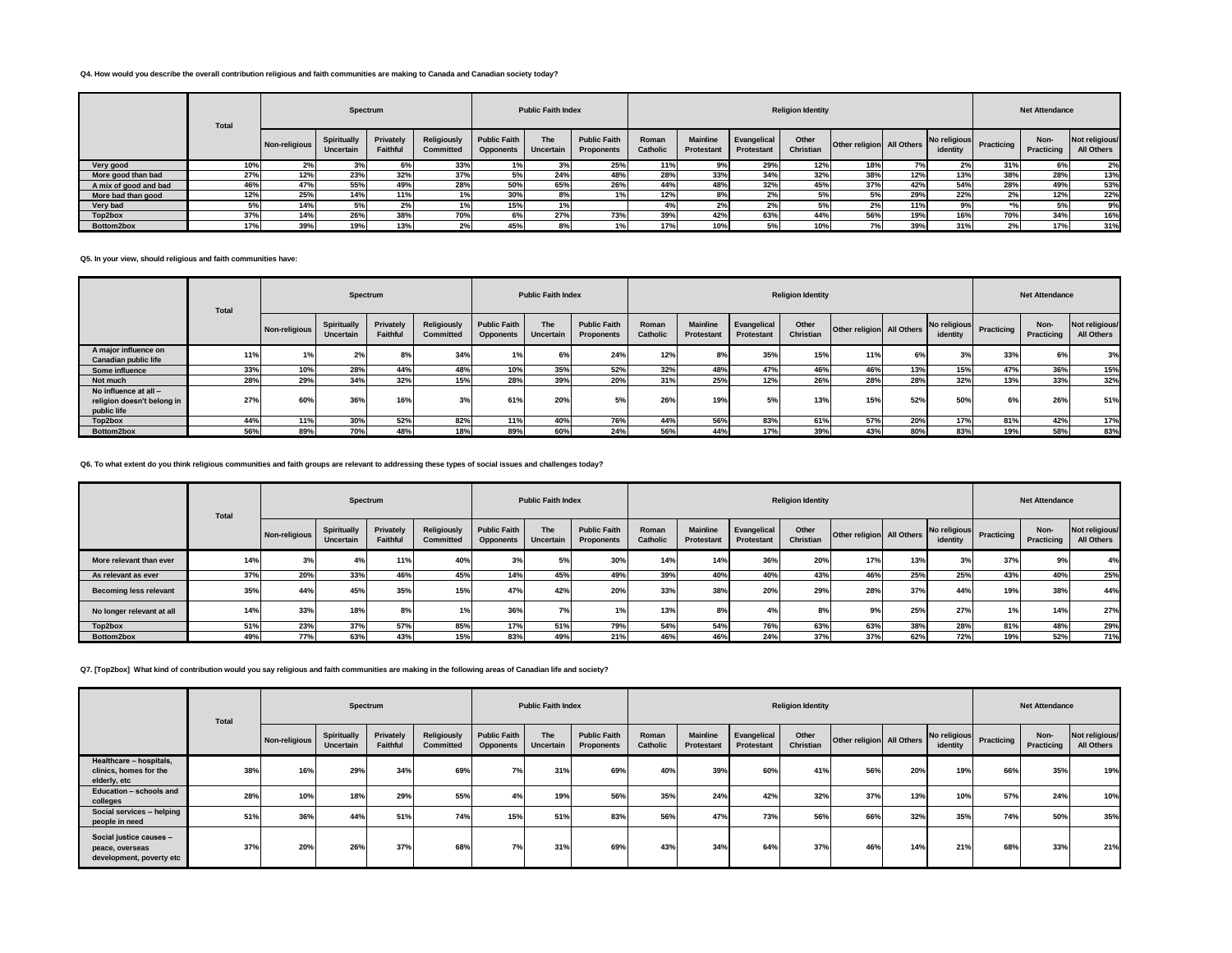### **Q4. How would you describe the overall contribution religious and faith communities are making to Canada and Canadian society today?**

|                       | <b>Total</b> |               |                                 | Spectrum              |                                        |                                         | <b>Public Faith Index</b> |                                          |                          |                               |                           | <b>Religion Identity</b> |                           |     |                          |            | <b>Net Attendance</b> |                              |
|-----------------------|--------------|---------------|---------------------------------|-----------------------|----------------------------------------|-----------------------------------------|---------------------------|------------------------------------------|--------------------------|-------------------------------|---------------------------|--------------------------|---------------------------|-----|--------------------------|------------|-----------------------|------------------------------|
|                       |              | Non-religious | <b>Spiritually</b><br>Uncertain | Privately<br>Faithful | <b>Religiously</b><br><b>Committed</b> | <b>Public Faith</b><br><b>Opponents</b> | <b>The</b><br>Uncertain   | <b>Public Faith</b><br><b>Proponents</b> | Roman<br><b>Catholic</b> | <b>Mainline</b><br>Protestant | Evangelical<br>Protestant | Other<br>Christian       | Other religion All Others |     | No religious<br>identity | Practicing | Non-<br>Practicing    | Not religious/<br>All Others |
| Very good             | 10%          | $2\%$         | 3%                              | 6%                    | 33%                                    |                                         | 20/                       | 25%                                      | 11%                      | 9%                            | 29%                       | 12%                      | 18%                       | 7%  | 2%                       | 31%        | 6%                    | 2%                           |
| More good than bad    | 27%          | 12%           | 23%                             | 32%                   | 37%                                    | 5%                                      | 24%                       | 48%                                      | 28%                      | 33%                           | 34%                       | 32%                      | 38%                       | 12% | 13%                      | 38%        | 28%                   | 13%                          |
| A mix of good and bad | 46%          | 47%           | 55%                             | 49%                   | 28%                                    | 50%                                     | 65%                       | 26%                                      | 44%                      | 48%                           | 32%                       | 45%                      | 37%                       | 42% | 54%                      | 28%        | 49%                   | 53%                          |
| More bad than good    | 12%          | 25%           | 14%                             | 11%                   |                                        | 30%                                     | 8%                        |                                          | 12%                      | 8%                            | 2%                        |                          | 5%                        | 29% | 22%                      | 2%         | 12%                   | 22%                          |
| Very bad              |              | 14%           | 5%                              | 2%                    |                                        | 15%                                     | 1%                        |                                          |                          | 2%                            | 2%                        | 5%                       | 2%                        | 11% |                          |            | 5%                    | 9%                           |
| Top2box               | 37%          | 14%           | 26%                             | 38%                   | 70%                                    | 6%                                      | 27%                       | 73%                                      | 39%                      | 42%                           | 63%                       | 44%                      | 56%                       | 19% | 16%                      | 70%        | 34%                   | 16%                          |
| Bottom2box            | 17%          | 39%           | 19%                             | 13%                   | 2%                                     | 45%                                     | 8%                        |                                          | 17%                      | 10%                           | 5%                        | 10%                      |                           | 39% | 31%                      | 2%         | 17%                   | 31%                          |

**Q5. In your view, should religious and faith communities have:**

|                                                                    | <b>Total</b> |               | Spectrum                 |                       |                                 |                                         | <b>Public Faith Index</b> |                                   |                   |                               |                                  | <b>Religion Identity</b> |                           |     |          |                         | <b>Net Attendance</b> |                              |
|--------------------------------------------------------------------|--------------|---------------|--------------------------|-----------------------|---------------------------------|-----------------------------------------|---------------------------|-----------------------------------|-------------------|-------------------------------|----------------------------------|--------------------------|---------------------------|-----|----------|-------------------------|-----------------------|------------------------------|
|                                                                    |              | Non-religious | Spiritually<br>Uncertain | Privately<br>Faithful | Religiously<br><b>Committed</b> | <b>Public Faith</b><br><b>Opponents</b> | <b>The</b><br>Uncertain   | <b>Public Faith</b><br>Proponents | Roman<br>Catholic | <b>Mainline</b><br>Protestant | Evangelical<br><b>Protestant</b> | Other<br>Christian       | Other religion All Others |     | identity | No religious Practicing | Non-<br>Practicing    | Not religious/<br>All Others |
| A major influence on<br><b>Canadian public life</b>                | 11%          |               | 2%                       | 8%                    | 34%                             | 1%                                      |                           | 24%                               | 12%               | 8%                            | 35%                              | 15%                      | 11%                       | 6%  | 3%       | 33%                     | 6%                    | 3%                           |
| Some influence                                                     | 33%          | 10%           | 28%                      | 44%                   | 48%                             | 10%                                     | 35%                       | 52%                               | 32%               | 48%                           | 47%                              | 46%                      | 46%                       | 13% | 15%      | 47%                     | 36%                   | 15%                          |
| Not much                                                           | 28%          | 29%           | 34%                      | 32%                   | 15%                             | 28%                                     | 39%                       | 20%                               | 31%               | 25%                           | 12%                              | 26%                      | 28%                       | 28% | 32%      | 13%                     | 33%                   | 32%                          |
| No influence at all -<br>religion doesn't belong in<br>public life | 27%          | 60%           | 36%                      | 16%                   | 3%                              | 61%                                     | <b>20%</b>                | 5%                                | 26%               | 19%                           | 5%                               | 13%                      | 15%                       | 52% | 50%      | 6%                      | 26%                   | 51%                          |
| Top2box                                                            | 44%          | 11%           | 30%                      | 52%                   | 82%                             | 11%                                     | 40%                       | 76%                               | 44%               | 56%                           | 83%                              | 61%                      | 57%                       | 20% | 17%      | 81%                     | 42%                   | 17%                          |
| Bottom2box                                                         | 56%          | 89%           | 70%                      | 48%                   | 18%                             | 89%                                     | 60%                       | 24%                               | 56%               | 44%                           | 17%                              | 39%                      | 43%                       | 80% | 83%      | 19%                     | 58%                   | 83%                          |

#### **Q6. To what extent do you think religious communities and faith groups are relevant to addressing these types of social issues and challenges today?**

|                               | <b>Total</b> |               | Spectrum                 |                       |                                 |                                         | <b>Public Faith Index</b> |                                   |                          |                               |                                  | <b>Religion Identity</b> |                           |     |                          |                   | <b>Net Attendance</b> |                              |
|-------------------------------|--------------|---------------|--------------------------|-----------------------|---------------------------------|-----------------------------------------|---------------------------|-----------------------------------|--------------------------|-------------------------------|----------------------------------|--------------------------|---------------------------|-----|--------------------------|-------------------|-----------------------|------------------------------|
|                               |              | Non-religious | Spiritually<br>Uncertain | Privately<br>Faithful | Religiously<br><b>Committed</b> | <b>Public Faith</b><br><b>Opponents</b> | The<br>Uncertain          | <b>Public Faith</b><br>Proponents | Roman<br><b>Catholic</b> | <b>Mainline</b><br>Protestant | Evangelical<br><b>Protestant</b> | Other<br>Christian       | Other religion All Others |     | No religious<br>identity | <b>Practicing</b> | Non-<br>Practicing    | Not religious/<br>All Others |
| More relevant than ever       | 14%          | 3%            | 4%                       | 11%                   | 40%                             | 3%                                      | 5%                        | 30%                               | 14%                      | 14%                           | 36%                              | 20%                      | 17%                       | 13% | 3%                       | 37%               | 9%                    | 4%                           |
| As relevant as ever           | 37%          | 20%           | 33%                      | 46%                   | 45%                             | 14%                                     | 45%                       | 49%                               | 39%                      | 40%                           | 40%                              | 43%                      | 46%                       | 25% | 25%                      | 43%               | 40%                   | 25%                          |
| <b>Becoming less relevant</b> | 35%          | 44%           | 45%                      | 35%                   | 15%                             | 47%                                     | 42%                       | 20%                               | 33%                      | 38%                           | 20%                              | 29%                      | 28%                       | 37% | 44%                      | 19%               | 38%                   | 44%                          |
| No longer relevant at all     | 14%          | 33%           | 18%                      | 8%                    |                                 | 36%                                     | 7%                        | 10/                               | 13%                      | 8%                            |                                  | 8%                       | 9%                        | 25% | 27%                      | 1%                | 14%                   | 27%                          |
| Top2box                       | 51%          | 23%           | 37%                      | 57%                   | 85%                             | 17%                                     | 51%                       | 79%                               | 54%                      | 54%                           | 76%                              | 63%                      | 63%                       | 38% | 28%                      | 81%               | 48%                   | 29%                          |
| Bottom2box                    | 49%          | 77%           | 63%                      | 43%                   | 15%                             | 83%                                     | 49%                       | 21%                               | 46%                      | 46%                           | 24%                              | 37%                      | 37%                       | 62% | 72%                      | 19%               | 52%                   | 71%                          |

**Q7. [Top2box] What kind of contribution would you say religious and faith communities are making in the following areas of Canadian life and society?**

|                                                                        | <b>Total</b> |               | Spectrum                 |                       |                                        |                                         | <b>Public Faith Index</b> |                                   |                   |                               |                                  | <b>Religion Identity</b> |                           |     |          |                         | <b>Net Attendance</b> |                              |
|------------------------------------------------------------------------|--------------|---------------|--------------------------|-----------------------|----------------------------------------|-----------------------------------------|---------------------------|-----------------------------------|-------------------|-------------------------------|----------------------------------|--------------------------|---------------------------|-----|----------|-------------------------|-----------------------|------------------------------|
|                                                                        |              | Non-religious | Spiritually<br>Uncertain | Privately<br>Faithful | <b>Religiously</b><br><b>Committed</b> | <b>Public Faith</b><br><b>Opponents</b> | The<br>Uncertain          | <b>Public Faith</b><br>Proponents | Roman<br>Catholic | <b>Mainline</b><br>Protestant | Evangelical<br><b>Protestant</b> | Other<br>Christian       | Other religion All Others |     | identity | No religious Practicing | Non-<br>Practicing    | Not religious/<br>All Others |
| Healthcare - hospitals,<br>clinics, homes for the<br>elderly, etc      | 38%          | 16%           | 29%                      | 34%                   | 69%                                    | 7%                                      | 31%                       | 69%                               | 40%               | 39%                           | 60%                              | 41%                      | 56%                       | 20% | 19%      | 66%                     | 35%                   | 19%                          |
| Education - schools and<br>colleges                                    | 28%          | 10%           | 18%                      | 29%                   | 55%                                    | 4%                                      | 19%                       | 56%                               | 35%               | 24%                           | 42%                              | 32%                      | 37%                       | 13% | 10%      | 57%                     | 24%                   | 10%                          |
| Social services -- helping<br>people in need                           | 51%          | 36%           | 44%                      | 51%                   | 74%                                    | 15%                                     | 51%                       | 83%                               | 56%               | 47%                           | 73%                              | 56%                      | 66%                       | 32% | 35%      | 74%                     | 50%                   | 35%                          |
| Social justice causes -<br>peace, overseas<br>development, poverty etc | 37%          | 20%           | 26%                      | 37%                   | 68%                                    | 7%                                      | 31%                       | 69%                               | 43%               | 34%                           | 64%                              | 37%                      | 46%                       | 14% | 21%      | 68%                     | 33%                   | 21%                          |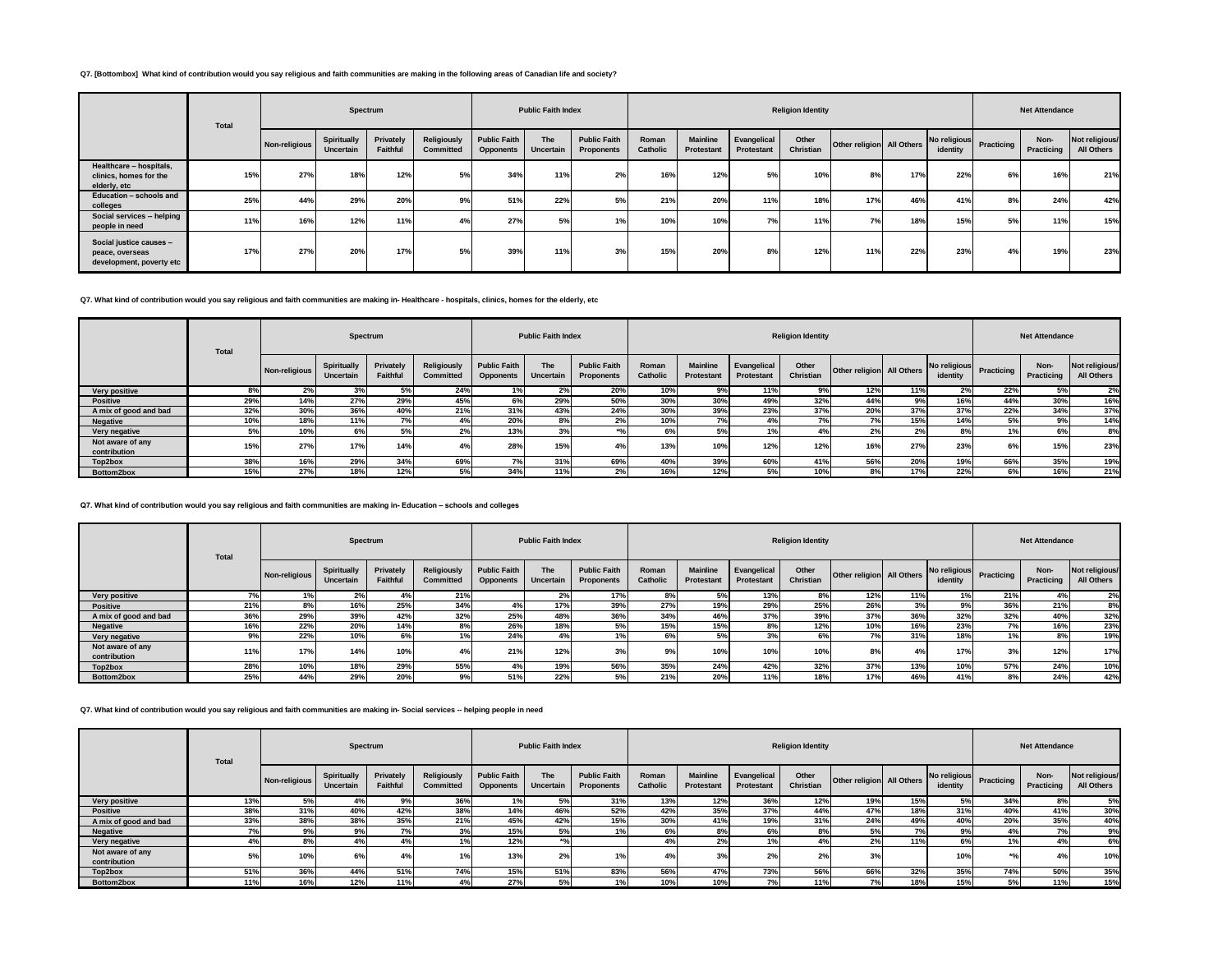### **Q7. [Bottombox] What kind of contribution would you say religious and faith communities are making in the following areas of Canadian life and society?**

|                                                                        | Total |               | Spectrum                 |                       |                                 |                                         | <b>Public Faith Index</b> |                                   |                   |                               |                                  | <b>Religion Identity</b> |                           |     |                          |            | <b>Net Attendance</b> |                              |
|------------------------------------------------------------------------|-------|---------------|--------------------------|-----------------------|---------------------------------|-----------------------------------------|---------------------------|-----------------------------------|-------------------|-------------------------------|----------------------------------|--------------------------|---------------------------|-----|--------------------------|------------|-----------------------|------------------------------|
|                                                                        |       | Non-religious | Spiritually<br>Uncertain | Privately<br>Faithful | Religiously<br><b>Committed</b> | <b>Public Faith</b><br><b>Opponents</b> | The<br>Uncertain          | <b>Public Faith</b><br>Proponents | Roman<br>Catholic | <b>Mainline</b><br>Protestant | Evangelical<br><b>Protestant</b> | Other<br>Christian       | Other religion All Others |     | No religious<br>identity | Practicing | Non-<br>Practicing    | Not religious/<br>All Others |
| Healthcare - hospitals,<br>clinics, homes for the<br>elderly, etc      | 15%   | 27%           | 18%                      | 12%                   | 5%                              | 34%                                     | 11%                       | z.                                | <b>16%</b>        | 12%                           | 5%                               | 10%                      | 8%                        | 17% | 22%                      | 6%         | 16%                   | 21%                          |
| Education - schools and<br>colleges                                    | 25%   | 44%           | 29%                      | 20%                   | 9%                              | 51%                                     | 22%                       | 5%                                | 21%               | 20%                           | 11%                              | 18%                      | 17%                       | 46% | 41%                      | 8%         | 24%                   | 42%                          |
| Social services -- helping<br>people in need                           | 11%   | 16%           | 12%                      | 11%                   | 4%                              | 27%                                     | 5%                        |                                   | 10%               | 10%                           | 7%                               | 11%                      | 7%                        | 18% | 15%                      | 5%         | 11%                   | 15%                          |
| Social justice causes -<br>peace, overseas<br>development, poverty etc | 17%   | 27%           | 20%                      | 17%                   | 5%                              | 39%                                     | 11%                       | 3%                                | 15%               | 20%                           | 8%                               | 12%                      | 11%                       | 22% | 23%                      | 4%         | 19%                   | 23%                          |

# **Q7. What kind of contribution would you say religious and faith communities are making in- Healthcare - hospitals, clinics, homes for the elderly, etc**

|                                  | Total |               |                          | Spectrum              |                                 |                                         | <b>Public Faith Index</b> |                                   |                          |                               |                           | <b>Religion Identity</b> |                           |     |                          |            | <b>Net Attendance</b> |                              |
|----------------------------------|-------|---------------|--------------------------|-----------------------|---------------------------------|-----------------------------------------|---------------------------|-----------------------------------|--------------------------|-------------------------------|---------------------------|--------------------------|---------------------------|-----|--------------------------|------------|-----------------------|------------------------------|
|                                  |       | Non-religious | Spiritually<br>Uncertain | Privately<br>Faithful | Religiously<br><b>Committed</b> | <b>Public Faith</b><br><b>Opponents</b> | The<br>Uncertain          | <b>Public Faith</b><br>Proponents | Roman<br><b>Catholic</b> | <b>Mainline</b><br>Protestant | Evangelical<br>Protestant | Other<br>Christian       | Other religion All Others |     | No religious<br>identity | Practicing | Non-<br>Practicing    | Not religious/<br>All Others |
| Very positive                    |       | 2%            | 3%                       | 5%                    | 24%                             |                                         |                           | 20%                               | 10%                      | 9%                            | 11%                       | 9%                       | 12%                       | 11% |                          | 22%        | 5%                    | 2%                           |
| <b>Positive</b>                  | 29%   | 14%           | 27%                      | 29%                   | 45%                             | 6%                                      | 29%                       | 50%                               | 30%                      | 30%                           | 49%                       | 32%                      | 44%                       | 9%  | 16%                      | 44%        | 30%                   | 16%                          |
| A mix of good and bad            | 32%   | 30%           | 36%                      | 40%                   | 21%                             | 31%                                     | 43%                       | 24%                               | 30%                      | 39%                           | 23%                       | 37%                      | 20%                       | 37% | 37%                      | 22%        | 34%                   | 37%                          |
| <b>Negative</b>                  | 10%   | 18%           | 11%                      | 7%                    | 4%                              | 20%                                     | 8%                        | 2%                                | 10%                      | 7%                            | 4%                        | 7%                       | 7%                        | 15% | 14%                      | 5%         | 9%                    | 14%                          |
| Very negative                    |       | 10%           | 6%                       | 5%                    | 2%                              | 13%                                     | 3%                        | $*$ <sup>o</sup> /                | 6%                       | 5%                            | 1%                        | 4%                       | 2%                        | 2%  | 8%                       | 1%         | 6%                    | 8%                           |
| Not aware of any<br>contribution | 15%   | 27%           | 17%                      | 14%                   |                                 | 28%                                     | 15%                       | 4%                                | 13%                      | 10%                           | 12%                       | 12%                      | 16%                       | 27% | 23%                      | 6%         | 15%                   | 23%                          |
| Top2box                          | 38%   | 16%           | 29%                      | 34%                   | 69%                             |                                         | 31%                       | 69%                               | 40%                      | 39%                           | 60%                       | 41%                      | 56%                       | 20% | 19%                      | 66%        | 35%                   | 19%                          |
| Bottom2box                       | 15%   | 27%           | 18%                      | 12%                   |                                 | 34%                                     | 11%                       | 2%                                | 16%                      | 12%                           | 5%                        | 10%                      | 8%                        | 17% | 22%                      |            | 16%                   | 21%                          |

#### **Q7. What kind of contribution would you say religious and faith communities are making in- Education – schools and colleges**

|                                  | Total |               | Spectrum                 |                       |                          |                                         | <b>Public Faith Index</b> |                                          |                   |                                      |                           | <b>Religion Identity</b> |                           |     |          |                         | <b>Net Attendance</b> |                              |
|----------------------------------|-------|---------------|--------------------------|-----------------------|--------------------------|-----------------------------------------|---------------------------|------------------------------------------|-------------------|--------------------------------------|---------------------------|--------------------------|---------------------------|-----|----------|-------------------------|-----------------------|------------------------------|
|                                  |       | Non-religious | Spiritually<br>Uncertain | Privately<br>Faithful | Religiously<br>Committed | <b>Public Faith</b><br><b>Opponents</b> | <b>The</b><br>Uncertain   | <b>Public Faith</b><br><b>Proponents</b> | Roman<br>Catholic | <b>Mainline</b><br><b>Protestant</b> | Evangelical<br>Protestant | Other<br>Christian       | Other religion All Others |     | identity | No religious Practicing | Non-<br>Practicing    | Not religious/<br>All Others |
| Very positive                    | 7%    | 1%            | 2%                       | 4%                    | 21%                      |                                         | 2%                        | 17%                                      | 8%                | 5%                                   | 13%                       | 8%                       | 12%                       | 11% | 1%       | 21%                     | 4%                    | 2%                           |
| <b>Positive</b>                  | 21%   | 8%            | 16%                      | 25%                   | 34%                      | 4%                                      | 17%                       | 39%                                      | 27%               | 19%                                  | 29%                       | 25%                      | 26%                       | 3%  | 9%       | 36%                     | 21%                   | 8%                           |
| A mix of good and bad            | 36%   | 29%           | 39%                      | 42%                   | 32%                      | 25%                                     | 48%                       | 36%                                      | 34%               | 46%                                  | 37%                       | 39%                      | 37%                       | 36% | 32%      | 32%                     | 40%                   | 32%                          |
| <b>Negative</b>                  | 16%   | 22%           | 20%                      | 14%                   | 8%                       | 26%                                     | 18%                       | 5%                                       | 15%               | 15%                                  | 8%                        | 12%                      | 10%                       | 16% | 23%      | 7%                      | 16%                   | 23%                          |
| Very negative                    | 9%    | 22%           | 10%                      | 6%                    |                          | 24%                                     | 4%                        |                                          | 6%                | 5%                                   | 3%                        | 6%                       | 7%                        | 31% | 18%      | 1%                      | 8%                    | 19%                          |
| Not aware of any<br>contribution | 11%   | 17%           | 14%                      | 10%                   |                          | 21%                                     | 12%                       | $\sim$                                   | 9%                | 10%                                  | 10%                       | 10%                      | 8%                        | 4%  | 17%      | 3%                      | 12%                   | 17%                          |
| Top2box                          | 28%   | 10%           | 18%                      | 29%                   | 55%                      |                                         | 19%                       | 56%                                      | 35%               | 24%                                  | 42%                       | 32%                      | 37%                       | 13% | 10%      | 57%                     | 24%                   | 10%                          |
| Bottom2box                       | 25%   | 44%           | 29%                      | 20%                   | 9%                       | 51%                                     | 22%                       |                                          | 21%               | 20%                                  | 11%                       | 18%                      | 17%                       | 46% | 41%      | 8%                      | 24%                   | 42%                          |

**Q7. What kind of contribution would you say religious and faith communities are making in- Social services -- helping people in need**

|                                  | Total |               | Spectrum                 |                              |                                 |                                         | <b>Public Faith Index</b> |                                   |                          |                               |                                  | <b>Religion Identity</b> |                           |     |                          |                   | <b>Net Attendance</b> |                              |
|----------------------------------|-------|---------------|--------------------------|------------------------------|---------------------------------|-----------------------------------------|---------------------------|-----------------------------------|--------------------------|-------------------------------|----------------------------------|--------------------------|---------------------------|-----|--------------------------|-------------------|-----------------------|------------------------------|
|                                  |       | Non-religious | Spiritually<br>Uncertain | Privately<br><b>Faithful</b> | <b>Religiously</b><br>Committed | <b>Public Faith</b><br><b>Opponents</b> | The<br>Uncertain          | <b>Public Faith</b><br>Proponents | Roman<br><b>Catholic</b> | <b>Mainline</b><br>Protestant | Evangelical<br><b>Protestant</b> | Other<br>Christian       | Other religion All Others |     | No religious<br>identity | <b>Practicing</b> | Non-<br>Practicing    | Not religious/<br>All Others |
| <b>Very positive</b>             | 13%   | 5%            | 4%                       | 9%                           | 36%                             | 1%                                      | 5%                        | 31%                               | 13%                      | 12%                           | 36%                              | 12%                      | 19%                       | 15% | 5%                       | 34%               | 8%                    | 5%                           |
| <b>Positive</b>                  | 38%   | 31%           | 40%                      | 42%                          | 38%                             | 14%                                     | 46%                       | 52%                               | 42%                      | 35%                           | 37%                              | 44%                      | 47%                       | 18% | 31%                      | 40%               | 41%                   | 30%                          |
| A mix of good and bad            | 33%   | 38%           | 38%                      | 35%                          | 21%                             | 45%                                     | 42%                       | 15%                               | 30%                      | 41%                           | 19%                              | 31%                      | 24%                       | 49% | 40%                      | 20%               | 35%                   | 40%                          |
| <b>Negative</b>                  | 70I   | 9%            | 9%                       | 7%                           | 3%                              | 15%                                     | 5%                        | 1%                                | 6%                       | 8%                            | 6%                               | 8%                       | 5%                        | 7%  | 9%                       |                   | 7%                    | 9%                           |
| Very negative                    |       | 8%            | 4%                       | 4%                           |                                 | 12%                                     |                           |                                   |                          | 2%                            |                                  |                          | 2%                        | 11% | 6%                       |                   | 4%                    | 6%                           |
| Not aware of any<br>contribution |       | 10%           | 6%                       | 4%                           |                                 | 13%                                     | 2%                        | 1%                                | 4%                       | 3%                            | 2%                               | 2%                       | 3%                        |     | 10%                      |                   | 4%                    | 10%                          |
| Top2box                          | 51%   | 36%           | 44%                      | 51%                          | 74%                             | 15%                                     | 51%                       | 83%                               | 56%                      | 47%                           | 73%                              | 56%                      | 66%                       | 32% | 35%                      | 74%               | 50%                   | 35%                          |
| Bottom2box                       | 11%   | 16%           | 12%                      | 11%                          |                                 | 27%                                     | 5%                        | 1%                                | 10%                      | 10%                           | 7%                               | 11%                      | 7%                        | 18% | 15%                      | 5%                | 11%                   | 15%                          |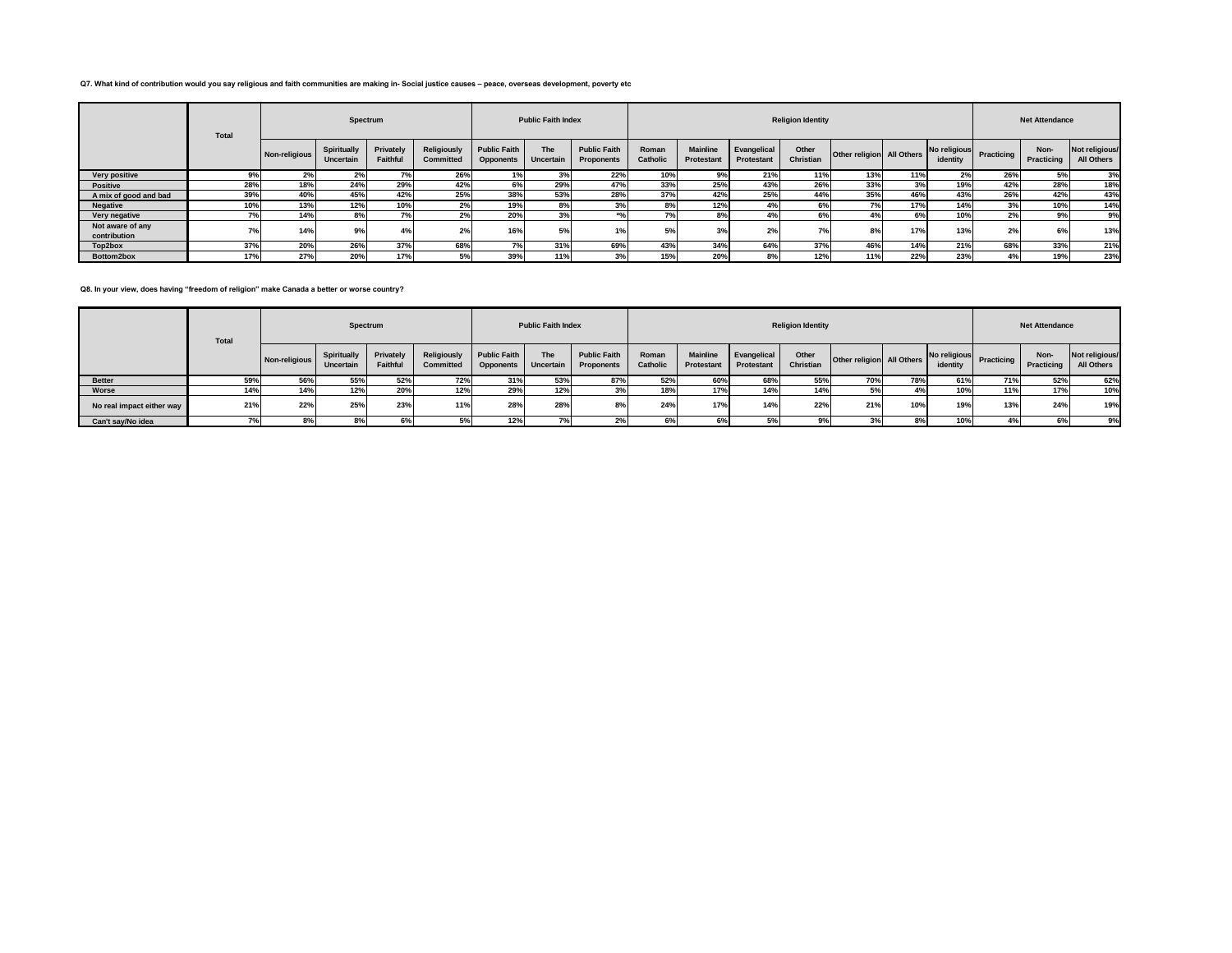#### **Q7. What kind of contribution would you say religious and faith communities are making in- Social justice causes – peace, overseas development, poverty etc**

|                                  | <b>Total</b> |               | Spectrum                 |                       |                          |                                         | <b>Public Faith Index</b> |                                          |                   |                               |                                  | <b>Religion Identity</b> |                           |     |                          |                | <b>Net Attendance</b> |                              |
|----------------------------------|--------------|---------------|--------------------------|-----------------------|--------------------------|-----------------------------------------|---------------------------|------------------------------------------|-------------------|-------------------------------|----------------------------------|--------------------------|---------------------------|-----|--------------------------|----------------|-----------------------|------------------------------|
|                                  |              | Non-religious | Spiritually<br>Uncertain | Privately<br>Faithful | Religiously<br>Committed | <b>Public Faith</b><br><b>Opponents</b> | The<br>Uncertain          | <b>Public Faith</b><br><b>Proponents</b> | Roman<br>Catholic | <b>Mainline</b><br>Protestant | Evangelical<br><b>Protestant</b> | Other<br>Christian       | Other religion All Others |     | No religious<br>identity | Practicing     | Non-<br>Practicing    | Not religious/<br>All Others |
| Very positive                    | 9%           | 2%            | 2%                       | 7%                    | 26%                      | 1%                                      |                           | 22%                                      | 10%               | 9%                            | 21%                              | 11%                      | 13%                       | 11% | 2%                       | 26%            | 5%                    | 3%                           |
| <b>Positive</b>                  | 28%          | 18%           | 24%                      | 29%                   | 42%                      | 6%                                      | 29%                       |                                          | 33%               | 25%                           | 43%                              | 26%                      | 33%                       | 3%  | 19%                      | 42%            | 28%                   | 18%                          |
| A mix of good and bad            | 39%          | 40%           | 45%                      | 42%                   | 25%                      | 38%                                     | 53%                       | 28%                                      | 37%               | 42%                           | 25%                              | 44%                      | 35%                       | 46% | 43%                      | 26%            | 42%                   | 43%                          |
| <b>Negative</b>                  | 10%          | 13%           | 12%                      | 10%                   | 2%                       | 19%                                     |                           |                                          | 8%                | 12%                           | 4%                               | 6%                       | 7%                        | 17% | 14%                      | 3%             | 10%                   | 14%                          |
| Very negative                    |              | 14%           | 8%                       | 7%                    | 2%                       | 20%                                     | 3%                        |                                          | 70/               | 8%                            | 4%                               | 6%                       |                           | 6%  | 10%                      | 2%             | 9%                    | 9%                           |
| Not aware of any<br>contribution | 7%           | 14%           | 9%                       | 4%                    | 2%                       | 16%                                     | EQ                        |                                          | 5%                | 3%                            | 2%                               | 7%                       | 8%                        | 17% | 13%                      | 2 <sup>0</sup> | 6%                    | 13%                          |
| Top2box                          | 37%          | 20%           | 26%                      | 37%                   | 68%                      | 7%                                      | 31%                       | 69%                                      | 43%               | 34%                           | 64%                              | 37%                      | 46%                       | 14% | 21%                      | 68%            | 33%                   | 21%                          |
| Bottom2box                       | 17%          | 27%           | 20%                      | 17%                   | 5%                       | 39%                                     | 11%                       |                                          | 15%               | 20%                           | 8%                               | 12%                      | 11%                       | 22% | 23%                      |                | 19%                   | 23%                          |

**Q8. In your view, does having "freedom of religion" make Canada a better or worse country?**

|                           | <b>Total</b> |               | Spectrum                 |                       |                                 |                                         | <b>Public Faith Index</b> |                                          |                   |                               |                           | <b>Religion Identity</b> |                           |     |                          |            | <b>Net Attendance</b> |                              |
|---------------------------|--------------|---------------|--------------------------|-----------------------|---------------------------------|-----------------------------------------|---------------------------|------------------------------------------|-------------------|-------------------------------|---------------------------|--------------------------|---------------------------|-----|--------------------------|------------|-----------------------|------------------------------|
|                           |              | Non-religious | Spiritually<br>Uncertain | Privately<br>Faithful | Religiously<br><b>Committed</b> | <b>Public Faith</b><br><b>Opponents</b> | The<br>Uncertain          | <b>Public Faith</b><br><b>Proponents</b> | Roman<br>Catholic | <b>Mainline</b><br>Protestant | Evangelical<br>Protestant | Other<br>Christian       | Other religion All Others |     | No religious<br>identity | Practicing | Non-<br>Practicing    | Not religious/<br>All Others |
| <b>Better</b>             | 59%          | 56%           | 55%                      | 52%                   | 72%                             | 31%                                     | 53%                       | 87%                                      | 52%               | 60%                           | 68%                       | 55%                      | 70%                       | 78% | 61%                      | 71%        | 52%                   | 62%                          |
| Worse                     | 14%          | 14%           | 12%                      | 20%                   | 12%                             | 29%                                     | 12%                       |                                          | 18%               | 17%                           | 14%                       | 14%                      |                           |     | 10%                      | 11%        | 17%                   | 10%                          |
| No real impact either way | 21%          | 22%           | 25%                      | 23%                   | 11%                             | 28%                                     | 28%                       |                                          | 24%               | 17%                           | 14%                       | 22%                      | 21%                       | 10% | 19%                      | 13%        | 24%                   | 19%                          |
| Can't say/No idea         | 7%           | 8%            | 8                        | 6%                    | <b>J70</b>                      | 12%                                     | $\gamma$                  | 47                                       | 6%                | 6%                            | 5%                        | 9%                       |                           | 8%  | 10%                      |            | 6%                    | 9%                           |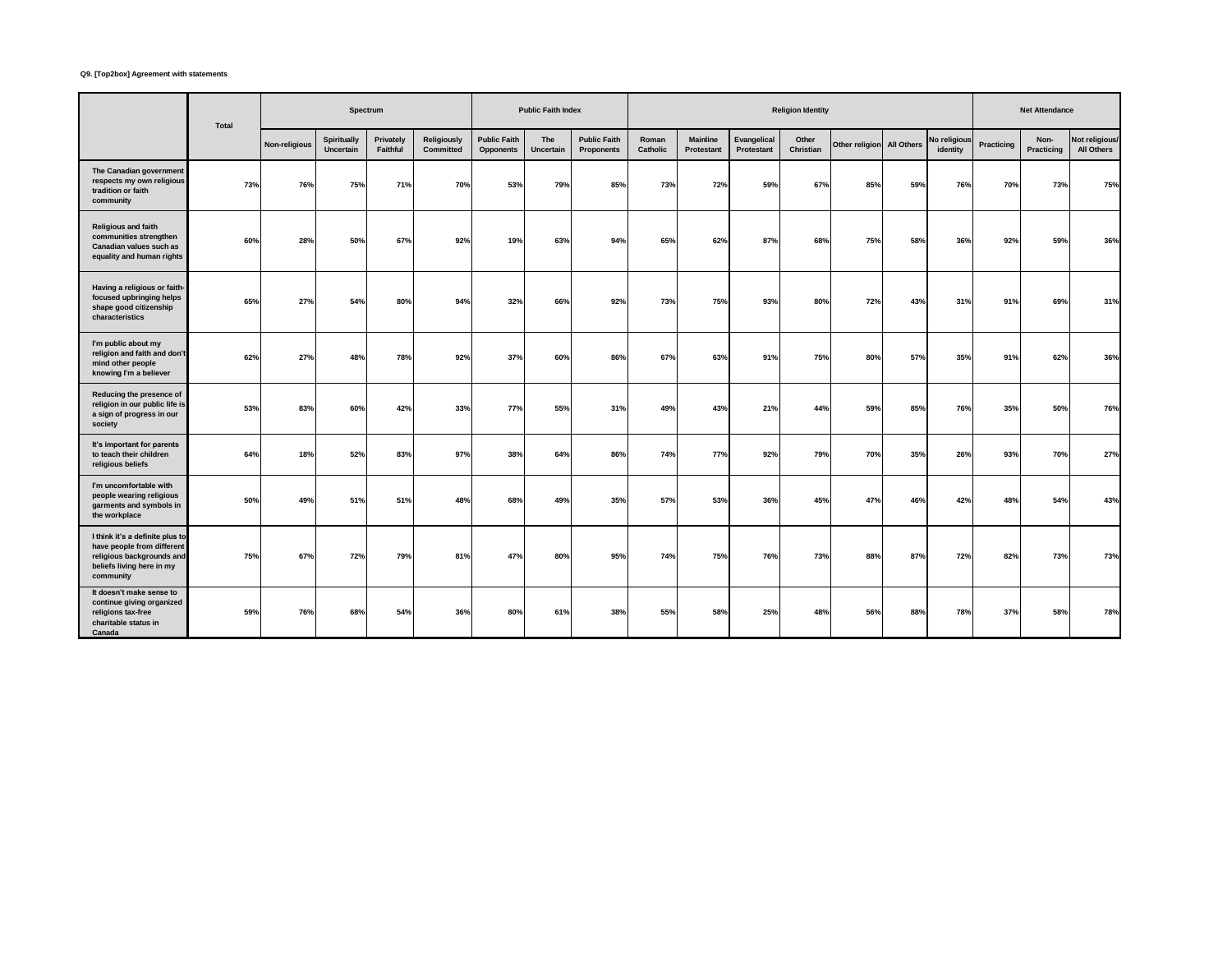# **Q9. [Top2box] Agreement with statements**

|                                                                                                                                      | Total |               | Spectrum                 |                       |                                 |                                         | <b>Public Faith Index</b> |                                   |                   |                               |                           | <b>Religion Identity</b> |                           |     |                          |            | <b>Net Attendance</b> |                              |
|--------------------------------------------------------------------------------------------------------------------------------------|-------|---------------|--------------------------|-----------------------|---------------------------------|-----------------------------------------|---------------------------|-----------------------------------|-------------------|-------------------------------|---------------------------|--------------------------|---------------------------|-----|--------------------------|------------|-----------------------|------------------------------|
|                                                                                                                                      |       | Non-religious | Spiritually<br>Uncertain | Privately<br>Faithful | <b>Religiously</b><br>Committed | <b>Public Faith</b><br><b>Opponents</b> | The<br>Uncertain          | <b>Public Faith</b><br>Proponents | Roman<br>Catholic | <b>Mainline</b><br>Protestant | Evangelical<br>Protestant | Other<br>Christian       | Other religion All Others |     | No religious<br>identity | Practicing | Non-<br>Practicing    | Not religious/<br>All Others |
| The Canadian government<br>respects my own religious<br>tradition or faith<br>community                                              | 73%   | 76%           | 75%                      | 71%                   | 70%                             | 53%                                     | 79%                       | 85%                               | 73%               | 72%                           | 59%                       | 67%                      | 85%                       | 59% | 76%                      | 70%        | 73%                   | 75%                          |
| <b>Religious and faith</b><br>communities strengthen<br>Canadian values such as<br>equality and human rights                         | 60%   | 28%           | 50%                      | 67%                   | 92%                             | 19%                                     | 63%                       | 94%                               | 65%               | 62%                           | 87%                       | 68%                      | 75%                       | 58% | 36%                      | 92%        | 59%                   | 36%                          |
| Having a religious or faith-<br>focused upbringing helps<br>shape good citizenship<br>characteristics                                | 65%   | 27%           | 54%                      | 80%                   | 94%                             | 32%                                     | 66%                       | 92%                               | 73%               | 75%                           | 93%                       | 80%                      | 72%                       | 43% | 31%                      | 91%        | 69%                   | 31%                          |
| I'm public about my<br>religion and faith and don't<br>mind other people<br>knowing I'm a believer                                   | 62%   | 27%           | 48%                      | 78%                   | 92%                             | <b>37%</b>                              | 60%                       | 86%                               | 67%               | 63%                           | 91%                       | 75%                      | 80%                       | 57% | 35%                      | 91%        | 62%                   | 36%                          |
| Reducing the presence of<br>religion in our public life is<br>a sign of progress in our<br>society                                   | 53%   | 83%           | 60%                      | 42%                   | 33%                             | <b>77%</b>                              | 55%                       | 31%                               | 49%               | 43%                           | 21%                       | 44%                      | 59%                       | 85% | 76%                      | 35%        | 50%                   | 76%                          |
| It's important for parents<br>to teach their children<br>religious beliefs                                                           | 64%   | 18%           | 52%                      | 83%                   | 97%                             | 38%                                     | 64%                       | 86%                               | 74%               | 77%                           | 92%                       | 79%                      | 70%                       | 35% | 26%                      | 93%        | 70%                   | 27%                          |
| I'm uncomfortable with<br>people wearing religious<br>garments and symbols in<br>the workplace                                       | 50%   | 49%           | 51%                      | 51%                   | 48%                             | 68%                                     | 49%                       | 35%                               | 57%               | 53%                           | 36%                       | 45%                      | 47%                       | 46% | 42%                      | 48%        | 54%                   | 43%                          |
| I think it's a definite plus to<br>have people from different<br>religious backgrounds and<br>beliefs living here in my<br>community | 75%   | 67%           | 72%                      | 79%                   | 81%                             | 47%                                     | 80%                       | 95%                               | 74%               | 75%                           | 76%                       | 73%                      | 88%                       | 87% | 72%                      | 82%        | 73%                   | 73%                          |
| It doesn't make sense to<br>continue giving organized<br>religions tax-free<br>charitable status in<br>Canada                        | 59%   | 76%           | 68%                      | 54%                   | 36%                             | 80%                                     | 61%                       | 38%                               | 55%               | 58%                           | 25%                       | 48%                      | 56%                       | 88% | 78%                      | 37%        | 58%                   | 78%                          |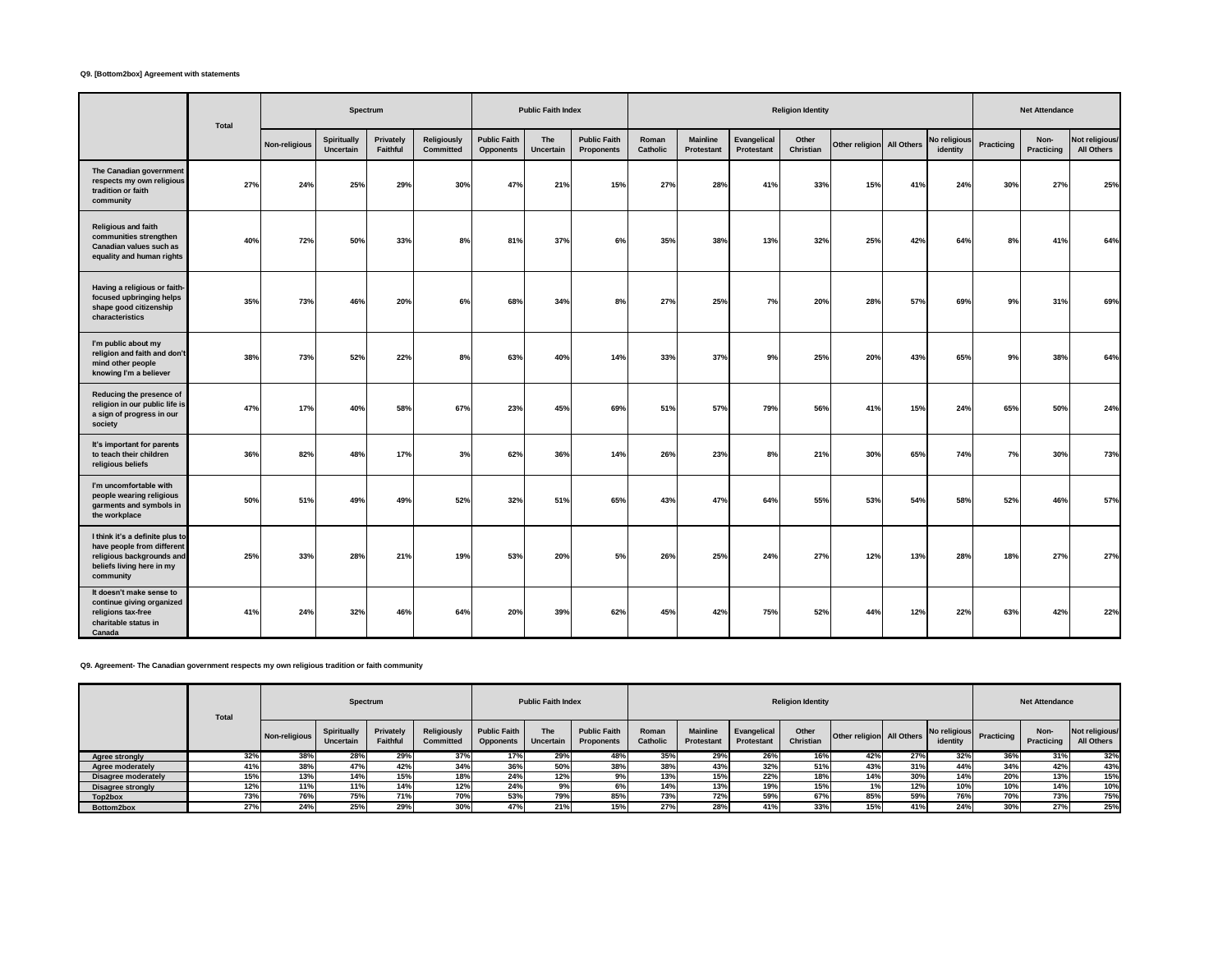# **Q9. [Bottom2box] Agreement with statements**

|                                                                                                                                      | Total |               | Spectrum                 |                       |                          |                                         | <b>Public Faith Index</b> |                                   |                   |                               |                           | <b>Religion Identity</b> |                           |     |                          |            | <b>Net Attendance</b> |                              |
|--------------------------------------------------------------------------------------------------------------------------------------|-------|---------------|--------------------------|-----------------------|--------------------------|-----------------------------------------|---------------------------|-----------------------------------|-------------------|-------------------------------|---------------------------|--------------------------|---------------------------|-----|--------------------------|------------|-----------------------|------------------------------|
|                                                                                                                                      |       | Non-religious | Spiritually<br>Uncertain | Privately<br>Faithful | Religiously<br>Committed | <b>Public Faith</b><br><b>Opponents</b> | The<br>Uncertain          | <b>Public Faith</b><br>Proponents | Roman<br>Catholic | Mainline<br><b>Protestant</b> | Evangelical<br>Protestant | Other<br>Christian       | Other religion All Others |     | lo religious<br>identity | Practicing | Non-<br>Practicing    | Not religious/<br>All Others |
| The Canadian government<br>respects my own religious<br>tradition or faith<br>community                                              | 27%   | 24%           | 25%                      | 29%                   | 30%                      | 47%                                     | 21%                       | 15%                               | 27%               | 28%                           | 41%                       | 33%                      | 15%                       | 41% | 24%                      | 30%        | <b>27%</b>            | 25%                          |
| <b>Religious and faith</b><br>communities strengthen<br>Canadian values such as<br>equality and human rights                         | 40%   | 72%           | 50%                      | 33%                   | 8%                       | 81%                                     | 37%                       | 6%                                | 35%               | 38%                           | 13%                       | 32%                      | 25%                       | 42% | 64%                      | 8%         | 41%                   | 64%                          |
| Having a religious or faith-<br>focused upbringing helps<br>shape good citizenship<br>characteristics                                | 35%   | 73%           | 46%                      | 20%                   | 6%                       | 68%                                     | 34%                       | 8%                                | 27%               | 25%                           | 7%                        | 20%                      | 28%                       | 57% | 69%                      | 9%         | 31%                   | 69%                          |
| I'm public about my<br>religion and faith and don't<br>mind other people<br>knowing I'm a believer                                   | 38%   | 73%           | 52%                      | 22%                   | 8%                       | 63%                                     | 40%                       | 14%                               | 33%               | 37%                           | 9%                        | 25%                      | 20%                       | 43% | 65%                      | 9%         | 38%                   | 64%                          |
| Reducing the presence of<br>religion in our public life is<br>a sign of progress in our<br>society                                   | 47%   | 17%           | 40%                      | 58%                   | 67%                      | 23%                                     | 45%                       | 69%                               | 51%               | 57%                           | 79%                       | 56%                      | 41%                       | 15% | 24%                      | 65%        | 50%                   | 24%                          |
| It's important for parents<br>to teach their children<br>religious beliefs                                                           | 36%   | 82%           | 48%                      | 17%                   | 3%                       | 62%                                     | 36%                       | 14%                               | 26%               | 23%                           | 8%                        | 21%                      | 30%                       | 65% | 74%                      | 7%         | 30%                   | 73%                          |
| I'm uncomfortable with<br>people wearing religious<br>garments and symbols in<br>the workplace                                       | 50%   | 51%           | 49%                      | 49%                   | 52%                      | 32%                                     | 51%                       | 65%                               | 43%               | 47%                           | 64%                       | 55%                      | 53%                       | 54% | 58%                      | 52%        | 46%                   | 57%                          |
| I think it's a definite plus to<br>have people from different<br>religious backgrounds and<br>beliefs living here in my<br>community | 25%   | 33%           | 28%                      | 21%                   | 19%                      | 53%                                     | 20%                       | 5%                                | 26%               | 25%                           | 24%                       | <b>27%</b>               | 12%                       | 13% | 28%                      | 18%        | <b>27%</b>            | 27%                          |
| It doesn't make sense to<br>continue giving organized<br>religions tax-free<br>charitable status in<br>Canada                        | 41%   | 24%           | 32%                      | 46%                   | 64%                      | 20%                                     | 39%                       | 62%                               | 45%               | 42%                           | 75%                       | 52%                      | 44%                       | 12% | 22%                      | 63%        | 42%                   | 22%                          |

**Q9. Agreement- The Canadian government respects my own religious tradition or faith community**

|                            | Total |               | Spectrum                        |                              |                                 |                                         | <b>Public Faith Index</b> |                                          |                   |                               |                                  | <b>Religion Identity</b> |                           |     |                          |            | <b>Net Attendance</b> |                              |
|----------------------------|-------|---------------|---------------------------------|------------------------------|---------------------------------|-----------------------------------------|---------------------------|------------------------------------------|-------------------|-------------------------------|----------------------------------|--------------------------|---------------------------|-----|--------------------------|------------|-----------------------|------------------------------|
|                            |       | Non-religious | Spiritually<br><b>Uncertain</b> | Privately<br><b>Faithful</b> | Religiously<br><b>Committed</b> | <b>Public Faith</b><br><b>Opponents</b> | The<br>Uncertain          | <b>Public Faith</b><br><b>Proponents</b> | Roman<br>Catholic | <b>Mainline</b><br>Protestant | Evangelical<br><b>Protestant</b> | Other<br>Christian       | Other religion All Others |     | No religious<br>identity | Practicing | Non-<br>Practicing    | Not religious/<br>All Others |
| <b>Agree strongly</b>      | 32%   | 38%           | 28%                             | 29%                          | 37%                             | 17%                                     | 29%                       |                                          | 35%               | 29%                           | 26%                              | 16%                      | 42%                       | 27% | 32%                      | 36%        | 31%                   | 32%                          |
| Agree moderately           | 41%   | 38%           | 47%                             | 42%                          | 34%                             | 36%                                     | 50%                       | 38%                                      | 38%               | 43%                           | 32%                              | 51%                      | 43%                       | 31% | 44%                      | 34%        | 42%                   | 43%                          |
| <b>Disagree moderately</b> | 15%   | 13%           | 14%                             | 15%                          | 18%                             | 24%                                     | 12%                       |                                          | 13%               | 15%                           | 22%                              | 18%                      | 14%                       | 30% | 14%                      | 20%        | 13%                   | 15%                          |
| <b>Disagree strongly</b>   | 12%   | 11%           | 11%                             | 14%                          | 12%                             | 24%                                     |                           |                                          | 14%               | 13%                           | 19%                              | 15%                      |                           | 12% | 10%                      | 10%        | 14%                   | 10%                          |
| Top2box                    | 73%   | 76%           | 75%                             | 71%                          | 70%                             | 53%                                     | 700<br>797                | 85%                                      | 73%               | 72%                           | 59%                              | 67%                      | 85%                       | 59% | 76%                      | 70%        | 73%                   | 75%                          |
| Bottom2box                 | 27%   | 24%           | 25%                             | 29%                          | 30%                             | 47%                                     |                           | 15%                                      | 27%               | 28%                           | 41%                              | 33%                      | 15%                       | 41% | 24%                      | 30%        | 27%                   | 25%                          |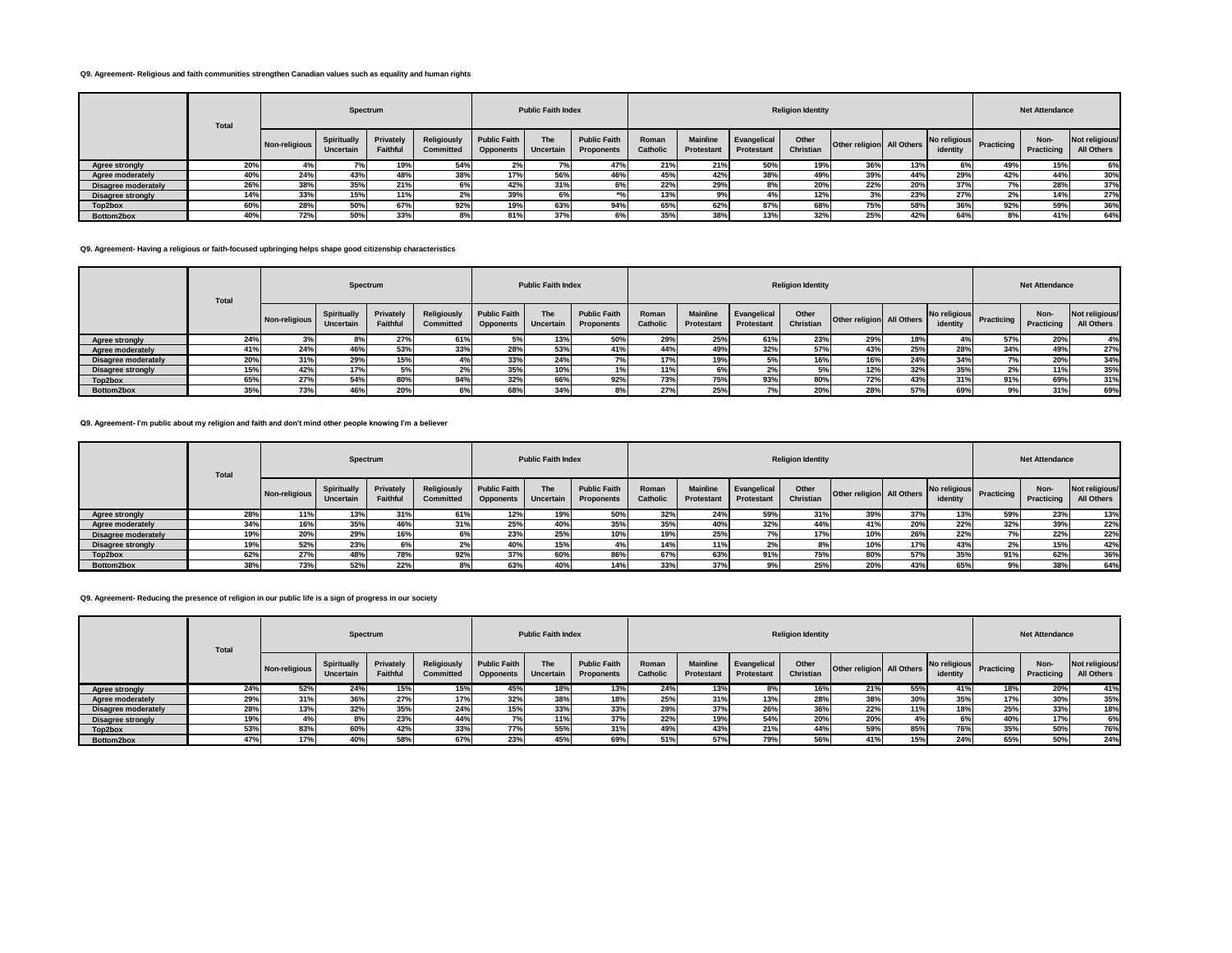#### **Q9. Agreement- Religious and faith communities strengthen Canadian values such as equality and human rights**

|                            | Total |               | Spectrum                        |                       |                                        |                                         | <b>Public Faith Index</b> |                                   |                          |                               |                           | <b>Religion Identity</b> |                           |     |                          |            | <b>Net Attendance</b> |                              |
|----------------------------|-------|---------------|---------------------------------|-----------------------|----------------------------------------|-----------------------------------------|---------------------------|-----------------------------------|--------------------------|-------------------------------|---------------------------|--------------------------|---------------------------|-----|--------------------------|------------|-----------------------|------------------------------|
|                            |       | Non-religious | <b>Spiritually</b><br>Uncertain | Privately<br>Faithful | <b>Religiously</b><br><b>Committed</b> | <b>Public Faith</b><br><b>Opponents</b> | <b>The</b><br>Uncertain   | <b>Public Faith</b><br>Proponents | Roman<br><b>Catholic</b> | <b>Mainline</b><br>Protestant | Evangelical<br>Protestant | Other<br>Christian       | Other religion All Others |     | No religious<br>identity | Practicing | Non-<br>Practicing    | Not religious/<br>All Others |
| Agree strongly             | 20%   |               | $\sim$                          | 19%                   | 54%                                    |                                         |                           | 47%                               | 21%                      | 21%                           | 50%                       | 19%                      | 36%                       | 13% | 69                       | 49%        | 15%                   | 6%                           |
| Agree moderately           | 40%   | 24%           | 43%                             | 48%                   | 38%                                    | 17%                                     | 56%                       | 46%                               | 45%                      | 42%                           | 38%                       | 49%                      | 39%                       | 44% | 29%                      | 42%        | 44%                   | 30%                          |
| <b>Disagree moderately</b> | 26%   | 38%           | 35%                             | 21%                   |                                        | 42%                                     | 31%                       | 6%                                | 22%                      | 29%                           | 8%                        | 20%                      | 22%                       | 20% | 37%                      |            | 28%                   | 37%                          |
| Disagree strongly          | 14%   | 33%           | 15%                             | 11%                   |                                        | 39%                                     | 6%                        |                                   | 13%                      | 9%                            |                           | 12%                      |                           | 23% | 27%                      | $2\%$      | 14%                   | 27%                          |
| Top2box                    | 60%   | 28%           | 50%                             | 67%                   | 92%                                    | 19%                                     | 63%                       | 94%                               | 65%                      | 62%                           | 87%                       | 68%                      | 75%                       | 58% | 36%                      | 92%        | 59%                   | 36%                          |
| Bottom2box                 | 40%   | 72%           | 50%                             | 33%                   |                                        | 81%                                     | 37%                       | 6%                                | 35%                      | 38%                           | 13%                       | 32%                      | 25%                       | 42% | 64%                      | 8%         | 41%                   | 64%                          |

#### **Q9. Agreement- Having a religious or faith-focused upbringing helps shape good citizenship characteristics**

|                            | <b>Total</b> |               | Spectrum                 |                       |                                        |                                  | <b>Public Faith Index</b>      |                                   |                   |                               |                           | <b>Religion Identity</b> |                           |     |                            |            | <b>Net Attendance</b> |                              |
|----------------------------|--------------|---------------|--------------------------|-----------------------|----------------------------------------|----------------------------------|--------------------------------|-----------------------------------|-------------------|-------------------------------|---------------------------|--------------------------|---------------------------|-----|----------------------------|------------|-----------------------|------------------------------|
|                            |              | Non-religious | Spiritually<br>Uncertain | Privately<br>Faithful | <b>Religiously</b><br><b>Committed</b> | <b>Public Faith</b><br>Opponents | <b>The</b><br><b>Uncertain</b> | <b>Public Faith</b><br>Proponents | Roman<br>Catholic | <b>Mainline</b><br>Protestant | Evangelical<br>Protestant | Other<br>Christian       | Other religion All Others |     | No religious R<br>identity | Practicing | Non-<br>Practicing    | Not religious/<br>All Others |
| Agree strongly             | 24%          |               |                          | 27%                   | 61%                                    |                                  | 13%                            | 50%                               | 29%               | 25%                           | 61%                       | 23%                      | 29%                       | 18% | 4%                         | 57%        | 20%                   | 4%                           |
| Agree moderately           | 41%          | 24%           | 46%                      | 53%                   | 33%                                    | 28%                              | 53%                            | 41%                               | 44%               | 49%                           | 32%                       | 57%                      | 43%                       | 25% | 28%                        | 34%        | 49%                   | 27%                          |
| <b>Disagree moderately</b> | 20%          | 31%           | 29%                      | 15%                   |                                        | 33%                              | 24%                            |                                   | 17%               | 19%                           | 5%                        | 16%                      | 16%                       | 24% | 34%                        | 7%         | 20%                   | 34%                          |
| <b>Disagree strongly</b>   | 15%          | 42%           | 17%                      | 5%                    | 2%                                     | 35%                              | 10%                            |                                   | 11%               | 6%                            | 2%                        | 5%                       | 12%                       | 32% | 35%                        | 2%         | 11%                   | 35%                          |
| Top2box                    | 65%          | 27%           | 54%                      | 80%                   | 94%                                    | 32%                              | 66%                            | 92%                               | 73%               | 75%                           | 93%                       | 80%                      | 72%                       | 43% | 31%                        | 91%        | 69%                   | 31%                          |
| Bottom2box                 | 35%          | 73%           | 46%                      | 20%                   |                                        | 68%                              | 34%                            | 8%                                | 27%               | 25%                           |                           | 20%                      | 28%                       | 57% | 69%                        | 9%         | 31%                   | 69%                          |

# **Q9. Agreement- I'm public about my religion and faith and don't mind other people knowing I'm a believer**

|                       | <b>Total</b> |               | Spectrum                 |                              |                          |                                         | <b>Public Faith Index</b> |                                          |                   |                                      |                           | <b>Religion Identity</b> |                           |     |                          |            | <b>Net Attendance</b> |                              |
|-----------------------|--------------|---------------|--------------------------|------------------------------|--------------------------|-----------------------------------------|---------------------------|------------------------------------------|-------------------|--------------------------------------|---------------------------|--------------------------|---------------------------|-----|--------------------------|------------|-----------------------|------------------------------|
|                       |              | Non-religious | Spiritually<br>Uncertain | Privately<br><b>Faithful</b> | Religiously<br>Committed | <b>Public Faith</b><br><b>Opponents</b> | <b>The</b><br>Uncertain   | <b>Public Faith</b><br><b>Proponents</b> | Roman<br>Catholic | <b>Mainline</b><br><b>Protestant</b> | Evangelical<br>Protestant | Other<br>Christian       | Other religion All Others |     | No religious<br>identity | Practicing | Non-<br>Practicing    | Not religious/<br>All Others |
| <b>Agree strongly</b> | 28%          | 11%           | 13%                      | 31%                          | 61%                      | 12%                                     | 19%                       | 50%                                      | 32%               | 24%                                  | 59%                       | 31%                      | 39%                       | 37% | 13%                      | 59%        | 23%                   | 13%                          |
| Agree moderately      | 34%          | 16%           | 35%                      | 46%                          | 31%                      | 25%                                     | 40%                       | 35%                                      | 35%               | 40%                                  | 32%                       | 44%                      | 41%                       | 20% | 22%                      | 32%        | 39%                   | 22%                          |
| Disagree moderately   | 19%          | 20%           | 29%                      | 16%                          |                          | 23%                                     | 25%                       |                                          | 19%               | 25%                                  |                           | 17%                      | 10%                       | 26% | 22%                      |            | 22%                   | 22%                          |
| Disagree strongly     | 19%          | 52%           | 23%                      | 6%                           | 2%                       | 40%                                     | 15%                       |                                          | 14%               | 11%                                  |                           | 8%                       | 10%                       | 17% | 43%                      | 2%         | 15%                   | 42%                          |
| Top2box               | 62%          | 27%           | 48%                      | 78%                          | 92%                      | 37%                                     | 60%                       | 86%                                      | 67%               | 63%                                  | 91%                       | 75%                      | 80%                       | 57% | 35%                      | 91%        | 62%                   | 36%                          |
| Bottom2box            | 38%          | 73%           | 52%                      | 22%                          | 8%                       | 63%                                     | 40%                       | 14%                                      | 33%               | 37%                                  | 9%                        | 25%                      | <b>20%</b>                | 43% | 65%                      |            | 38%                   | 64%                          |

### **Q9. Agreement- Reducing the presence of religion in our public life is a sign of progress in our society**

|                            | Total |               | Spectrum                 |                              |                                 |                                         | <b>Public Faith Index</b> |                                          |                   |                               |                                  | <b>Religion Identity</b> |                           |     |                          |            | <b>Net Attendance</b> |                              |
|----------------------------|-------|---------------|--------------------------|------------------------------|---------------------------------|-----------------------------------------|---------------------------|------------------------------------------|-------------------|-------------------------------|----------------------------------|--------------------------|---------------------------|-----|--------------------------|------------|-----------------------|------------------------------|
|                            |       | Non-religious | Spiritually<br>Uncertain | Privately<br><b>Faithful</b> | Religiously<br><b>Committed</b> | <b>Public Faith</b><br><b>Opponents</b> | The<br>Uncertain          | <b>Public Faith</b><br><b>Proponents</b> | Roman<br>Catholic | <b>Mainline</b><br>Protestant | Evangelical<br><b>Protestant</b> | Other<br>Christian       | Other religion All Others |     | No religious<br>identity | Practicing | Non-<br>Practicing    | Not religious/<br>All Others |
| <b>Agree strongly</b>      | 24%   | 52%           | 24%                      | 15%                          | 15%                             | 45%                                     | 18%                       | 13%                                      | 24%               | 13%                           | 8%                               | 16%                      | 21%                       | 55% | 41%                      | 18%        | 20%                   | 41%                          |
| Agree moderately           | 29%   | 31%           | 36%                      | 27%                          | 17%                             | 32%                                     | 38%                       | 18%                                      | 25%               | 31%                           | 13%                              | 28%                      | 38%                       | 30% | 35%                      | 17%        | 30%                   | 35%                          |
| <b>Disagree moderately</b> | 28%   | 13%           | 32%                      | 35%                          | 24%                             | 15%                                     | 33%                       | 33%                                      | 29%               | 37%                           | 26%                              | 36%                      | 22%                       | 11% | 18%                      | 25%        | 33%                   | 18%                          |
| <b>Disagree strongly</b>   | 19%   |               | 8%                       | 23%                          | 44%                             | 7%1                                     | 11%                       | 37%                                      | 22%               | 19%                           | 54%                              | 20%                      | 20%                       | 4%  | 6%                       | 40%        | 17%                   | 6%                           |
| Top2box                    | 53%   | 83%           | 60%                      | 42%                          | 33%                             | 77%                                     | 55%                       | 31%                                      | 49%               | 43%                           | 21%                              | 44%                      | 59%                       | 85% | 76%                      | 35%        | 50%                   | 76%                          |
| Bottom2box                 | 47%   | 17%           | 40%                      | 58%                          | 67%                             | 23%                                     | 45%                       | 69%                                      | 51%               | 57%                           | 79%                              | 56%                      | 41%                       | 15% | 24%                      | 65%        | 50%                   | 24%                          |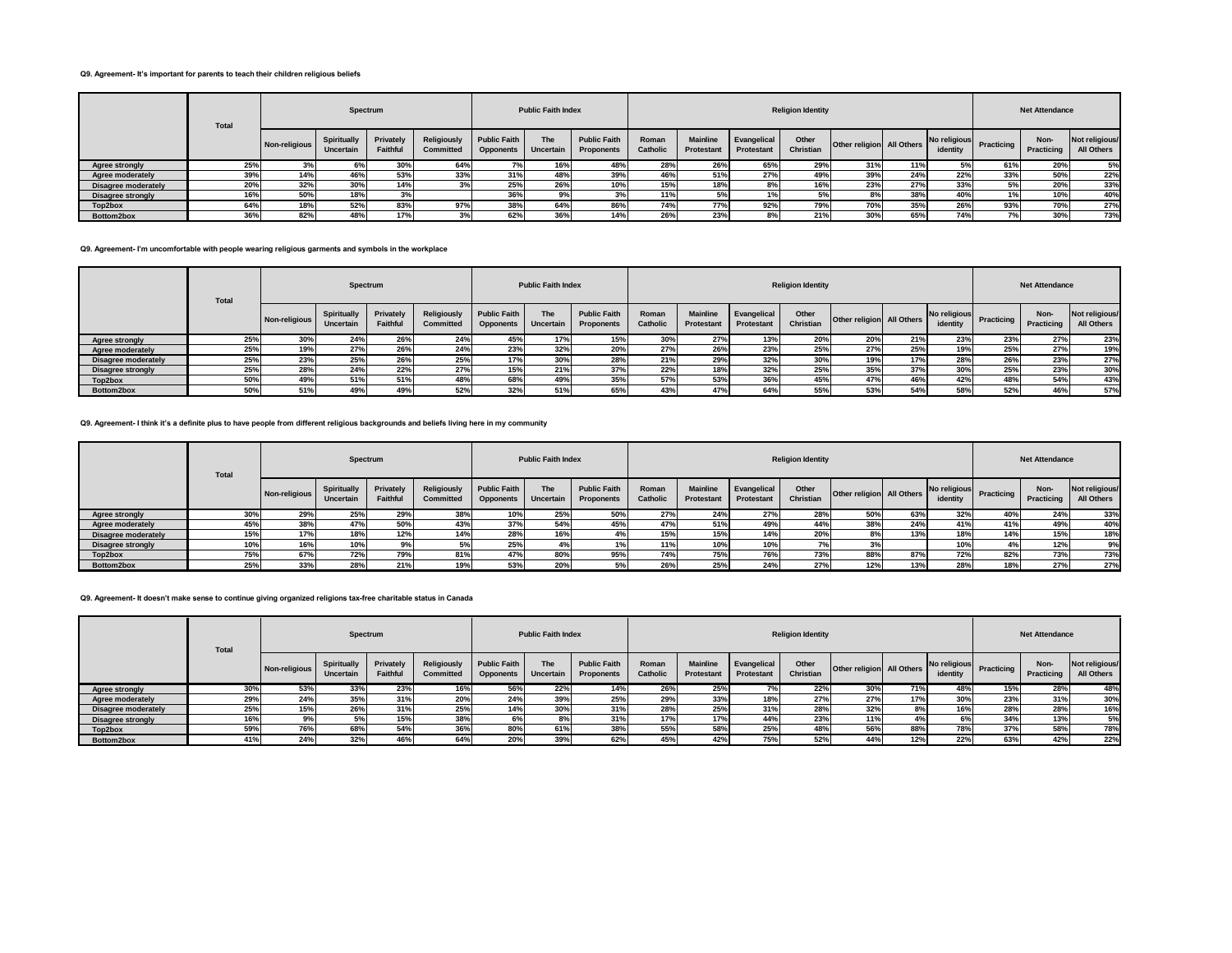#### **Q9. Agreement- It's important for parents to teach their children religious beliefs**

|                          | Total |               | Spectrum                 |                       |                          |                                         | <b>Public Faith Index</b> |                                          |                   |                               |                           | <b>Religion Identity</b> |                           |     |          |                         | <b>Net Attendance</b> |                              |
|--------------------------|-------|---------------|--------------------------|-----------------------|--------------------------|-----------------------------------------|---------------------------|------------------------------------------|-------------------|-------------------------------|---------------------------|--------------------------|---------------------------|-----|----------|-------------------------|-----------------------|------------------------------|
|                          |       | Non-religious | Spiritually<br>Uncertain | Privately<br>Faithful | Religiously<br>Committed | <b>Public Faith</b><br><b>Opponents</b> | <b>The</b><br>Uncertain   | <b>Public Faith</b><br><b>Proponents</b> | Roman<br>Catholic | <b>Mainline</b><br>Protestant | Evangelical<br>Protestant | Other<br>Christian       | Other religion All Others |     | identity | No religious Practicing | Non-<br>Practicing    | Not religious/<br>All Others |
| <b>Agree strongly</b>    | 25%   | 3%            | 6%                       | 30%                   | 64%                      |                                         | 16%                       | 48%                                      | 28%               | 26%                           | 65%                       | 29%                      | 31%                       | 11% | 5%       | 61%                     | 20%                   | 5%                           |
| Agree moderately         | 39%   | 14%           | 46%                      | 53%                   | 33%                      | 31%                                     | 48%                       | 39%                                      | 46%               | 51%                           | 27%                       | 49%                      | 39%                       | 24% | 22%      | 33%                     | 50%                   | 22%                          |
| Disagree moderately      | 20%   | 32%           | 30%                      | 14%                   |                          | 25%                                     | 26%                       | 10%                                      | 15%               | 18%                           | 8%                        | 16%                      | 23%                       | 27% | 33%      | 5%                      | 20%                   | 33%                          |
| <b>Disagree strongly</b> | 16%   | 50%           | 18%                      | 3%                    |                          | 36%                                     | 9%                        | -57                                      | 11%               | 5%                            |                           |                          | 8%                        | 38% | 40%      |                         | 10%                   | 40%                          |
| Top2box                  | 64%   | 18%           | 52%                      | 83%                   | 97%                      | 38%                                     | 64%                       | 86%                                      | 74%               | 77%                           | 92%                       | 79%                      | 70%                       | 35% | 26%      | 93%                     | 70%                   | 27%                          |
| Bottom2box               | 36%   | 82%           | 48%                      | 17%                   |                          | 62%                                     | 200I<br>50%               | 14%                                      | 26%               | 23%                           | 8%                        | 21%                      | 30%                       | 65% | 74%      |                         | 30%                   | 73%                          |

#### **Q9. Agreement- I'm uncomfortable with people wearing religious garments and symbols in the workplace**

|                            | <b>Total</b> |               | Spectrum                        |                       |                          |                                  | <b>Public Faith Index</b> |                                   |                          |                               |                           | <b>Religion Identity</b> |                           |     |                          |            | <b>Net Attendance</b> |                              |
|----------------------------|--------------|---------------|---------------------------------|-----------------------|--------------------------|----------------------------------|---------------------------|-----------------------------------|--------------------------|-------------------------------|---------------------------|--------------------------|---------------------------|-----|--------------------------|------------|-----------------------|------------------------------|
|                            |              | Non-religious | <b>Spiritually</b><br>Uncertain | Privately<br>Faithful | Religiously<br>Committed | <b>Public Faith</b><br>Opponents | The<br>Uncertain          | <b>Public Faith</b><br>Proponents | Roman<br><b>Catholic</b> | <b>Mainline</b><br>Protestant | Evangelical<br>Protestant | Other<br>Christian       | Other religion All Others |     | No religious<br>identity | Practicing | Non-<br>Practicing    | Not religious/<br>All Others |
| Agree strongly             | 25%          | 30%           | 24%                             | 26%                   | 24%                      | 45%                              | 17%                       | 15%                               | 30%                      | 27%                           | 13%                       | 20%                      | 20%                       | 21% | 23%                      | 23%        | 27%                   | 23%                          |
| Agree moderately           | 25%          | 19%           | 27%                             | 26%                   | 24%                      | 23%                              | 32%                       | 20%                               | 27%                      | 26%                           | 23%                       | 25%                      | 27%                       | 25% | 19%                      | 25%        | 27%                   | 19%                          |
| <b>Disagree moderately</b> | 25%          | 23%           | 25%                             | 26%                   | 25%                      | 17%                              | 30%                       | 28%                               | 21%                      | 29%                           | 32%                       | 30%                      | 19%                       | 17% | 28%                      | 26%        | 23%                   | 27%                          |
| <b>Disagree strongly</b>   | 25%          | 28%           | 24%                             | 22%                   | 27%                      | 15%                              | 21%                       | 37%                               | 22%                      | 18%                           | 32%                       | 25%                      | 35%                       | 37% | 30%                      | 25%        | 23%                   | 30%                          |
| Top2box                    | 50%          | 49%           | 51%                             | 51%                   | 48%                      | 68%                              | 49%                       | 35%                               | 57%                      | 53%                           | 36%                       | 45%                      | 47%                       | 46% | 42%                      | 48%        | 54%                   | 43%                          |
| Bottom2box                 | 50%          | 51%           | 49%                             | 49%                   | 52%                      | 32%                              | 51%                       | 65%                               | 43%                      | 47%                           | 64%                       | 55%                      | 53%                       | 54% | 58%                      | 52%        | 46%                   | 57%                          |

### **Q9. Agreement- I think it's a definite plus to have people from different religious backgrounds and beliefs living here in my community**

|                          | <b>Total</b> |               | Spectrum                 |                              |                          |                                         | <b>Public Faith Index</b> |                                   |                   |                               |                           | <b>Religion Identity</b> |                           |     |                          |            | <b>Net Attendance</b> |                              |
|--------------------------|--------------|---------------|--------------------------|------------------------------|--------------------------|-----------------------------------------|---------------------------|-----------------------------------|-------------------|-------------------------------|---------------------------|--------------------------|---------------------------|-----|--------------------------|------------|-----------------------|------------------------------|
|                          |              | Non-religious | Spiritually<br>Uncertain | Privately<br><b>Faithful</b> | Religiously<br>Committed | <b>Public Faith</b><br><b>Opponents</b> | The<br>Uncertain          | <b>Public Faith</b><br>Proponents | Roman<br>Catholic | <b>Mainline</b><br>Protestant | Evangelical<br>Protestant | Other<br>Christian       | Other religion All Others |     | No religious<br>identity | Practicing | Non-<br>Practicing    | Not religious/<br>All Others |
| <b>Agree strongly</b>    | 30%          | 29%           | 25%                      | 29%                          | 38%                      | 10%                                     | 25%                       | 50%                               | 27%               | 24%                           | 27%                       | 28%                      | 50%                       | 63% | 32%                      | 40%        | 24%                   | 33%                          |
| <b>Agree moderately</b>  | 45%          | 38%           | 47 <sup>°</sup>          | 50%                          | 43%                      | 37%                                     | 54%                       | 45 <sup>°</sup>                   | 47%               | 51%                           | 49%                       | 44%                      | 38%                       | 24% | 41%                      | 41%        | 49%                   | 40%                          |
| Disagree moderately      | 15%          | 17%           | 18%                      | 12%                          | 14%                      | 28%                                     | 16%                       |                                   | 15%               | 15%                           | 14%                       | 20%                      |                           | 13% | 18%                      | 14%        | 15%                   | 18%                          |
| <b>Disagree strongly</b> | 10%          | 16%           | 10 <sup>°</sup>          |                              |                          | 25%                                     |                           |                                   | 11%               | 10%                           | 10%                       |                          |                           |     | 10%                      |            | 12%                   | 9%                           |
| Top2box                  | 75%          | 67%           | 72%                      | 79%                          | 81%                      | 47%                                     | 80Y                       | 95%                               | 74%               | 75%                           | 76%                       | 73%                      | 88%                       | 87% | 72%                      | 82%        | 73%                   | 73%                          |
| Bottom2box               | 25%          | 33%           | 28%                      | 21%                          | 19%                      | 53%                                     | 20%                       |                                   | 26%               | 25%                           | 24%                       | 27%                      | 12%                       | 13% | 28%                      | 18%        | 27%                   | 27%                          |

# **Q9. Agreement- It doesn't make sense to continue giving organized religions tax-free charitable status in Canada**

|                            | <b>Total</b> |               | Spectrum                        |                       |                                        |                                  | <b>Public Faith Index</b> |                                          |                   |                               |                           | <b>Religion Identity</b> |                           |     |                          |            | <b>Net Attendance</b> |                              |
|----------------------------|--------------|---------------|---------------------------------|-----------------------|----------------------------------------|----------------------------------|---------------------------|------------------------------------------|-------------------|-------------------------------|---------------------------|--------------------------|---------------------------|-----|--------------------------|------------|-----------------------|------------------------------|
|                            |              | Non-religious | <b>Spiritually</b><br>Uncertain | Privately<br>Faithful | <b>Religiously</b><br><b>Committed</b> | <b>Public Faith</b><br>Opponents | <b>The</b><br>Uncertain   | <b>Public Faith</b><br><b>Proponents</b> | Roman<br>Catholic | <b>Mainline</b><br>Protestant | Evangelical<br>Protestant | Other<br>Christian       | Other religion All Others |     | No religious<br>identity | Practicing | Non-<br>Practicing    | Not religious/<br>All Others |
| Agree strongly             | 30%          | 53%           | 33%                             | 23%                   | 16%                                    | 56%                              | 22%                       |                                          | 26%               | 25%                           |                           | 22%                      | 30%                       | 71% | 48%                      | 15%        | 28%                   | 48%                          |
| Agree moderately           | 29%          | 24%           | 35%                             | 31%                   | 20%                                    | 24%                              | 39%                       | 25%                                      | 29%               | 33%                           | 18%                       | 27%                      | 27%                       | 17% | 30%                      | 23%        | 31%                   | 30%                          |
| <b>Disagree moderately</b> | 25%          | 15%           | 26%                             | 31%                   | 25%                                    | 14%                              | 30%                       | 31%                                      | 28%               | 25%                           | 31%                       | 28%                      | 32%                       | 8%  | 16%                      | 28%        | 28%                   | 16%                          |
| Disagree strongly          | 16%          | 9%            | 5%                              | 15%                   | 38%                                    | 6%                               | 8%                        | 31%                                      | 17%               | 17%                           | 44%                       | 23%                      | 11%                       | 4%  | 6%                       | 34%        | 13%                   | 5%                           |
| Top2box                    | 59%          | 76%           | 68 <sup>%</sup>                 | 54%                   | 36%                                    | 80%                              | 61%                       | 38%                                      | 55%               | 58%                           | 25%                       | 48%                      | 56%                       | 88% | 78%                      | 37%        | 58%                   | 78%                          |
| Bottom2box                 | 41%          | 24%           | 32%                             | 46%                   | 64%                                    | <b>20%</b>                       | 39%                       | 62%                                      | 45%               | 42%                           | 75%                       | 52%                      | 44%                       | 12% | 22%                      | 63%        | 42%                   | 22%                          |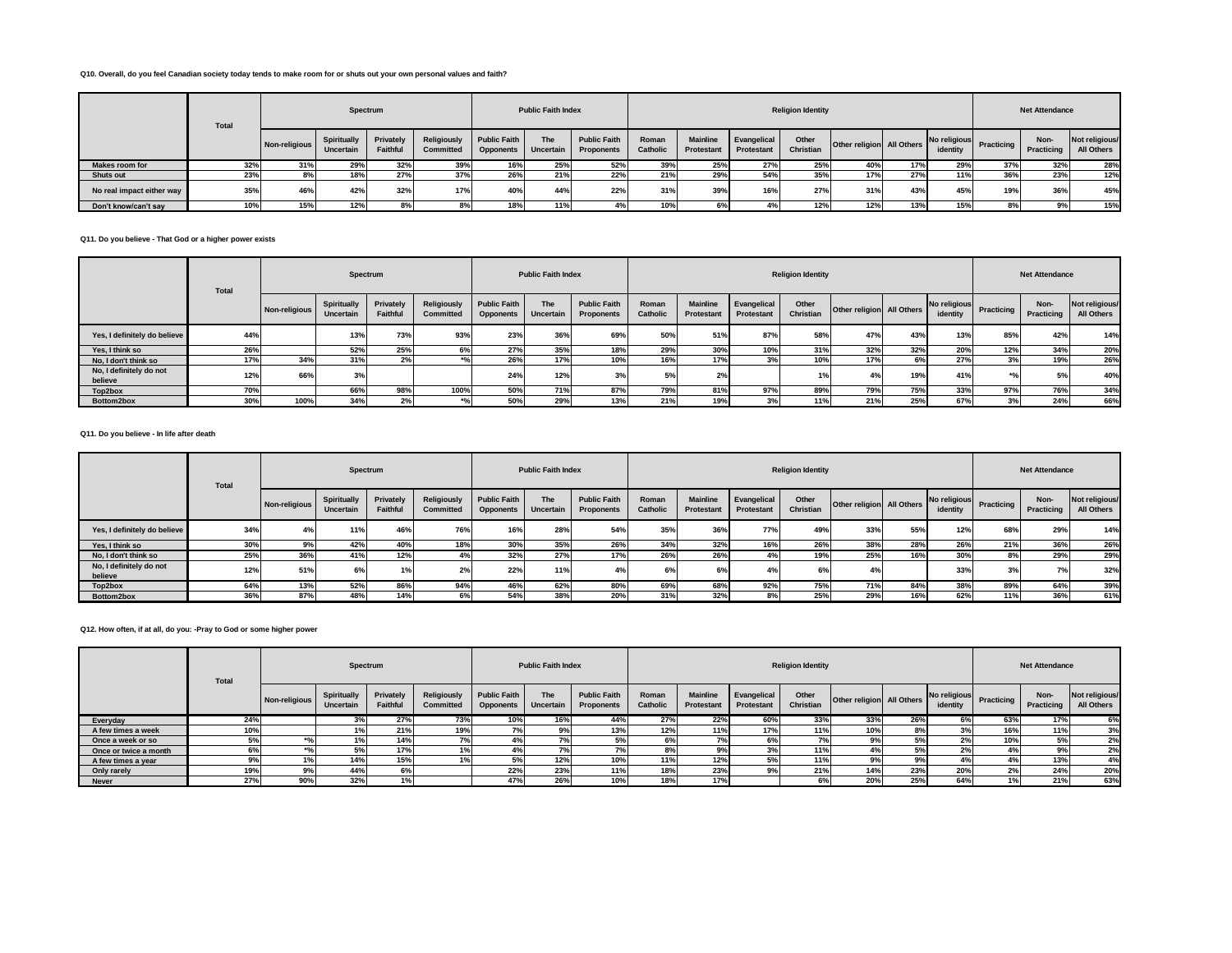### **Q10. Overall, do you feel Canadian society today tends to make room for or shuts out your own personal values and faith?**

|                           | <b>Total</b> |               | Spectrum                        |                       |                          |                                         | <b>Public Faith Index</b> |                                   |                   |                               |                           | <b>Religion Identity</b> |                           |     |                          |            | <b>Net Attendance</b> |                              |
|---------------------------|--------------|---------------|---------------------------------|-----------------------|--------------------------|-----------------------------------------|---------------------------|-----------------------------------|-------------------|-------------------------------|---------------------------|--------------------------|---------------------------|-----|--------------------------|------------|-----------------------|------------------------------|
|                           |              | Non-religious | <b>Spiritually</b><br>Uncertain | Privately<br>Faithful | Religiously<br>Committed | <b>Public Faith</b><br><b>Opponents</b> | The<br>Uncertain          | <b>Public Faith</b><br>Proponents | Roman<br>Catholic | <b>Mainline</b><br>Protestant | Evangelical<br>Protestant | Other<br>Christian       | Other religion All Others |     | No religious<br>identity | Practicing | Non-<br>Practicing    | Not religious/<br>All Others |
| Makes room for            | 32%          | 31%           | 29%                             | 32%                   | 39%                      | 16%                                     | 25%                       | 52%                               | 39%               | 25%                           | 27%                       | 25%                      | 40%                       | 17% | 29%                      | 37%        | 32%                   | 28%                          |
| <b>Shuts out</b>          | 23%          | õ70           | 18%                             | 27%                   | 37%                      | 26%                                     | 21%                       | 22%                               | 21%               | 29%                           | 54%                       | 35%                      | 17%                       | 27% | 11%                      | 36%        | 23%                   | 12%                          |
| No real impact either way | 35%          | 46%           | 42%                             | 32%                   | 17%                      | 40%                                     | 44%                       | 22%                               | 31%               | 39%                           | 16%                       | 27%                      | 31%                       | 43% | 45%                      | 19%        | 36%                   | 45%                          |
| Don't know/can't sav      | 10%          | 15%           | 12%                             | ୪%                    |                          | 18%                                     | 11%                       |                                   | 10%               |                               |                           | 12%                      | 12%                       | 13% | 15%                      |            | 9%                    | 15%                          |

#### **Q11. Do you believe - That God or a higher power exists**

|                                    | <b>Total</b> |               | Spectrum                 |                       |                                 |                                         | <b>Public Faith Index</b> |                                   |                   |                               |                                  | <b>Religion Identity</b> |                           |     |                          |            | <b>Net Attendance</b> |                              |
|------------------------------------|--------------|---------------|--------------------------|-----------------------|---------------------------------|-----------------------------------------|---------------------------|-----------------------------------|-------------------|-------------------------------|----------------------------------|--------------------------|---------------------------|-----|--------------------------|------------|-----------------------|------------------------------|
|                                    |              | Non-religious | Spiritually<br>Uncertain | Privately<br>Faithful | Religiously<br><b>Committed</b> | <b>Public Faith</b><br><b>Opponents</b> | The<br>Uncertain          | <b>Public Faith</b><br>Proponents | Roman<br>Catholic | <b>Mainline</b><br>Protestant | Evangelical<br><b>Protestant</b> | Other<br>Christian       | Other religion All Others |     | No religious<br>identity | Practicing | Non-<br>Practicing    | Not religious/<br>All Others |
| Yes, I definitely do believe       | 44%          |               | 13%                      | 73%                   | 93%                             | 23%                                     | 36%                       | 69%                               | 50%               | 51%                           | 87%                              | 58%                      | 47%                       | 43% | 13%                      | 85%        | 42%                   | 14%                          |
| Yes. I think so                    | 26%          |               | 52%                      | 25%                   | 6%                              | 27%                                     | 35%                       | 18%                               | 29%               | 30%                           | 10%                              | 31%                      | 32%                       | 32% | 20%                      | 12%        | 34%                   | 20%                          |
| No. I don't think so               | 17%          | 34%           | 31%                      | 2%                    |                                 | 26%                                     | 17%                       | 10%                               | 16%               | 17%                           | 3%                               | 10%                      | 17%                       | 6%  | 27%                      |            | 19%                   | 26%                          |
| No, I definitely do not<br>believe | 12%          | 66%           | 3%                       |                       |                                 | 24%                                     | 12%                       |                                   | 5%                | 2%                            |                                  | 1% <sub>1</sub>          | 4%                        | 19% | 41%                      |            | 5%                    | 40%                          |
| Top2box                            | 70%          |               | 66%                      | 98%                   | 100%                            | 50%                                     | 71%                       | 87%                               | 79%               | 81%                           | 97%                              | 89%                      | 79%                       | 75% | 33%                      | 97%        | 76%                   | 34%                          |
| Bottom2box                         | 30%          | 100%          | 34%                      | 2%                    | $*$ <sup>o</sup> / $\sim$       | 50%                                     | 29%                       | 13%                               | 21%               | 19%                           | 3%                               | 11%                      | 21%                       | 25% | 67%                      | 3%         | 24%                   | 66%                          |

# **Q11. Do you believe - In life after death**

|                                    | Total |               | Spectrum                 |                       |                          |                                         | <b>Public Faith Index</b>      |                                          |                          |                                      |                           | <b>Religion Identity</b> |                           |     |                          |            | <b>Net Attendance</b> |                              |
|------------------------------------|-------|---------------|--------------------------|-----------------------|--------------------------|-----------------------------------------|--------------------------------|------------------------------------------|--------------------------|--------------------------------------|---------------------------|--------------------------|---------------------------|-----|--------------------------|------------|-----------------------|------------------------------|
|                                    |       | Non-religious | Spiritually<br>Uncertain | Privately<br>Faithful | Religiously<br>Committed | <b>Public Faith</b><br><b>Opponents</b> | <b>The</b><br><b>Uncertain</b> | <b>Public Faith</b><br><b>Proponents</b> | Roman<br><b>Catholic</b> | <b>Mainline</b><br><b>Protestant</b> | Evangelical<br>Protestant | Other<br>Christian       | Other religion All Others |     | No religious<br>identity | Practicing | Non-<br>Practicing    | Not religious/<br>All Others |
| Yes, I definitely do believe       | 34%   |               | 11%                      | 46%                   | 76%                      | 16%                                     | 28%                            | 54%                                      | 35%                      | 36%                                  | 77%                       | 49%                      | 33%                       | 55% | 12%                      | 68%        | 29%                   | 14%                          |
| Yes. I think so                    | 30%   | 9%            | 42%                      | 40%                   | 18%                      | 30%                                     | 35%                            | 26%                                      | 34%                      | 32%                                  | 16%                       | 26%                      | 38%                       | 28% | 26%                      | 21%        | 36%                   | 26%                          |
| No. I don't think so               | 25%   | 36%           | 41%                      | 12%                   | 4%                       | 32%                                     | 27%                            | 17%                                      | 26%                      | 26%                                  | 4%                        | 19%                      | 25%                       | 16% | 30%                      | 8%         | 29%                   | 29%                          |
| No, I definitely do not<br>believe | 12%   | 51%           | 6%                       | 1%                    | 2%                       | 22%                                     | 11%                            |                                          | 6%                       | 6%                                   | 4%                        | 6%                       |                           |     | 33%                      | 3%         | 7%                    | 32%                          |
| Top2box                            | 64%   | 13%           | 52%                      | 86%                   | 94%                      | 46%                                     | 62%                            | 80%                                      | 69%                      | 68%                                  | 92%                       | 75%                      | 71%                       | 84% | 38%                      | 89%        | 64%                   | 39%                          |
| Bottom2box                         | 36%   | 87%           | 48%                      | 14%                   |                          | 54%                                     | 38%                            | 20%                                      | 31%                      | 32%                                  |                           | 25%                      | 29%                       | 16% | 62%                      | 11%        | 36%                   | 61%                          |

#### **Q12. How often, if at all, do you: -Pray to God or some higher power**

|                       | <b>Total</b> |               | Spectrum                 |                       |                                        |                                         | <b>Public Faith Index</b>      |                                   |                          |                               |                                  | <b>Religion Identity</b> |                           |     |                          |                   | <b>Net Attendance</b> |                              |
|-----------------------|--------------|---------------|--------------------------|-----------------------|----------------------------------------|-----------------------------------------|--------------------------------|-----------------------------------|--------------------------|-------------------------------|----------------------------------|--------------------------|---------------------------|-----|--------------------------|-------------------|-----------------------|------------------------------|
|                       |              | Non-religious | Spiritually<br>Uncertain | Privately<br>Faithful | <b>Religiously</b><br><b>Committed</b> | <b>Public Faith</b><br><b>Opponents</b> | <b>The</b><br><b>Uncertain</b> | <b>Public Faith</b><br>Proponents | Roman<br><b>Catholic</b> | <b>Mainline</b><br>Protestant | Evangelical<br><b>Protestant</b> | Other<br>Christian       | Other religion All Others |     | No religious<br>identity | <b>Practicing</b> | Non-<br>Practicing    | Not religious/<br>All Others |
| Everyday              | 24%          |               |                          | 27%                   | 73%                                    | 10%                                     | 16%                            | 44%                               | 27%                      | 22%                           | 60%                              | 33%                      | 33%                       | 26% | 6%                       | 63%               | 17%                   | 6%                           |
| A few times a week    | 10%          |               |                          | 21%                   | 19%                                    |                                         |                                | 13%                               | 12%                      | 11%                           | 17%                              | 11%                      | 10%                       | 8%  |                          | 16%               | 11%                   | 3%                           |
| Once a week or so     |              |               |                          | 14%                   |                                        |                                         |                                | 5%                                | 6%                       | 7%                            | 6%                               |                          | 9%                        | 5%  | 2%                       | 10%               | 5%                    | 2%                           |
| Once or twice a month | 6%           |               | 5%                       | 17%                   | 1%                                     | 4%                                      |                                | 7%                                | 8%                       | 9%                            | 3%                               | 11%                      | 4%                        | 5%  | 2%                       |                   | 9%                    | 2%                           |
| A few times a year    |              |               | 14%                      | 15%                   |                                        | 5%                                      | 12%                            | 10%                               | 11%                      | 12%                           | 5%                               | 11%                      | 9%                        | 9%  |                          |                   | 13%                   | 4%                           |
| Only rarely           | 19%          | 9%            | 44%                      | 6%                    |                                        | 22%                                     | 23%                            | 11%                               | 18%                      | 23%                           | 9%                               | 21%                      | 14%                       | 23% | 20%                      | $2\%$             | 24%                   | 20%                          |
| <b>Never</b>          | 27%          | 90%           | 32%                      | 1%                    |                                        | 47%                                     | 26%                            | 10%                               | 18%                      | 17%                           |                                  | 6%                       | 20%                       | 25% | 64%                      | 40/               | 21%                   | 63%                          |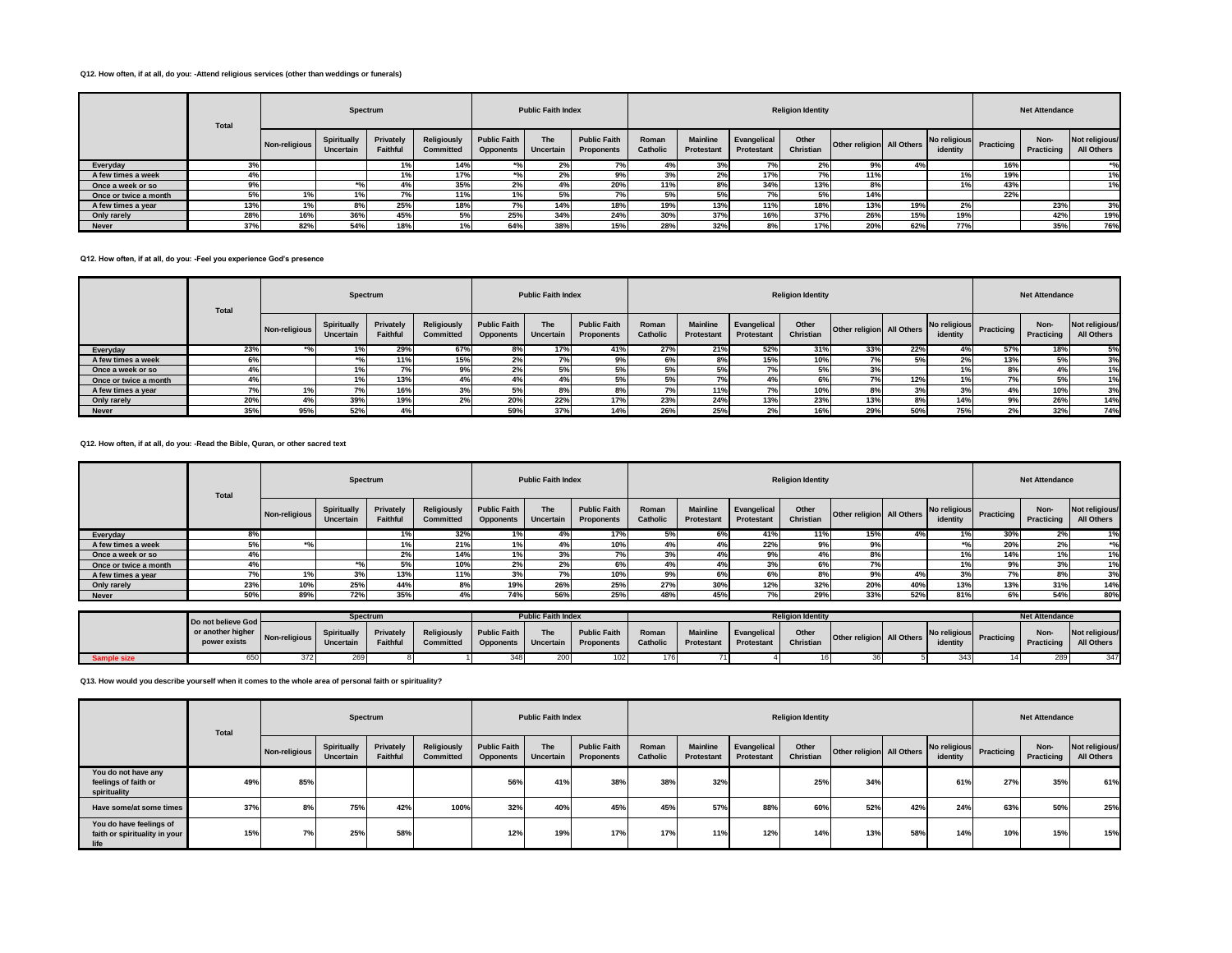#### **Q12. How often, if at all, do you: -Attend religious services (other than weddings or funerals)**

|                       | Total |               | Spectrum                 |                       |                                 |                                         | <b>Public Faith Index</b>      |                                          |                   |                               |                                  | <b>Religion Identity</b> |                           |     |          |                         | <b>Net Attendance</b> |                              |
|-----------------------|-------|---------------|--------------------------|-----------------------|---------------------------------|-----------------------------------------|--------------------------------|------------------------------------------|-------------------|-------------------------------|----------------------------------|--------------------------|---------------------------|-----|----------|-------------------------|-----------------------|------------------------------|
|                       |       | Non-religious | Spiritually<br>Uncertain | Privately<br>Faithful | <b>Religiously</b><br>Committed | <b>Public Faith</b><br><b>Opponents</b> | <b>The</b><br><b>Uncertain</b> | <b>Public Faith</b><br><b>Proponents</b> | Roman<br>Catholic | <b>Mainline</b><br>Protestant | Evangelical<br><b>Protestant</b> | Other<br>Christian       | Other religion All Others |     | identity | No religious Practicing | Non-<br>Practicing    | Not religious/<br>All Others |
| Everyday              | 3%    |               |                          | 1%                    | 14%                             |                                         | 2%                             | $-$<br>17a                               | 4%                | 3%                            | $\sim$                           | 2%                       | 9%                        | 4%  |          | 16%                     |                       |                              |
| A few times a week    | 4%    |               |                          |                       | 17%                             |                                         | 2%                             | 9%                                       | 3%                | 2%                            | 17%                              | 7%                       | 11%                       |     | 1%       | 19%                     |                       |                              |
| Once a week or so     | 9%    |               | $+0$                     |                       | 35%                             |                                         |                                | 20%                                      | 11%               | 8%                            | 34%                              | 13%                      | 8%                        |     | 1%       | 43%                     |                       |                              |
| Once or twice a month | 5%    | 1%            | 1%                       |                       | 11%                             |                                         | $\overline{a}$                 |                                          | 5%                | 5%                            |                                  | 5%                       | 14%                       |     |          | 22%                     |                       |                              |
| A few times a year    | 13%   | 1%            | 8%                       | 25%                   | 18%                             |                                         |                                | 18%                                      | 19%               | 13%                           | 11%                              | 18%                      | 13%                       | 19% | 2%       |                         | 23%                   | 3%                           |
| Only rarely           | 28%   | 16%           | 36%                      | 45%                   | 5%                              | 25%                                     | 34%                            | 24%                                      | 30%               | 37%                           | 16%                              | 37%                      | 26%                       | 15% | 19%      |                         | 42%                   | 19%                          |
| <b>Never</b>          | 37%   | 82%           | 54%                      | 18%                   |                                 | 64%                                     | 38%                            | 15%                                      | 28%               | 32%                           | 8%                               | 17%                      | 20%                       | 62% | 77%      |                         | 35%                   | 76%                          |

#### **Q12. How often, if at all, do you: -Feel you experience God's presence**

|                       | <b>Total</b> |               | Spectrum                 |                              |                          |                                         | <b>Public Faith Index</b> |                                   |                   |                               |                                  | <b>Religion Identity</b> |                           |     |          |                         | <b>Net Attendance</b> |                              |
|-----------------------|--------------|---------------|--------------------------|------------------------------|--------------------------|-----------------------------------------|---------------------------|-----------------------------------|-------------------|-------------------------------|----------------------------------|--------------------------|---------------------------|-----|----------|-------------------------|-----------------------|------------------------------|
|                       |              | Non-religious | Spiritually<br>Uncertain | Privately<br><b>Faithful</b> | Religiously<br>Committed | <b>Public Faith</b><br><b>Opponents</b> | The<br><b>Uncertain</b>   | <b>Public Faith</b><br>Proponents | Roman<br>Catholic | <b>Mainline</b><br>Protestant | Evangelical<br><b>Protestant</b> | Other<br>Christian       | Other religion All Others |     | identity | No religious Practicing | Non-<br>Practicing    | Not religious/<br>All Others |
| Everyday              | 23%          |               |                          | 29%                          | 67%                      | 8%                                      | 17%                       | 41%                               | 27%               | 21%                           | 52%                              | 31%                      | 33%                       | 22% | 4%       | 57%                     | 18%                   | 5%I                          |
| A few times a week    | 6%           |               | $+0$                     | 11%                          | 15%                      | 2%                                      |                           |                                   | 6%                | 8%                            | 15%                              | 10%                      |                           | 5%  | 2%       | 13%                     | 5%                    | 3%                           |
| Once a week or so     | 4%           |               | 1%                       | 7%                           | 9%                       | 2%                                      |                           |                                   | 5%                | 5%                            | 7%                               | 5%                       | 3%                        |     |          | 8%                      |                       | 1%                           |
| Once or twice a month | 4%           |               |                          | 13%                          | 4%                       |                                         |                           | E94                               | 5%                | 7%                            | 4%                               | 6%                       |                           | 12% |          |                         | 5%                    | 1%                           |
| A few times a vear    | 7%           |               |                          | 16%                          | 3%                       | 5%                                      |                           |                                   |                   | 11%                           | 7%                               | 10%                      | 8%                        | 3%  | 3%       |                         | 10%                   | 3%                           |
| Only rarely           | 20%          |               | 39%                      | 19%                          | 2%                       | 20%                                     | 22%                       | 17%                               | 23%               | 24%                           | 13%                              | 23%                      | 13%                       | 8%  | 14%      |                         | 26%                   | 14%                          |
| <b>Never</b>          | 35%          | 95%           | 52%                      | 4%                           |                          | 59%                                     | 37%                       | 14%                               | 26%               | 25%                           | 2%                               | 16%                      | 29%                       | 50% | 75%      | 2%                      | 32%                   | 74%                          |

# **Q12. How often, if at all, do you: -Read the Bible, Quran, or other sacred text**

|                       | <b>Total</b> |               | Spectrum                 |                       |                                 |                                         | <b>Public Faith Index</b> |                                   |                   |                               |                                  | <b>Religion Identity</b> |                           |     |                          |            | <b>Net Attendance</b> |                                 |
|-----------------------|--------------|---------------|--------------------------|-----------------------|---------------------------------|-----------------------------------------|---------------------------|-----------------------------------|-------------------|-------------------------------|----------------------------------|--------------------------|---------------------------|-----|--------------------------|------------|-----------------------|---------------------------------|
|                       |              | Non-religious | Spiritually<br>Uncertain | Privately<br>Faithful | Religiously<br><b>Committed</b> | <b>Public Faith</b><br><b>Opponents</b> | The<br>Uncertain          | <b>Public Faith</b><br>Proponents | Roman<br>Catholic | <b>Mainline</b><br>Protestant | Evangelical<br><b>Protestant</b> | Other<br>Christian       | Other religion All Others |     | No religious<br>identity | Practicing | Non-<br>Practicing    | Not religious/<br>All Others    |
| Everyday              | 8%           |               |                          | 1%                    | 32%                             | 1%                                      |                           | 17%                               | 5%                | 6%                            | 41%                              | 11%                      | 15%                       |     |                          | 30%        | 2%                    | 1%                              |
| A few times a week    | 5%           |               |                          |                       | 21%                             | 1%                                      |                           | 10%                               | 4%                | 4%                            | 22%                              | 9%                       | 9%                        |     |                          | 20%        | 2%                    | $*$ <sup>o</sup> / <sub>0</sub> |
| Once a week or so     |              |               |                          | 2%                    | 14%                             |                                         |                           |                                   | 3%                | 4%                            | 9%                               | 4%                       | 8%                        |     |                          | 14%        |                       |                                 |
| Once or twice a month | 4%           |               |                          | 5%                    | 10%                             | 2%                                      | 47                        |                                   | 4%                | 4%                            | 3%                               | 6%                       |                           |     |                          | 9%         |                       | 1%                              |
| A few times a year    |              |               | 3%                       | 13%                   | 11%                             | 3%                                      |                           |                                   | 9%                | 6%                            | 6%                               | 8%                       | 9%                        |     | 3%                       |            |                       | 3%                              |
| Only rarely           | 23%          | 10%           | 25%                      | 44%                   |                                 | 19%                                     | 267                       | 25%                               | 27%               | 30%                           | 12%                              | 32%                      | 20%                       | 40% | 13%                      | 13%        | 31%                   | 14%                             |
| <b>Never</b>          | 50%          | 89%           | 72%                      | 35%                   | 4%                              | 74%                                     |                           | <b>25%</b>                        | 48%               | 45%                           | 7%                               | 29%                      | 33%                       | 52% | 81%                      |            | 54%                   | 80%                             |

|           | Do not believe God                |               | Spectrum                        |                       |                                              |                     | <b>Public Faith Index</b> |                                          |                   |                        |                           | <b>Religion Identity</b> |                           |          |                                    | <b>Net Attendance</b> |                                     |
|-----------|-----------------------------------|---------------|---------------------------------|-----------------------|----------------------------------------------|---------------------|---------------------------|------------------------------------------|-------------------|------------------------|---------------------------|--------------------------|---------------------------|----------|------------------------------------|-----------------------|-------------------------------------|
|           | or another higher<br>power exists | Non-religious | Spiritually<br><b>Uncertain</b> | Privately<br>Faithful | Religiously Public Faith<br><b>Committed</b> | Opponents Uncertain | The                       | <b>Public Faith</b><br><b>Proponents</b> | Roman<br>Catholic | Mainline<br>Protestant | Evangelical<br>Protestant | Other<br>Christian       | Other religion All Others | identity | No religious Practicing Practicing | Practicing            | Not religious/<br><b>All Others</b> |
| mple size | 650                               |               | ∠ບວ                             |                       |                                              |                     | ້                         |                                          |                   |                        |                           |                          |                           |          |                                    | 200                   | 347                                 |

**Q13. How would you describe yourself when it comes to the whole area of personal faith or spirituality?**

|                                                                  | Total |               |                          | Spectrum              |                                        |                                         | <b>Public Faith Index</b> |                                   |                          |                               |                           | <b>Religion Identity</b> |                           |     |                          |                   | <b>Net Attendance</b> |                              |
|------------------------------------------------------------------|-------|---------------|--------------------------|-----------------------|----------------------------------------|-----------------------------------------|---------------------------|-----------------------------------|--------------------------|-------------------------------|---------------------------|--------------------------|---------------------------|-----|--------------------------|-------------------|-----------------------|------------------------------|
|                                                                  |       | Non-religious | Spiritually<br>Uncertain | Privately<br>Faithful | <b>Religiously</b><br><b>Committed</b> | <b>Public Faith</b><br><b>Opponents</b> | The<br>Uncertain          | <b>Public Faith</b><br>Proponents | Roman<br><b>Catholic</b> | <b>Mainline</b><br>Protestant | Evangelical<br>Protestant | Other<br>Christian       | Other religion All Others |     | No religious<br>identity | <b>Practicing</b> | Non-<br>Practicing    | Not religious/<br>All Others |
| You do not have any<br>feelings of faith or<br>spirituality      | 49%   | 85%           |                          |                       |                                        | 56%                                     | 41%                       | 38%                               | 38%                      | 32%                           |                           | 25%                      | 34%                       |     | 61%                      | 27%               | 35%                   | 61%                          |
| Have some/at some times                                          | 37%   | 8%            | 75%                      | 42%                   | 100%                                   | 32%                                     | 40%                       | 45%                               | 45%                      | 57%                           | 88%                       | 60%                      | 52%                       | 42% | 24%                      | 63%               | 50%                   | 25%                          |
| You do have feelings of<br>faith or spirituality in your<br>life | 15%   | 7%            | 25%                      | 58%                   |                                        | 12%                                     | 19%                       | 17%                               | 17%                      | 11%                           | 12%                       | 14%                      | 13%                       | 58% | 14%                      | 10%               | 15%                   | 15%                          |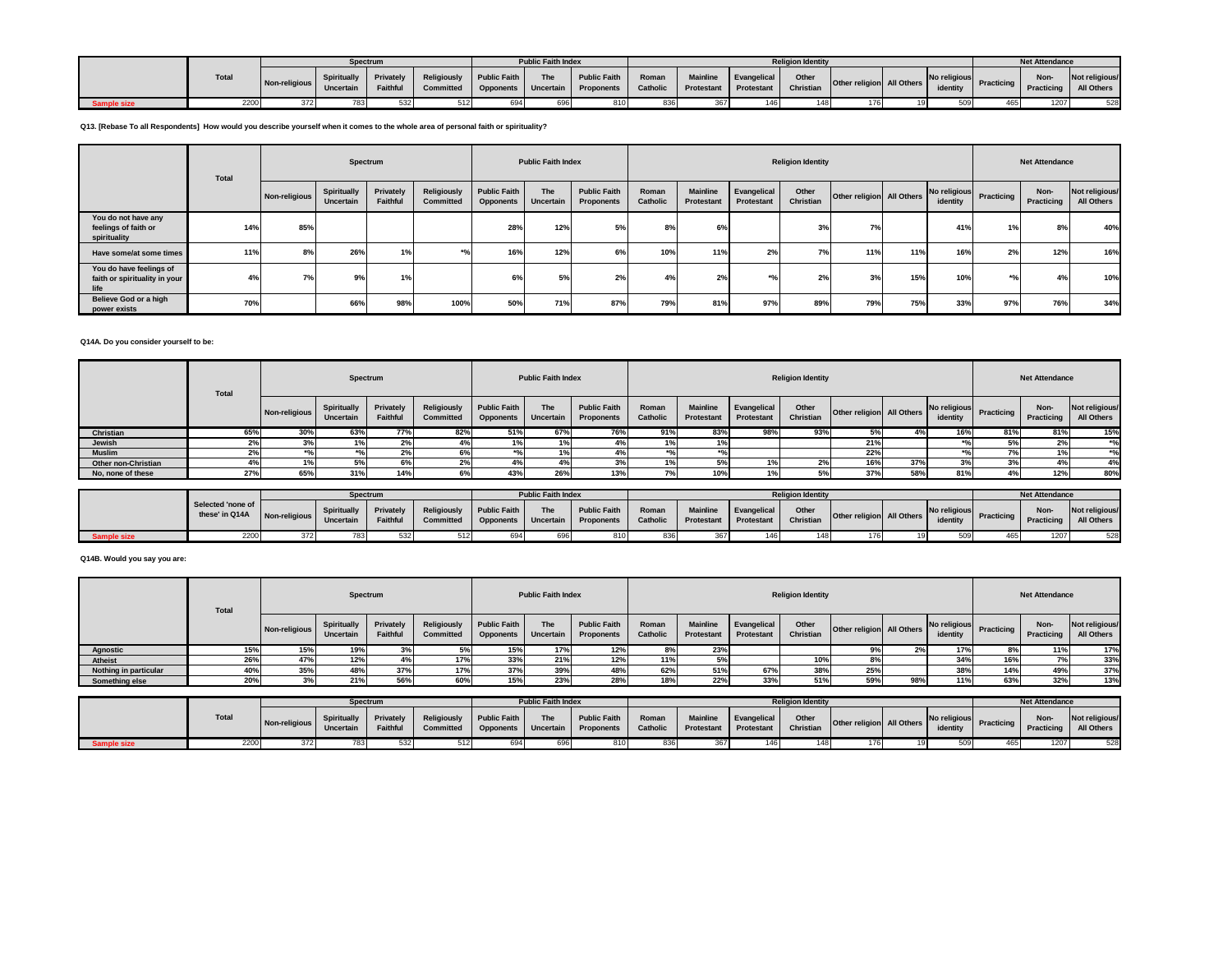|            |              |               |                                 | Spectrum                |                          | <b>Public Faith Index</b> |                                                                                        |       |      |                                           | <b>Religion Identity</b> |                           |          |                         | <b>Net Attendance</b>     |                              |
|------------|--------------|---------------|---------------------------------|-------------------------|--------------------------|---------------------------|----------------------------------------------------------------------------------------|-------|------|-------------------------------------------|--------------------------|---------------------------|----------|-------------------------|---------------------------|------------------------------|
|            | <b>Total</b> | Non-religious | <b>Spiritually</b><br>Uncertain | Privately  <br>Faithful | Religiously Public Faith | <b>The</b>                | Public Faith<br>Committed   Opponents   Uncertain   Proponents   Catholic   Protestant | Roman |      | Mainline Evangelical<br><b>Protestant</b> | Other<br>Christian       | Other religion All Others | identity | No religious Practicing | Non-<br><b>Practicing</b> | Not religious/<br>All Others |
| ample size | 2200         | 3721          |                                 | 532                     |                          | 696                       |                                                                                        | 836   | 3671 |                                           | 148                      |                           |          | CC                      | 1207                      | 528                          |

**Q13. [Rebase To all Respondents] How would you describe yourself when it comes to the whole area of personal faith or spirituality?**

|                                                                  | Total |               | Spectrum                 |                       |                          |                                         | <b>Public Faith Index</b> |                                          |                   |                               |                           | <b>Religion Identity</b> |                           |     |                          |            | <b>Net Attendance</b> |                              |
|------------------------------------------------------------------|-------|---------------|--------------------------|-----------------------|--------------------------|-----------------------------------------|---------------------------|------------------------------------------|-------------------|-------------------------------|---------------------------|--------------------------|---------------------------|-----|--------------------------|------------|-----------------------|------------------------------|
|                                                                  |       | Non-religious | Spiritually<br>Uncertain | Privately<br>Faithful | Religiously<br>Committed | <b>Public Faith</b><br><b>Opponents</b> | The<br>Uncertain          | <b>Public Faith</b><br><b>Proponents</b> | Roman<br>Catholic | <b>Mainline</b><br>Protestant | Evangelical<br>Protestant | Other<br>Christian       | Other religion All Others |     | No religious<br>identity | Practicing | Non-<br>Practicing    | Not religious/<br>All Others |
| You do not have any<br>feelings of faith or<br>spirituality      | 14%   | 85%           |                          |                       |                          | 28%                                     | 12%                       | 5%                                       | 8%                | 6%                            |                           | 3%                       | 7%                        |     | 41%                      | 1%         | 8%                    | 40%                          |
| Have some/at some times                                          | 11%   | 8%            | 26%                      | 1%                    | $\bullet$ n              | 16%                                     | 12%                       | 6%                                       | 10%               | 11%                           | 2%                        | 7%                       | 11%                       | 11% | 16%                      | 2%         | 12%                   | 16%                          |
| You do have feelings of<br>faith or spirituality in your<br>life | 4%    | 7%            | 9%                       | 1%                    |                          | 6%                                      | 5%                        | 2%                                       | 40                | 2%                            | $+01$                     | 2%                       | 3%                        | 15% | 10%                      | $+0.$      | 4%                    | 10%                          |
| Believe God or a high<br>power exists                            | 70%   |               | 66%                      | 98%                   | 100%                     | 50%                                     | 71%                       | 87%                                      | 79%               | 81%                           | 97%                       | 89%                      | 79%                       | 75% | 33%                      | 97%        | 76%                   | 34%                          |

# **Q14A. Do you consider yourself to be:**

|                     | <b>Total</b> |               | Spectrum                 |                       |                          |                                         | <b>Public Faith Index</b> |                                   |                   |                               |                           | <b>Religion Identity</b> |                           |     |                          |                   | <b>Net Attendance</b> |                                 |
|---------------------|--------------|---------------|--------------------------|-----------------------|--------------------------|-----------------------------------------|---------------------------|-----------------------------------|-------------------|-------------------------------|---------------------------|--------------------------|---------------------------|-----|--------------------------|-------------------|-----------------------|---------------------------------|
|                     |              | Non-religious | Spiritually<br>Uncertain | Privately<br>Faithful | Religiously<br>Committed | <b>Public Faith</b><br><b>Opponents</b> | The<br>Uncertain          | <b>Public Faith</b><br>Proponents | Roman<br>Catholic | <b>Mainline</b><br>Protestant | Evangelical<br>Protestant | Other<br>Christian       | Other religion All Others |     | No religious<br>identity | <b>Practicing</b> | Non-<br>Practicing    | Not religious/<br>All Others    |
| Christian           | 65%          | 30%           | 63%                      | 77%                   | 82%                      | 51%                                     | 67%                       | 76%                               | 91%               | 83%                           | 98%                       | 93%                      | 5%                        |     | 16%                      | 81%               | 81%                   | 15%                             |
| Jewish              |              | 3%            |                          |                       |                          |                                         | 1%                        |                                   |                   | 1%                            |                           |                          | 21%                       |     |                          |                   | 2%                    | $*$ <sup>0</sup> / <sub>0</sub> |
| <b>Muslim</b>       |              |               |                          | 2%                    |                          |                                         | 1%                        |                                   |                   | $*0/$                         |                           |                          | 22%                       |     |                          |                   | 10                    | $*$ <sup>o</sup> /              |
| Other non-Christian |              |               | 5%                       | 6%                    | 2%                       | $+$ %                                   |                           | 3%                                |                   | 5%                            |                           |                          | 16%                       | 37% |                          |                   | 4%                    | 4%                              |
| No, none of these   | 27%          | 65%           | 31%                      | 14%                   |                          | 43%                                     | 26%                       | 13%                               |                   | 10%                           |                           |                          | 37%                       | 58% | 81%                      |                   | 12%                   | 80%                             |
|                     |              |               |                          |                       |                          |                                         |                           |                                   |                   |                               |                           |                          |                           |     |                          |                   |                       |                                 |

|             |                                     |                                             |                    | <b>Spectrum</b> |                                       |            | <b>Public Faith Index</b> |                                                                |       |                        |                           | <b>Religion Identity</b> |                           |                                                   |     | <b>Net Attendance</b> |                              |
|-------------|-------------------------------------|---------------------------------------------|--------------------|-----------------|---------------------------------------|------------|---------------------------|----------------------------------------------------------------|-------|------------------------|---------------------------|--------------------------|---------------------------|---------------------------------------------------|-----|-----------------------|------------------------------|
|             | Selected 'none of<br>these' in Q14A | The O14A Non-religious Uncertain   Falument | <b>Spiritually</b> | Privately       | Religiously Public Faith<br>Committed |            | The                       | <b>Public Faith</b><br>Opponents Uncertain Proponents Catholic | Roman | Mainline<br>Protestant | Evangelical<br>Protestant | Other<br>Christian       | Other religion All Others | No religious Practicing Practicing   All Our Case |     |                       | Not religious/<br>All Others |
| Sample size | 2200                                | 3721                                        | 783                | 532             |                                       | <b>GOA</b> |                           |                                                                | 836   |                        |                           |                          | 1761                      | $E\cap\Omega$                                     | 165 | 1207                  | 528                          |

### **Q14B. Would you say you are:**

|                 |                       | Total |               |                          | Spectrum                     |                          |                                         | <b>Public Faith Index</b> |                                   |                   |                               |                           | <b>Religion Identity</b> |                           |     |                          |            | <b>Net Attendance</b>     |                              |
|-----------------|-----------------------|-------|---------------|--------------------------|------------------------------|--------------------------|-----------------------------------------|---------------------------|-----------------------------------|-------------------|-------------------------------|---------------------------|--------------------------|---------------------------|-----|--------------------------|------------|---------------------------|------------------------------|
|                 |                       |       | Non-religious | Spiritually<br>Uncertain | Privately<br><b>Faithful</b> | Religiously<br>Committed | <b>Public Faith</b><br><b>Opponents</b> | The<br>Uncertain          | <b>Public Faith</b><br>Proponents | Roman<br>Catholic | <b>Mainline</b><br>Protestant | Evangelical<br>Protestant | Other<br>Christian       | Other religion All Others |     | No religious<br>identity | Practicing | <b>Non-</b><br>Practicing | Not religious/<br>All Others |
| <b>Agnostic</b> |                       |       | 15%           | 19%                      |                              |                          | 15%                                     | 17%                       | 12%                               |                   | 23%                           |                           |                          |                           | 2%  |                          |            | 11%                       | 17%                          |
| Atheist         |                       | 26%   | 47%           | 12%                      |                              | 17%                      | 33%                                     | 21%                       | 12%                               | 11%               | 5%                            |                           | 10 <sup>o</sup>          |                           |     | -347                     | 16%        | 7%                        | 33%                          |
|                 | Nothing in particular |       | 35%           | 48%                      | 37%                          | 17%                      | 37%                                     | 39%                       | 48%                               | 62%               | 51%                           | 67%                       | 38%                      | 25%                       |     | 38°                      | 14%        | 49%                       | 37%                          |
|                 | Something else        | 20%   |               | 21%                      | 56%                          | 60%                      | 15%                                     | 23%                       | 28%                               | 18%               | 22%                           | 33%                       | 51%                      | 59%                       | 98% |                          | 63%        | 32%                       | 13%                          |

|                    |       |               | <b>Spectrum</b>                 |                       |                                              |                     | <b>Public Faith Index</b> |                                          |                   |                               |                           | <b>Religion Identity</b> |                           |                                       | <b>Net Attendance</b> |                              |
|--------------------|-------|---------------|---------------------------------|-----------------------|----------------------------------------------|---------------------|---------------------------|------------------------------------------|-------------------|-------------------------------|---------------------------|--------------------------|---------------------------|---------------------------------------|-----------------------|------------------------------|
|                    | Total | Non-religious | Spiritually<br><b>Uncertain</b> | Privately<br>Faithful | Religiously Public Faith<br><b>Committed</b> | Opponents Uncertain | The                       | <b>Public Faith</b><br><b>Proponents</b> | Roman<br>Catholic | <b>Mainline</b><br>Protestant | Evangelical<br>Protestant | Other<br>Christian       | Other religion All Others | No religious Practicing I<br>identity | Non-<br>Practicing    | Not religious/<br>All Others |
| <b>Sample size</b> | 2200  | 372           |                                 |                       |                                              | 694                 |                           |                                          |                   | 367                           |                           |                          |                           |                                       | 1207                  | 528                          |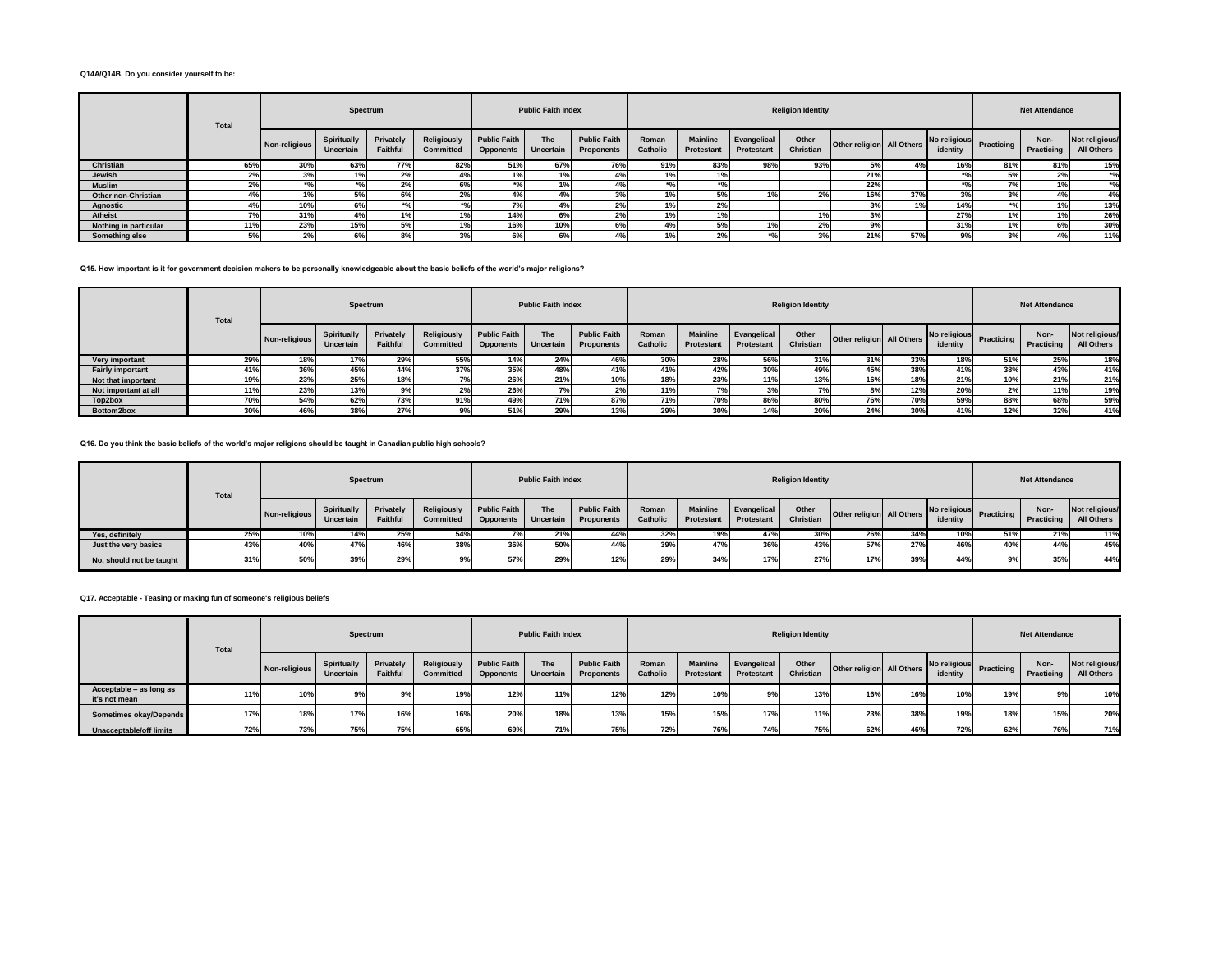#### **Q14A/Q14B. Do you consider yourself to be:**

|                       | Total |               | Spectrum                 |                       |                                 |                                         | <b>Public Faith Index</b> |                                   |                    |                               |                                  | <b>Religion Identity</b> |                           |              |                          |               | <b>Net Attendance</b> |                                 |
|-----------------------|-------|---------------|--------------------------|-----------------------|---------------------------------|-----------------------------------------|---------------------------|-----------------------------------|--------------------|-------------------------------|----------------------------------|--------------------------|---------------------------|--------------|--------------------------|---------------|-----------------------|---------------------------------|
|                       |       | Non-religious | Spiritually<br>Uncertain | Privately<br>Faithful | Religiously<br><b>Committed</b> | <b>Public Faith</b><br><b>Opponents</b> | The<br>Uncertain          | <b>Public Faith</b><br>Proponents | Roman<br>Catholic  | <b>Mainline</b><br>Protestant | Evangelical<br><b>Protestant</b> | Other<br>Christian       | Other religion All Others |              | No religious<br>identity | Practicing    | Non-<br>Practicing    | Not religious/<br>All Others    |
| Christian             | 65%   | 30%           | 63%                      | 77%                   | 82%                             | 51%                                     | 67%                       | <b>76%</b>                        | 91%                | 83%                           | 98%                              | 93%                      | 5%                        | 401<br>$4\%$ | 16%                      | 81%           | 81%                   | 15%                             |
| Jewish                | 2%    | 3%            |                          | 2%                    | 4%                              | 1%                                      |                           | $4\%$                             | 1%                 | 1%                            |                                  |                          | 21%                       |              |                          | 5%            | 2%                    | $*$ <sup>o</sup> / <sub>0</sub> |
| <b>Muslim</b>         | 2%    |               | $*$ 0                    | 2%                    | 6%                              |                                         |                           | 4%                                | $*$ <sup>0</sup> / | $*0/2$                        |                                  |                          | 22%                       |              |                          | $\frac{7}{6}$ |                       | $*$ %                           |
| Other non-Christian   | 4%    |               | 5%                       | 6%                    | 2%                              | 4%                                      |                           | 3%                                |                    | 5%                            |                                  | 2%                       | 16%                       | 37%          | 3%                       | 3%            | 4%                    | 4%                              |
| Agnostic              | 4%    | 10%           | 6%                       | $*$ %                 | $*$ <sup>o</sup> /              | 7%                                      |                           | 2%                                | 10/2               | 2%                            |                                  |                          | 3%                        | 1%           | 14%                      |               |                       | 13%                             |
| Atheist               |       | 31%           | 4%                       | 1%                    | 1%                              | 14%                                     |                           | 27                                |                    | 1%                            |                                  |                          |                           |              | 27%                      |               |                       | 26%                             |
| Nothing in particular | 11%   | 23%           | 15%                      | 5%                    | 1%                              | 16%                                     | 10%                       |                                   |                    | 5%                            | 1%                               | 2%                       | 9%                        |              | 31%                      |               | 6%                    | 30%                             |
| Something else        | 5%    | no<br>27      | 6%                       | 8%                    | 3%                              | 6%                                      |                           |                                   | 10L                | 2%                            | $*$ %                            | 3%                       | 21%                       | 57%          | 9%                       |               | $A^{0}$               | 11%                             |

**Q15. How important is it for government decision makers to be personally knowledgeable about the basic beliefs of the world's major religions?**

|                         | <b>Total</b> |               | Spectrum                 |                       |                                 |                                         | <b>Public Faith Index</b> |                                   |                   |                               |                                  | <b>Religion Identity</b> |                           |     |                          |            | <b>Net Attendance</b> |                              |
|-------------------------|--------------|---------------|--------------------------|-----------------------|---------------------------------|-----------------------------------------|---------------------------|-----------------------------------|-------------------|-------------------------------|----------------------------------|--------------------------|---------------------------|-----|--------------------------|------------|-----------------------|------------------------------|
|                         |              | Non-religious | Spiritually<br>Uncertain | Privately<br>Faithful | Religiously<br><b>Committed</b> | <b>Public Faith</b><br><b>Opponents</b> | <b>The</b><br>Uncertain   | <b>Public Faith</b><br>Proponents | Roman<br>Catholic | <b>Mainline</b><br>Protestant | Evangelical<br><b>Protestant</b> | Other<br>Christian       | Other religion All Others |     | No religious<br>identity | Practicing | Non-<br>Practicing    | Not religious/<br>All Others |
| Very important          | 29%          | 18%           | 17%                      | 29%                   | 55%                             | 14%                                     | 24%                       |                                   | 30%               | 28%                           | 56%                              | 31%                      | 31%                       | 33% | 18%                      | 51%        | 25%                   | 18%                          |
| <b>Fairly important</b> | 41%          | 36%           | 45%                      | 44%                   | 37%                             | 35%                                     |                           |                                   | 41%               | 42%                           | 30%                              | 49%                      | 45%                       | 38% | 41%                      | 38%        | 43%                   | 41%                          |
| Not that important      | 19%          | 23%           | 25%                      | 18%                   | 7%                              | 26%                                     | 21%                       | 10%                               | 18%               | 23%                           | 11%                              | 13%                      | 16%                       | 18% | 21%                      | 10%        | 21%                   | 21%                          |
| Not important at all    | 11%          | 23%           | 13%                      | 9%                    | 2%                              | 26%                                     | $\frac{7}{6}$             | 47                                | 11%               | 7%                            | 3%                               | 7%                       | 8%                        | 12% | 20%                      | $2\%$      | 11%                   | 19%                          |
| Top2box                 | 70%          | 54%           | 62%                      | 73%                   | 91%                             | 49%                                     | 71%                       | 87%                               | 71%               | 70%                           | 86%                              | 80%                      | 76%                       | 70% | 59%                      | 88%        | 68%                   | 59%                          |
| Bottom2box              | 30%          | 46%           | 38%                      | 27%                   | 9%                              | 51%                                     | 29%                       | 13%                               | 29%               | 30%                           | 14%                              | 20%                      | 24%                       | 30% | 41%                      | 12%        | 32%                   | 41%                          |

**Q16. Do you think the basic beliefs of the world's major religions should be taught in Canadian public high schools?**

|                          | Total |               | Spectrum                 |                       |                                 |                                         | <b>Public Faith Index</b> |                                   |                   |                               |                           | <b>Religion Identity</b> |                           |     |                          |            | <b>Net Attendance</b> |                              |
|--------------------------|-------|---------------|--------------------------|-----------------------|---------------------------------|-----------------------------------------|---------------------------|-----------------------------------|-------------------|-------------------------------|---------------------------|--------------------------|---------------------------|-----|--------------------------|------------|-----------------------|------------------------------|
|                          |       | Non-religious | Spiritually<br>Uncertain | Privately<br>Faithful | Religiously<br><b>Committed</b> | <b>Public Faith</b><br><b>Opponents</b> | The<br>Uncertain          | <b>Public Faith</b><br>Proponents | Roman<br>Catholic | <b>Mainline</b><br>Protestant | Evangelical<br>Protestant | Other<br>Christian       | Other religion All Others |     | No religious<br>identity | Practicing | Non-<br>Practicing    | Not religious/<br>All Others |
| Yes, definitely          | 25%   | 10%           | 14%                      | 25%                   | 54%                             |                                         | 21%                       | 44%                               | 32%               | 19%                           | 47%                       | 30%                      | 26%                       | 34% | 10%                      | 51%        | 21%                   | 11%                          |
| Just the very basics     | 43%   | 40%           | 47%                      | 46%                   | 38%                             | 36%                                     | 50%                       | 44%                               | 39%               | 47%                           | 36%                       | 43%                      | 57%                       | 27% | 46%                      | 40%        | 44%                   | 45%                          |
| No, should not be taught | 31%   | 50%           | 39%                      | 29%                   | 9%                              | 57%                                     | 29%                       | 12%                               | 29%               | 34%                           | 17%                       | 27%                      | 17%                       | 39% | 44%                      |            | 35%                   | 44%                          |

**Q17. Acceptable - Teasing or making fun of someone's religious beliefs**

|                                          | Total |               | Spectrum                 |                              |                          |                                         | <b>Public Faith Index</b> |                                          |                   |                               |                           | <b>Religion Identity</b> |                           |     |                          |            | <b>Net Attendance</b> |                              |
|------------------------------------------|-------|---------------|--------------------------|------------------------------|--------------------------|-----------------------------------------|---------------------------|------------------------------------------|-------------------|-------------------------------|---------------------------|--------------------------|---------------------------|-----|--------------------------|------------|-----------------------|------------------------------|
|                                          |       | Non-religious | Spiritually<br>Uncertain | Privately<br><b>Faithful</b> | Religiously<br>Committed | <b>Public Faith</b><br><b>Opponents</b> | The<br>Uncertain          | <b>Public Faith</b><br><b>Proponents</b> | Roman<br>Catholic | <b>Mainline</b><br>Protestant | Evangelical<br>Protestant | Other<br>Christian       | Other religion All Others |     | No religious<br>identity | Practicing | Non-<br>Practicing    | Not religious/<br>All Others |
| Acceptable – as long as<br>it's not mean | 11%   | 10%           | 9%                       | 9%                           | 19%                      | 12%                                     | 11%                       | 12%                                      | 12%               | 10%                           | 9%                        | 13%                      | 16%                       | 16% | 10%                      | 19%        | 9%                    | 10%                          |
| Sometimes okay/Depends                   | 17%   | 18%           | 17%                      | 16%                          | 16%                      | 20%                                     | 18%                       | 13%                                      | 15%               | 15%                           | 17%                       | 11%                      | 23%                       | 38% | 19%                      | 18%        | 15%                   | 20%                          |
| <b>Unacceptable/off limits</b>           | 72%   | 73%           | 75%                      | 75%                          | 65%                      | 69%                                     | 71%                       | 75%                                      | 72%               | 76%                           | 74%                       | 75%                      | 62%                       | 46% | 72%                      | 62%        | 76%                   | 71%                          |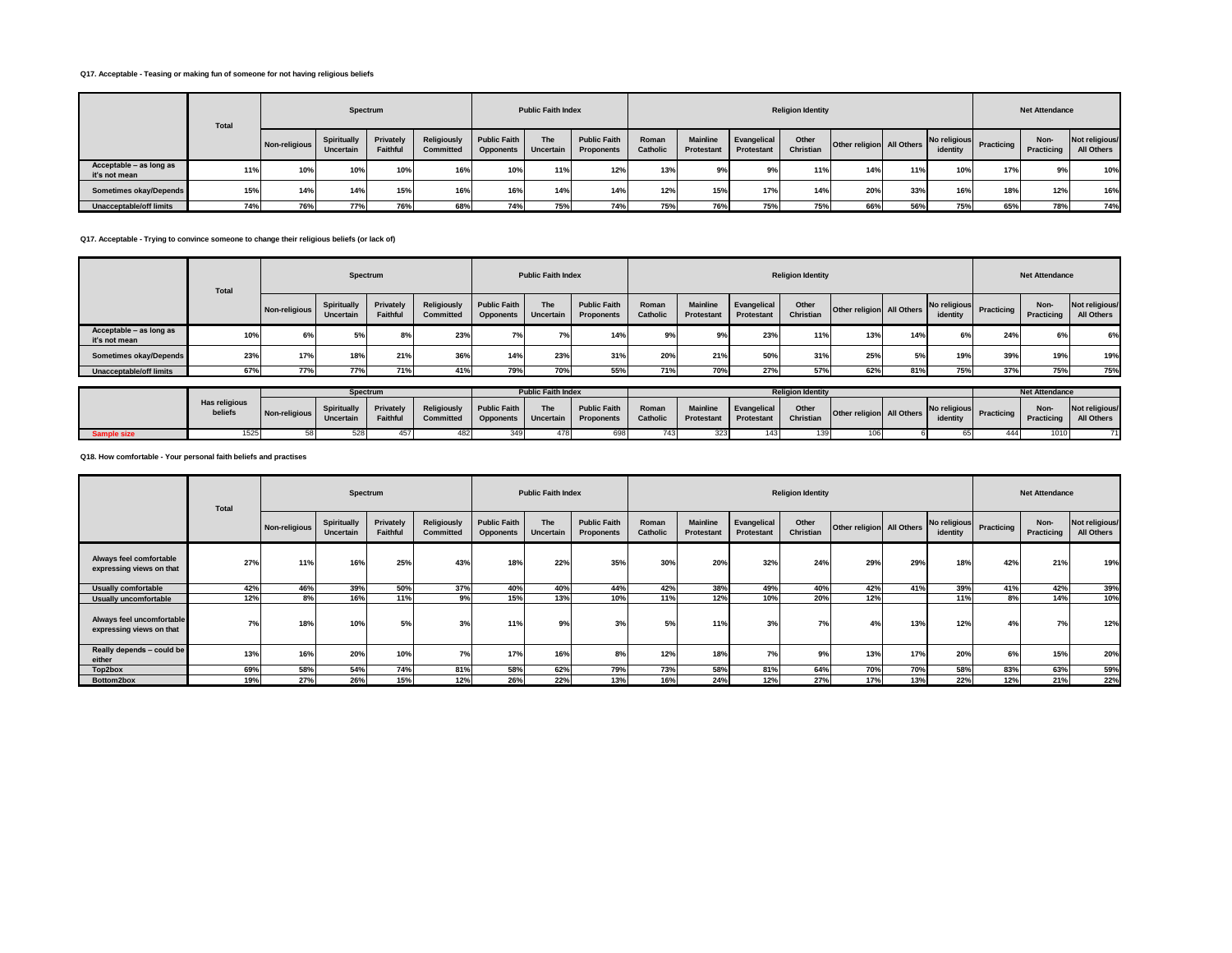#### **Q17. Acceptable - Teasing or making fun of someone for not having religious beliefs**

|                                          | <b>Total</b> |               |                          | Spectrum              |                          |                                         | <b>Public Faith Index</b>      |                                          |                          |                               |                           | <b>Religion Identity</b> |                           |     |                          |                   | <b>Net Attendance</b> |                              |
|------------------------------------------|--------------|---------------|--------------------------|-----------------------|--------------------------|-----------------------------------------|--------------------------------|------------------------------------------|--------------------------|-------------------------------|---------------------------|--------------------------|---------------------------|-----|--------------------------|-------------------|-----------------------|------------------------------|
|                                          |              | Non-religious | Spiritually<br>Uncertain | Privately<br>Faithful | Religiously<br>Committed | <b>Public Faith</b><br><b>Opponents</b> | <b>The</b><br><b>Uncertain</b> | <b>Public Faith</b><br><b>Proponents</b> | Roman<br><b>Catholic</b> | <b>Mainline</b><br>Protestant | Evangelical<br>Protestant | Other<br>Christian       | Other religion All Others |     | No religious<br>identity | <b>Practicing</b> | Non-<br>Practicing    | Not religious/<br>All Others |
| Acceptable - as long as<br>it's not mean | 11%          | 10%           | 10 <sup>%</sup>          | 10%                   | 16%                      | 10%                                     | 11%                            | 12%                                      | 13%                      | 9%                            | 9%                        | 11%                      | 14%                       | 11% | 10%                      | 17%               | 9%                    | 10%                          |
| Sometimes okay/Depends                   | 15%          | 14%           | 14%                      | 15%                   | 16%                      | 16%                                     | 14%                            | 14%                                      | 12%                      | 15%                           | 17%                       | 14%                      | 20%                       | 33% | 16%                      | 18%               | 12%                   | 16%                          |
| <b>Unacceptable/off limits</b>           | 74%          | 76%           | 77%                      | 76%                   | 68%                      | 74%                                     | 75%                            | 74%                                      | 75%                      | 76%                           | 75%                       | 75%                      | 66%                       | 56% | 75%                      | 65%               | 78%                   | 74%                          |

**Q17. Acceptable - Trying to convince someone to change their religious beliefs (or lack of)**

|                                          | Total |               | Spectrum                        |                       |                                 |                                         | <b>Public Faith Index</b> |                                          |                   |                                      |                           | <b>Religion Identity</b> |                           |     |          |                         | <b>Net Attendance</b> |                              |
|------------------------------------------|-------|---------------|---------------------------------|-----------------------|---------------------------------|-----------------------------------------|---------------------------|------------------------------------------|-------------------|--------------------------------------|---------------------------|--------------------------|---------------------------|-----|----------|-------------------------|-----------------------|------------------------------|
|                                          |       | Non-religious | Spiritually<br><b>Uncertain</b> | Privately<br>Faithful | Religiously<br><b>Committed</b> | <b>Public Faith</b><br><b>Opponents</b> | The<br>Uncertain          | <b>Public Faith</b><br><b>Proponents</b> | Roman<br>Catholic | <b>Mainline</b><br><b>Protestant</b> | Evangelical<br>Protestant | Other<br>Christian       | Other religion All Others |     | identity | No religious Practicing | Non-<br>Practicing    | Not religious/<br>All Others |
| Acceptable - as long as<br>it's not mean | 10%   | 6%            | 5%                              | 8                     | 23%                             | 7%                                      | 70/                       | 14%                                      | 9%                | 9%                                   | 23%                       | 11%                      | 13%                       | 14% | 6%       | 24%                     | 6%                    | 6%                           |
| Sometimes okay/Depends                   | 23%   | 17%           | 18%                             | 21%                   | 36%                             | 14%                                     | 23%                       | 31%                                      | 20%               | 21%                                  | 50%                       | 31%                      | 25%                       | 5%  | 19%      | 39%                     | 19%                   | 19%                          |
| Unacceptable/off limits                  | 67%   | 77%           | 77%                             |                       | 41%                             | 79%                                     | 70%                       | 55%                                      | 71%               | 70%                                  | 27%                       |                          | 62%                       | 81% | 75%      | 37%                     | 75%                   | 75%                          |

|           |                                 |               | Spectrum                        |                       |                          |                                            | <b>Public Faith Index</b> |                                          |                   |                               |                           | <b>Religion Identity</b> |                           |                             | <b>Net Attendance</b> |                                                    |
|-----------|---------------------------------|---------------|---------------------------------|-----------------------|--------------------------|--------------------------------------------|---------------------------|------------------------------------------|-------------------|-------------------------------|---------------------------|--------------------------|---------------------------|-----------------------------|-----------------------|----------------------------------------------------|
|           | <b>Has religious</b><br>beliefs | Non-religious | <b>Spiritually</b><br>Uncertain | Privately<br>Faithful | Religiously<br>Committed | <b>Public Faith</b><br>Opponents Uncertain | The                       | <b>Public Faith</b><br><b>Proponents</b> | Roman<br>Catholic | <b>Mainline</b><br>Protestant | Evangelical<br>Protestant | Other<br>Christian       | Other religion All Others | No religious Br<br>identity | <b>Non-</b>           | Not religious/<br>Practicing Practicing All Others |
| mple size | 1525                            |               | 528                             |                       | 482                      |                                            |                           |                                          |                   |                               |                           |                          |                           |                             | 1010                  |                                                    |

**Q18. How comfortable - Your personal faith beliefs and practises**

|                                                       | Total |               |                          | Spectrum              |                                 |                                         | <b>Public Faith Index</b> |                                   |                   |                                      |                                  | <b>Religion Identity</b> |                           |     |                          |            | <b>Net Attendance</b> |                              |
|-------------------------------------------------------|-------|---------------|--------------------------|-----------------------|---------------------------------|-----------------------------------------|---------------------------|-----------------------------------|-------------------|--------------------------------------|----------------------------------|--------------------------|---------------------------|-----|--------------------------|------------|-----------------------|------------------------------|
|                                                       |       | Non-religious | Spiritually<br>Uncertain | Privately<br>Faithful | Religiously<br><b>Committed</b> | <b>Public Faith</b><br><b>Opponents</b> | The<br>Uncertain          | <b>Public Faith</b><br>Proponents | Roman<br>Catholic | <b>Mainline</b><br><b>Protestant</b> | Evangelical<br><b>Protestant</b> | Other<br>Christian       | Other religion All Others |     | No religious<br>identity | Practicing | Non-<br>Practicing    | Not religious/<br>All Others |
| Always feel comfortable<br>expressing views on that   | 27%   | 11%           | 16%                      | 25%                   | 43%                             | 18%                                     | 22%                       | 35%                               | 30%               | 20%                                  | 32%                              | 24%                      | 29%                       | 29% | 18%                      | 42%        | 21%                   | 19%                          |
| <b>Usually comfortable</b>                            | 42%   | 46%           | 39%                      | 50%                   | 37%                             | 40%                                     | 40%                       | 44%                               | 42%               | 38%                                  | 49%                              | 40%                      | 42%                       | 41% | 39%                      | 41%        | 42%                   | 39%                          |
| <b>Usually uncomfortable</b>                          | 12%   | 8%            | 16%                      | 11%                   | 9%                              | 15%                                     | 13%                       | 10%                               | 11%               | 12%                                  | 10%                              | 20%                      | 12%                       |     | 11%                      | 8%         | 14%                   | 10%                          |
| Always feel uncomfortable<br>expressing views on that | 7%    | 18%           | 10%                      | 5%                    | 3%                              | 11%                                     | 9%                        | 3%                                | 5%                | 11%                                  | 3%                               | 7%                       | 4%                        | 13% | 12%                      | 4%         | 7%                    | 12%                          |
| Really depends - could be<br>either                   | 13%   | 16%           | 20%                      | 10%                   | 7%                              | 17%                                     | 16%                       | 8%                                | 12%               | 18%                                  | 7%                               | 9%                       | 13%                       | 17% | 20%                      | 6%         | 15%                   | 20%                          |
| Top2box                                               | 69%   | 58%           | 54%                      | 74%                   | 81%                             | 58%                                     | 62%                       | 79%                               | 73%               | 58%                                  | 81%                              | 64%                      | 70%                       | 70% | 58%                      | 83%        | 63%                   | 59%                          |
| Bottom2box                                            | 19%   | 27%           | 26%                      | 15%                   | 12%                             | 26%                                     | 22%                       | 13%                               | 16%               | 24%                                  | 12%                              | 27%                      | 17%                       | 13% | 22%                      | 12%        | 21%                   | 22%                          |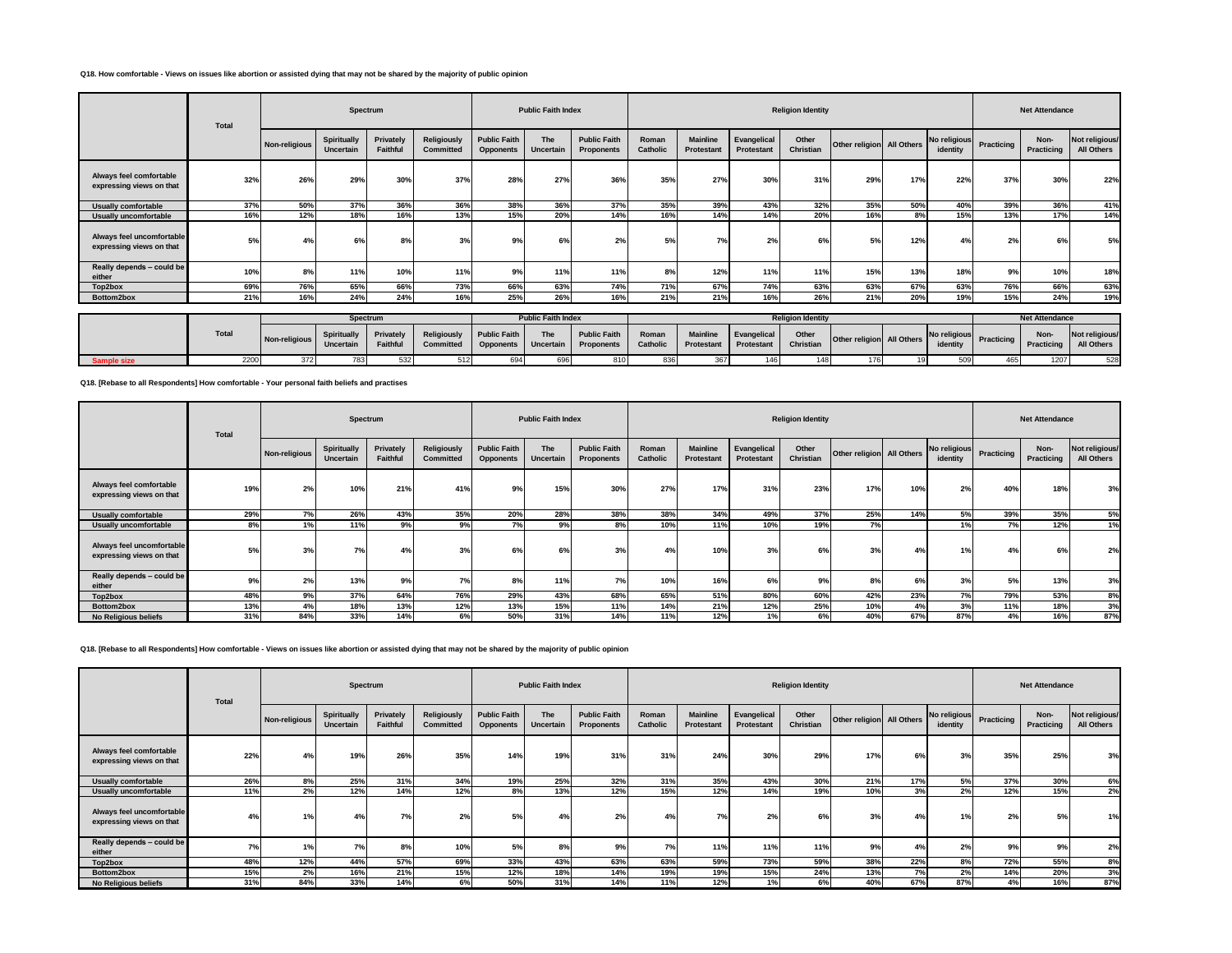### **Q18. How comfortable - Views on issues like abortion or assisted dying that may not be shared by the majority of public opinion**

|                                                       | Total |               | Spectrum                               |                       |                                        |                                         | <b>Public Faith Index</b> |                                          |                   |                                      |                           | <b>Religion Identity</b> |                           |     |                          |            | <b>Net Attendance</b> |                              |
|-------------------------------------------------------|-------|---------------|----------------------------------------|-----------------------|----------------------------------------|-----------------------------------------|---------------------------|------------------------------------------|-------------------|--------------------------------------|---------------------------|--------------------------|---------------------------|-----|--------------------------|------------|-----------------------|------------------------------|
|                                                       |       | Non-religious | Spiritually<br><b>Uncertain</b>        | Privately<br>Faithful | <b>Religiously</b><br>Committed        | <b>Public Faith</b><br><b>Opponents</b> | The<br><b>Uncertain</b>   | <b>Public Faith</b><br><b>Proponents</b> | Roman<br>Catholic | <b>Mainline</b><br><b>Protestant</b> | Evangelical<br>Protestant | Other<br>Christian       | Other religion All Others |     | No religious<br>identity | Practicing | Non-<br>Practicing    | Not religious/<br>All Others |
| Always feel comfortable<br>expressing views on that   | 32%   | 26%           | 29%                                    | 30%                   | 37%                                    | 28%                                     | 27%                       | 36%                                      | 35%               | 27%                                  | 30%                       | 31%                      | 29%                       | 17% | 22%                      | 37%        | 30%                   | 22%                          |
| Usually comfortable                                   | 37%   | 50%           | 37%                                    | 36%                   | 36%                                    | 38%                                     | 36%                       | 37%                                      | 35%               | 39%                                  | 43%                       | 32%                      | 35%                       | 50% | 40%                      | 39%        | 36%                   | 41%                          |
| Usually uncomfortable                                 | 16%   | 12%           | 18%                                    | 16%                   | 13%                                    | 15%                                     | 20%                       | 14%                                      | 16%               | 14%                                  | 14%                       | 20%                      | 16%                       | 8%  | 15%                      | 13%        | 17%                   | 14%                          |
| Always feel uncomfortable<br>expressing views on that | 5%    | 4%            | 6%                                     | 8%                    | 3%                                     | 9%                                      | 6%                        | 2%                                       | 5%                | 7%                                   | 2%                        | 6%                       | 5%                        | 12% | 4%                       | 2%         | 6%                    | 5%                           |
| Really depends - could be<br>either                   | 10%   | 8%            | 11%                                    | 10%                   | 11%                                    | 9%                                      | 11%                       | 11%                                      | 8%                | 12%                                  | 11%                       | 11%                      | 15%                       | 13% | 18%                      | 9%         | 10%                   | 18%                          |
| Top2box                                               | 69%   | 76%           | 65%                                    | 66%                   | 73%                                    | 66%                                     | 63%                       | 74%                                      | 71%               | 67%                                  | 74%                       | 63%                      | 63%                       | 67% | 63%                      | 76%        | 66%                   | 63%                          |
| Bottom2box                                            | 21%   | 16%           | 24%                                    | 24%                   | 16%                                    | 25%                                     | 26%                       | 16%                                      | 21%               | 21%                                  | 16%                       | 26%                      | 21%                       | 20% | 19%                      | 15%        | 24%                   | 19%                          |
|                                                       |       |               |                                        | Spectrum              |                                        |                                         | <b>Public Faith Index</b> |                                          |                   |                                      |                           | <b>Religion Identity</b> |                           |     |                          |            | <b>Net Attendance</b> |                              |
|                                                       | Total | Non-religious | <b>Spiritually</b><br><b>Uncertain</b> | Privately<br>Faithful | <b>Religiously</b><br><b>Committed</b> | <b>Public Faith</b><br><b>Opponents</b> | The<br>Uncertain          | <b>Public Faith</b><br>Proponents        | Roman<br>Catholic | <b>Mainline</b><br>Protestant        | Evangelical<br>Protestant | Other<br>Christian       | Other religion All Others |     | No religious<br>identity | Practicing | Non-<br>Practicing    | Not religious/<br>All Others |
| Sample size                                           | 2200  | 372           | 783                                    | 532                   | 512                                    | 694                                     | 696                       | 810                                      | 836               | 367                                  | 146                       | 148                      | 176                       | 19  | 509                      | 465        | 1207                  | 528                          |

**Q18. [Rebase to all Respondents] How comfortable - Your personal faith beliefs and practises**

|                                                       | Total |               |                          | Spectrum              |                                 |                                         | <b>Public Faith Index</b> |                                          |                   |                                      |                                  | <b>Religion Identity</b> |                           |     |                          |              | <b>Net Attendance</b> |                              |
|-------------------------------------------------------|-------|---------------|--------------------------|-----------------------|---------------------------------|-----------------------------------------|---------------------------|------------------------------------------|-------------------|--------------------------------------|----------------------------------|--------------------------|---------------------------|-----|--------------------------|--------------|-----------------------|------------------------------|
|                                                       |       | Non-religious | Spiritually<br>Uncertain | Privately<br>Faithful | Religiously<br><b>Committed</b> | <b>Public Faith</b><br><b>Opponents</b> | <b>The</b><br>Uncertain   | <b>Public Faith</b><br><b>Proponents</b> | Roman<br>Catholic | <b>Mainline</b><br><b>Protestant</b> | Evangelical<br><b>Protestant</b> | Other<br>Christian       | Other religion All Others |     | No religious<br>identity | Practicing I | Non-<br>Practicing    | Not religious/<br>All Others |
| Always feel comfortable<br>expressing views on that   | 19%   | 2%            | 10%                      | 21%                   | 41%                             | 9%                                      | 15%                       | 30%                                      | 27%               | 17%                                  | 31%                              | 23%                      | 17%                       | 10% | 2%                       | 40%          | 18%                   | 3%                           |
| <b>Usually comfortable</b>                            | 29%   | 7%            | 26%                      | 43%                   | 35%                             | 20%                                     | 28%                       | 38%                                      | 38%               | 34%                                  | 49%                              | 37%                      | 25%                       | 14% | 5%                       | 39%          | 35%                   | 5%                           |
| <b>Usually uncomfortable</b>                          | 8%    | 1%            | 11%                      | 9%                    | 9%                              | 7%                                      | 9%                        | 8%                                       | 10%               | 11%                                  | 10%                              | 19%                      | 7%                        |     | 1%                       | 7%           | 12%                   | 1%                           |
| Always feel uncomfortable<br>expressing views on that | 5%    | 3%            | 7%                       | 4%                    | 3%                              | 6%                                      | 6%                        | 3%                                       | 4%                | 10%                                  | 3%                               | 6%                       | 3%                        | 4%  | 1%                       | 4%           | 6%                    | 2%                           |
| Really depends - could be<br>either                   | 9%    | 2%            | 13%                      | 9%                    | 7%                              | 8%                                      | 11%                       | 7%                                       | 10%               | 16%                                  | 6%                               | 9%                       | 8%                        | 6%  | 3%                       | 5%           | 13%                   | 3%                           |
| Top2box                                               | 48%   | 9%            | 37%                      | 64%                   | 76%                             | 29%                                     | 43%                       | 68%                                      | 65%               | 51%                                  | 80%                              | 60%                      | 42%                       | 23% | 7%                       | 79%          | 53%                   | 8%                           |
| Bottom2box                                            | 13%   | 4%            | 18%                      | 13%                   | 12%                             | 13%                                     | 15%                       | 11%                                      | 14%               | 21%                                  | 12%                              | 25%                      | 10%                       | 4%  | 3%                       | 11%          | 18%                   | 3%                           |
| No Religious beliefs                                  | 31%   | 84%           | 33%                      | 14%                   | 6%                              | 50%                                     | 31%                       | 14%                                      | 11%               | 12%                                  | 1%                               | 6%                       | 40%                       | 67% | 87%                      | 4%           | 16%                   | 87%                          |

**Q18. [Rebase to all Respondents] How comfortable - Views on issues like abortion or assisted dying that may not be shared by the majority of public opinion**

|                                                       | <b>Total</b> |                | Spectrum                 |                       |                                 |                                         | <b>Public Faith Index</b> |                                          |                   |                               |                                  | <b>Religion Identity</b> |                           |     |                          |            | <b>Net Attendance</b> |                              |
|-------------------------------------------------------|--------------|----------------|--------------------------|-----------------------|---------------------------------|-----------------------------------------|---------------------------|------------------------------------------|-------------------|-------------------------------|----------------------------------|--------------------------|---------------------------|-----|--------------------------|------------|-----------------------|------------------------------|
|                                                       |              | Non-religious  | Spiritually<br>Uncertain | Privately<br>Faithful | Religiously<br><b>Committed</b> | <b>Public Faith</b><br><b>Opponents</b> | The<br>Uncertain          | <b>Public Faith</b><br><b>Proponents</b> | Roman<br>Catholic | <b>Mainline</b><br>Protestant | Evangelical<br><b>Protestant</b> | Other<br>Christian       | Other religion All Others |     | No religious<br>identity | Practicing | Non-<br>Practicing    | Not religious/<br>All Others |
| Always feel comfortable<br>expressing views on that   | 22%          | 4%             | 19%                      | 26%                   | 35%                             | 14%                                     | 19%                       | 31%                                      | 31%               | 24%                           | 30%                              | 29%                      | 17%                       | 6%  | 3%                       | 35%        | 25%                   | 3%                           |
| <b>Usually comfortable</b>                            | 26%          | 8%             | 25%                      | 31%                   | 34%                             | 19%                                     | 25%                       | 32%                                      | 31%               | 35%                           | 43%                              | 30%                      | 21%                       | 17% | 5%                       | 37%        | 30%                   | 6%                           |
| Usually uncomfortable                                 | 11%          | 2%             | 12%                      | 14%                   | 12%                             | 8%                                      | 13%                       | 12%                                      | 15%               | 12%                           | 14%                              | 19%                      | 10%                       | 3%  | 2%                       | 12%        | 15%                   | 2%                           |
| Always feel uncomfortable<br>expressing views on that | 4%           | $\overline{a}$ | 4%                       | 7%                    | 2%                              | 5%                                      |                           | 2%                                       | 4%                | 7%                            | 2%                               | 6%                       | 3%                        | 4%  | 1%                       | 2%         | 5%                    | 1%                           |
| Really depends - could be<br>either                   | 7%           |                | 7%                       | 8%                    | 10%                             | 5%                                      | 8%                        | 9%                                       | 7%                | 11%                           | 11%                              | 11%                      | 9%                        | 4%  | 2%                       | 9%         | 9%                    | 2%                           |
| Top2box                                               | 48%          | 12%            | 44%                      | 57%                   | 69%                             | 33%                                     | 43%                       | 63%                                      | 63%               | 59%                           | 73%                              | 59%                      | 38%                       | 22% | 8%                       | 72%        | 55%                   | 8%                           |
| Bottom2box                                            | 15%          | 2%             | 16%                      | 21%                   | 15%                             | 12%                                     | 18%                       | 14%                                      | 19%               | 19%                           | 15%                              | 24%                      | 13%                       | 7%  | 2%                       | 14%        | 20%                   | 3%                           |
| No Religious beliefs                                  | 31%          | 84%            | 33%                      | 14%                   | 6%                              | 50%                                     | 31%                       | 14%                                      | 11%               | 12%                           | 1%                               | 6%                       | 40%                       | 67% | 87%                      | 4%         | 16%                   | 87%                          |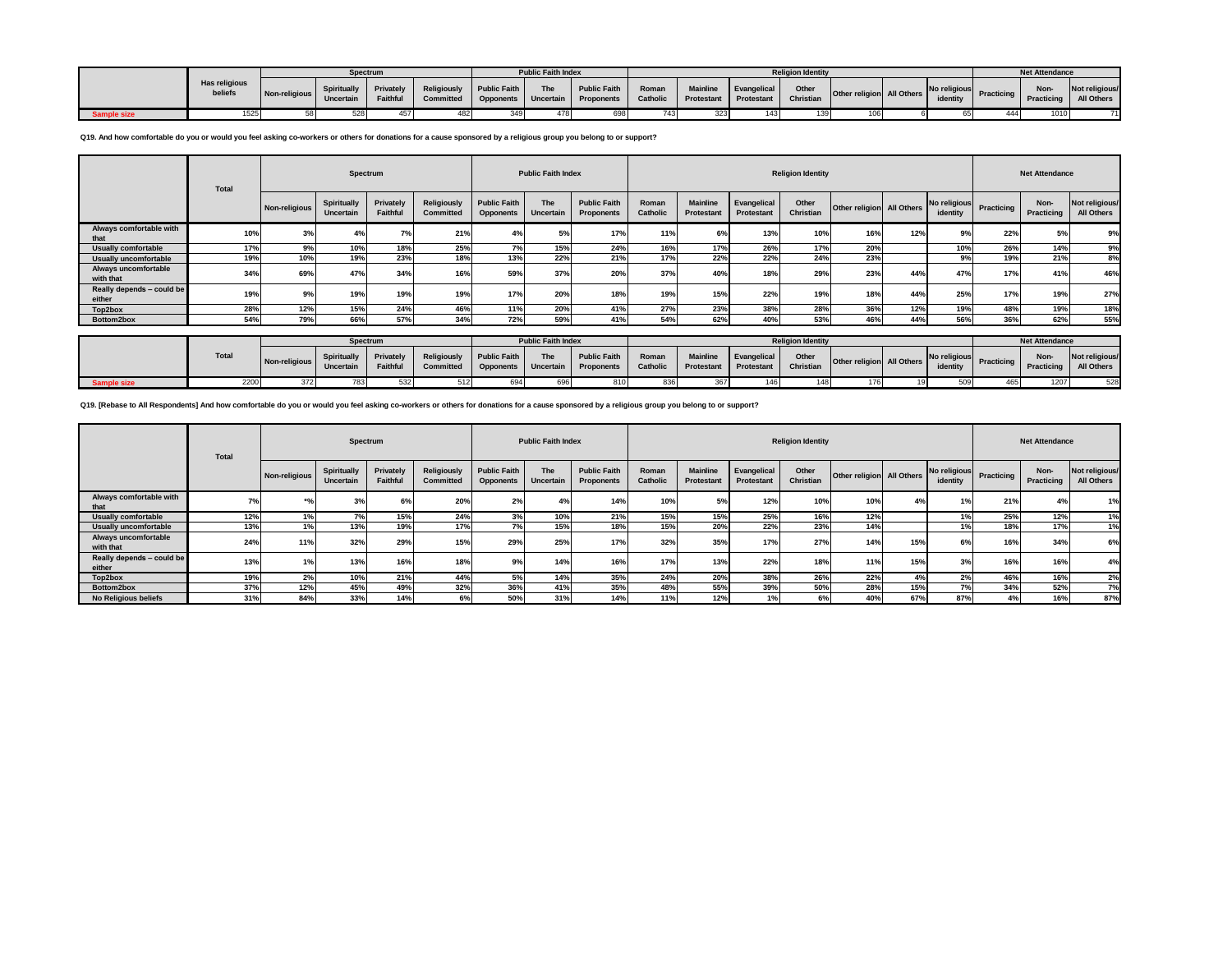|                    |                          |                         |                    | Spectrum |                                                                                                        | <b>Public Faith Index</b> |                    |     |                                    | <b>Religion Identity</b> |  |  | <b>Net Attendance</b> |  |
|--------------------|--------------------------|-------------------------|--------------------|----------|--------------------------------------------------------------------------------------------------------|---------------------------|--------------------|-----|------------------------------------|--------------------------|--|--|-----------------------|--|
|                    | Has religious<br>beliefs | Non-religious Uncertain | <b>Spiritually</b> | Faithful | Privately Religiously Public Faith The<br>Committed Opponents Uncertain Proponents Catholic Protestant |                           | Public Faith Roman |     | Mainline Evangelical<br>Frotestant |                          |  |  |                       |  |
| <b>Sample size</b> | 525                      |                         |                    | 457      |                                                                                                        |                           |                    | 743 |                                    |                          |  |  | 1010                  |  |

**Q19. And how comfortable do you or would you feel asking co-workers or others for donations for a cause sponsored by a religious group you belong to or support?**

|                                     | <b>Total</b> | Spectrum      |                          |                       |                                        |                                         |                           | <b>Public Faith Index</b><br><b>Religion Identity</b> |                   |                                      |                                  |                    |                           |     |          |                         | <b>Net Attendance</b> |                              |
|-------------------------------------|--------------|---------------|--------------------------|-----------------------|----------------------------------------|-----------------------------------------|---------------------------|-------------------------------------------------------|-------------------|--------------------------------------|----------------------------------|--------------------|---------------------------|-----|----------|-------------------------|-----------------------|------------------------------|
|                                     |              | Non-religious | Spiritually<br>Uncertain | Privately<br>Faithful | <b>Religiously</b><br><b>Committed</b> | <b>Public Faith</b><br><b>Opponents</b> | The<br>Uncertain          | <b>Public Faith</b><br>Proponents                     | Roman<br>Catholic | <b>Mainline</b><br><b>Protestant</b> | Evangelical<br><b>Protestant</b> | Other<br>Christian | Other religion All Others |     | identity | No religious Practicing | Non-<br>Practicing    | Not religious/<br>All Others |
| Always comfortable with<br>that     | 10%          | 3%            | 4%                       | 7%                    | 21%                                    |                                         | 5%                        | 17 <sup>°</sup>                                       | 11%               | 6%                                   | 13%                              | 10%                | 16%                       | 12% | 9%       | 22%                     | 5%                    | 9%                           |
| Usually comfortable                 | 17%          | 9%            | 10%                      | 18%                   | 25%                                    | 7%                                      | 15%                       | 24%                                                   | 16%               | 17%                                  | 26%                              | 17%                | 20%                       |     | 10%      | 26%                     | 14%                   | 9%                           |
| <b>Usually uncomfortable</b>        | 19%          | 10%           | 19%                      | 23%                   | 18%                                    | 13%                                     | 22%                       | 21%                                                   | 17%               | 22%                                  | 22%                              | 24%                | 23%                       |     | 9%       | 19%                     | 21%                   | 8%                           |
| Always uncomfortable<br>with that   | 34%          | 69%           | 47%                      | 34%                   | 16%                                    | 59%                                     | 37%                       | <b>20%</b>                                            | 37%               | 40%                                  | 18%                              | 29%                | 23%                       | 44% | 47%      | 17%                     | 41%                   | 46%                          |
| Really depends - could be<br>either | 19%          | 9%            | 19%                      | 19%                   | 19%                                    | 17%                                     | 20%                       | 18%                                                   | 19%               | 15%                                  | 22%                              | 19%                | 18%                       | 44% | 25%      | 17%                     | 19%                   | 27%                          |
| Top2box                             | 28%          | 12%           | 15%                      | 24%                   | 46%                                    | 11%                                     | <b>20%</b>                | 41%                                                   | 27%               | 23%                                  | 38%                              | 28%                | 36%                       | 12% | 19%      | 48%                     | 19%                   | 18%                          |
| Bottom2box                          | 54%          | 79%           | 66%                      | 57%                   | 34%                                    | 72%                                     | 59%                       | 41%                                                   | 54%               | 62%                                  | 40%                              | 53%                | 46%                       | 44% | 56%      | 36%                     | 62%                   | 55%                          |
|                                     |              |               |                          |                       |                                        |                                         |                           |                                                       |                   |                                      |                                  |                    |                           |     |          |                         |                       |                              |
|                                     |              |               | Spectrum                 |                       |                                        |                                         | <b>Public Faith Index</b> |                                                       |                   |                                      | <b>Net Attendance</b>            |                    |                           |     |          |                         |                       |                              |

|           |              |               | <b>Spectrum</b> |          |                                                                                                                                                       | Public Faith Index |  |                    |  |                            | Religion lgentity |                           |  | <b>Net Attendance</b> |                                               |
|-----------|--------------|---------------|-----------------|----------|-------------------------------------------------------------------------------------------------------------------------------------------------------|--------------------|--|--------------------|--|----------------------------|-------------------|---------------------------|--|-----------------------|-----------------------------------------------|
|           | <b>Total</b> | Non-religious | Uncertain       | Faithful | Spiritually Privately Religiously Public Faith The<br>Committed   Opponents   Uncertain   Proponents   Catholic   Protestant   Protestant   Christian |                    |  | Public Faith Roman |  | Mainline Evangelical Other |                   | Other religion All Others |  |                       | No religious Practicing Practicing All Others |
| mple size | 2200         |               |                 |          |                                                                                                                                                       |                    |  |                    |  |                            |                   |                           |  | 1207                  |                                               |

**Q19. [Rebase to All Respondents] And how comfortable do you or would you feel asking co-workers or others for donations for a cause sponsored by a religious group you belong to or support?**

|                                     | Total | Spectrum      |                          |                       |                          |                                         | <b>Public Faith Index</b> |                                          |                          |                                      |                           |                    | <b>Net Attendance</b>     |     |                          |            |                    |                              |
|-------------------------------------|-------|---------------|--------------------------|-----------------------|--------------------------|-----------------------------------------|---------------------------|------------------------------------------|--------------------------|--------------------------------------|---------------------------|--------------------|---------------------------|-----|--------------------------|------------|--------------------|------------------------------|
|                                     |       | Non-religious | Spiritually<br>Uncertain | Privately<br>Faithful | Religiously<br>Committed | <b>Public Faith</b><br><b>Opponents</b> | The<br>Uncertain          | <b>Public Faith</b><br><b>Proponents</b> | Roman<br><b>Catholic</b> | <b>Mainline</b><br><b>Protestant</b> | Evangelical<br>Protestant | Other<br>Christian | Other religion All Others |     | No religious<br>identity | Practicing | Non-<br>Practicing | Not religious/<br>All Others |
| Always comfortable with<br>that     | 7%    | ÷n.           | 3%                       |                       | 20%                      | 2%                                      | 4°                        | 14%                                      | 10%                      | 5%                                   | 12%                       | 10%                | 10%                       | 4%  | 1%                       | 21%        | 4%                 | 1%                           |
| <b>Usually comfortable</b>          | 12%   | 1%            | 7%                       | 15%                   | 24%                      | 3%                                      | 10%                       | 21%                                      | 15%                      | 15%                                  | 25%                       | 16%                | 12%                       |     | 1%                       | 25%        | 12%                | 1%                           |
| <b>Usually uncomfortable</b>        | 13%   | 1%            | 13%                      | 19%                   | 17%                      | 70/                                     | 15%                       | 18%                                      | 15%                      | 20%                                  | 22%                       | 23%                | 14%                       |     | 1%                       | 18%        | 17%                | 1%                           |
| Always uncomfortable<br>with that   | 24%   | 11%           | 32%                      | 29%                   | 15%                      | 29%                                     | 25%                       | 17%                                      | 32%                      | 35%                                  | 17%                       | 27%                | 14%                       | 15% | 6%                       | 16%        | 34%                | 6%                           |
| Really depends - could be<br>either | 13%   | 1%            | 13%                      | 16%                   | 18%                      | 9%                                      | 14%                       | 16%                                      | 17%                      | 13%                                  | 22%                       | 18%                | 11%                       | 15% | 3%                       | 16%        | 16%                | 4%                           |
| Top2box                             | 19%   | 2%            | 10%                      | 21%                   | 44%                      | 5%                                      | 14%                       | 35%                                      | 24%                      | 20%                                  | 38%                       | 26%                | 22%                       | 4%  | 2%                       | 46%        | 16%                | 2%                           |
| Bottom2box                          | 37%   | 12%           | 45%                      | 49%                   | 32%                      | 36%                                     | 41%                       | 35%                                      | 48%                      | 55%                                  | 39%                       | 50%                | 28%                       | 15% | 7%                       | 34%        | 52%                | 7%                           |
| <b>No Religious beliefs</b>         | 31%   | 84%           | 33%                      | 14%                   | 6%                       | 50%                                     | 31%                       | 14%                                      | 11%                      | 12%                                  |                           | 6%                 | 40%                       | 67% | 87%                      | 4%         | 16%                | 87%                          |